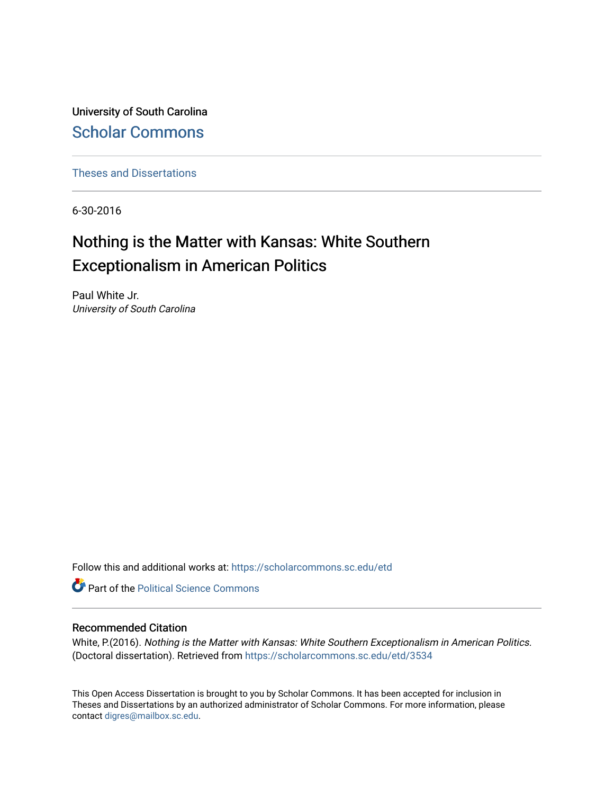University of South Carolina [Scholar Commons](https://scholarcommons.sc.edu/) 

[Theses and Dissertations](https://scholarcommons.sc.edu/etd)

6-30-2016

# Nothing is the Matter with Kansas: White Southern Exceptionalism in American Politics

Paul White Jr. University of South Carolina

Follow this and additional works at: [https://scholarcommons.sc.edu/etd](https://scholarcommons.sc.edu/etd?utm_source=scholarcommons.sc.edu%2Fetd%2F3534&utm_medium=PDF&utm_campaign=PDFCoverPages)

**Part of the Political Science Commons** 

### Recommended Citation

White, P.(2016). Nothing is the Matter with Kansas: White Southern Exceptionalism in American Politics. (Doctoral dissertation). Retrieved from [https://scholarcommons.sc.edu/etd/3534](https://scholarcommons.sc.edu/etd/3534?utm_source=scholarcommons.sc.edu%2Fetd%2F3534&utm_medium=PDF&utm_campaign=PDFCoverPages)

This Open Access Dissertation is brought to you by Scholar Commons. It has been accepted for inclusion in Theses and Dissertations by an authorized administrator of Scholar Commons. For more information, please contact [digres@mailbox.sc.edu.](mailto:digres@mailbox.sc.edu)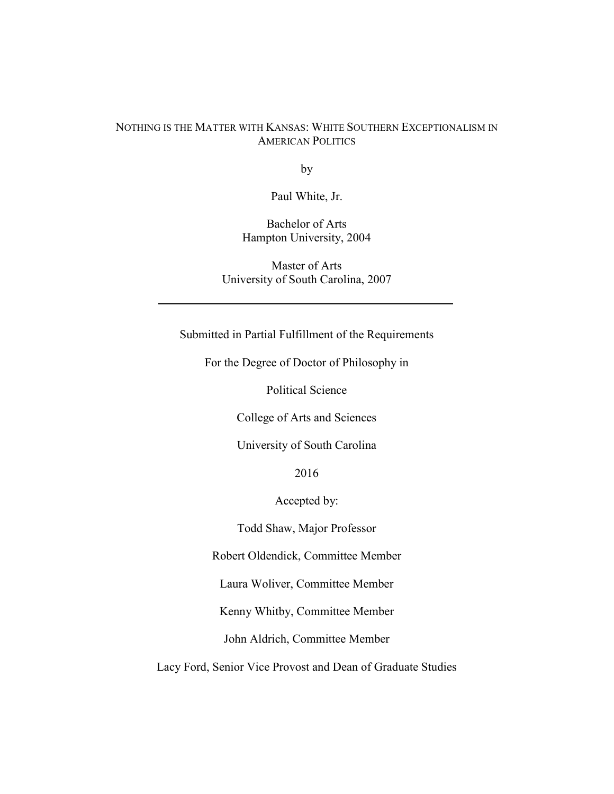## NOTHING IS THE MATTER WITH KANSAS: WHITE SOUTHERN EXCEPTIONALISM IN AMERICAN POLITICS

by

Paul White, Jr.

Bachelor of Arts Hampton University, 2004

Master of Arts University of South Carolina, 2007

Submitted in Partial Fulfillment of the Requirements

For the Degree of Doctor of Philosophy in

Political Science

College of Arts and Sciences

University of South Carolina

2016

Accepted by:

Todd Shaw, Major Professor

Robert Oldendick, Committee Member

Laura Woliver, Committee Member

Kenny Whitby, Committee Member

John Aldrich, Committee Member

Lacy Ford, Senior Vice Provost and Dean of Graduate Studies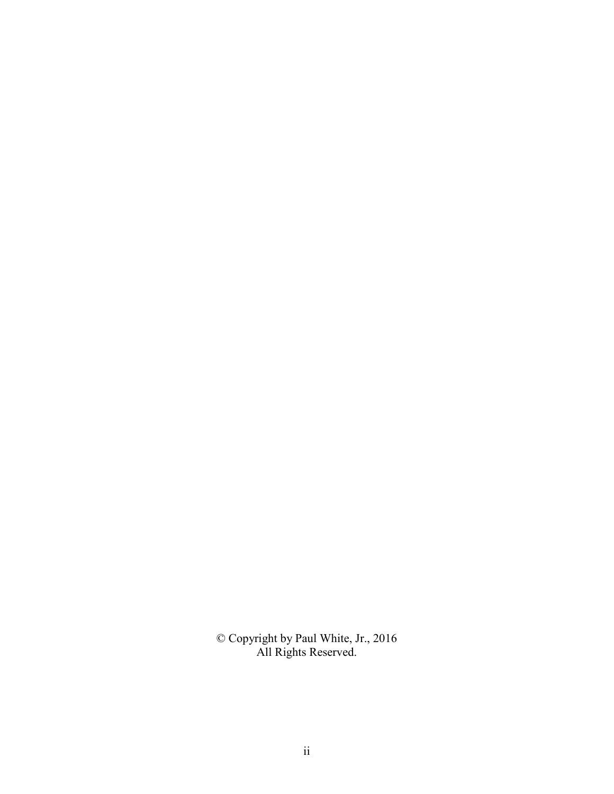© Copyright by Paul White, Jr., 2016 All Rights Reserved.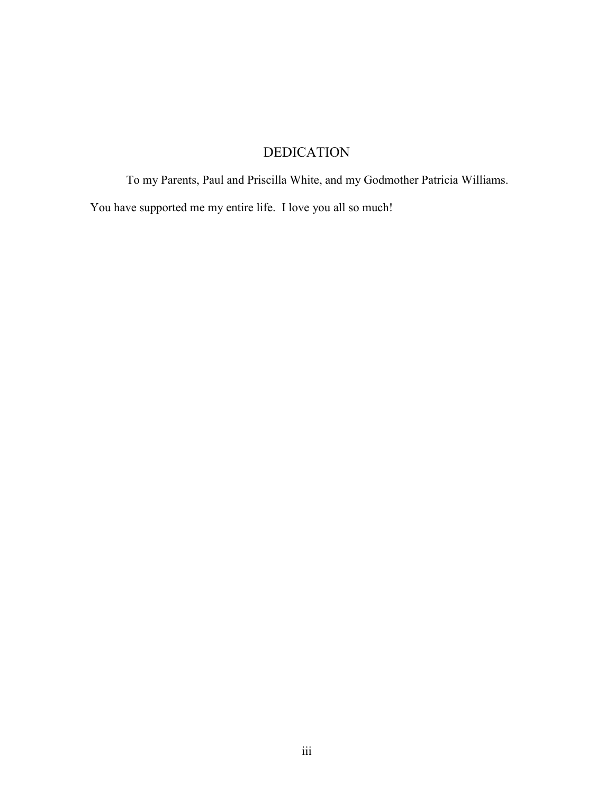# DEDICATION

To my Parents, Paul and Priscilla White, and my Godmother Patricia Williams.

You have supported me my entire life. I love you all so much!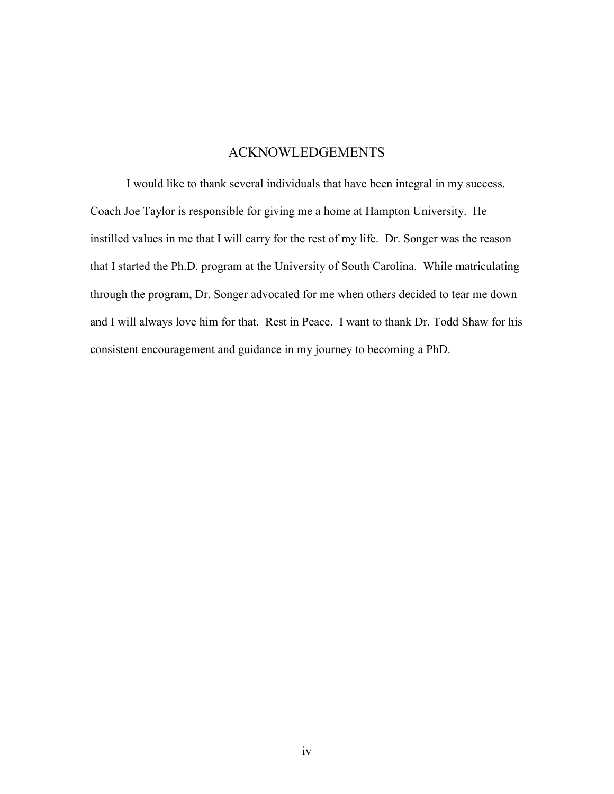## ACKNOWLEDGEMENTS

 I would like to thank several individuals that have been integral in my success. Coach Joe Taylor is responsible for giving me a home at Hampton University. He instilled values in me that I will carry for the rest of my life. Dr. Songer was the reason that I started the Ph.D. program at the University of South Carolina. While matriculating through the program, Dr. Songer advocated for me when others decided to tear me down and I will always love him for that. Rest in Peace. I want to thank Dr. Todd Shaw for his consistent encouragement and guidance in my journey to becoming a PhD.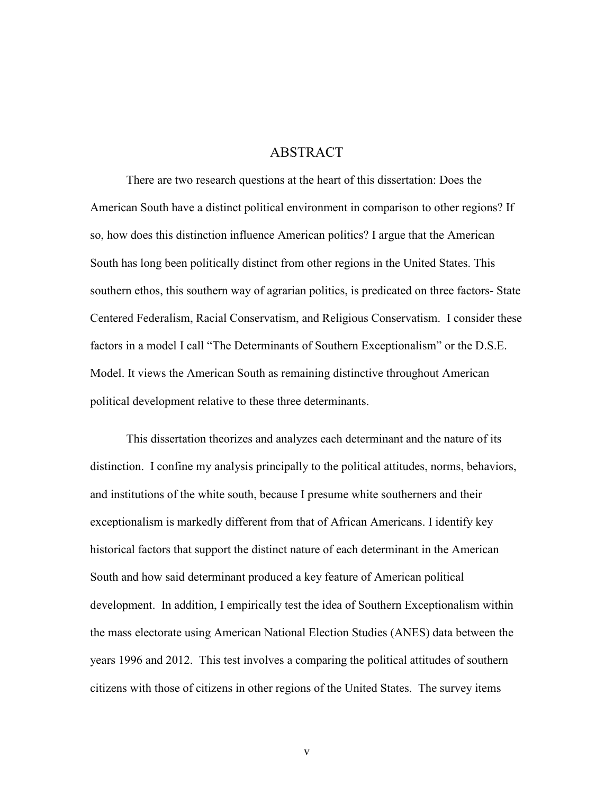## ABSTRACT

 There are two research questions at the heart of this dissertation: Does the American South have a distinct political environment in comparison to other regions? If so, how does this distinction influence American politics? I argue that the American South has long been politically distinct from other regions in the United States. This southern ethos, this southern way of agrarian politics, is predicated on three factors- State Centered Federalism, Racial Conservatism, and Religious Conservatism. I consider these factors in a model I call "The Determinants of Southern Exceptionalism" or the D.S.E. Model. It views the American South as remaining distinctive throughout American political development relative to these three determinants.

This dissertation theorizes and analyzes each determinant and the nature of its distinction. I confine my analysis principally to the political attitudes, norms, behaviors, and institutions of the white south, because I presume white southerners and their exceptionalism is markedly different from that of African Americans. I identify key historical factors that support the distinct nature of each determinant in the American South and how said determinant produced a key feature of American political development. In addition, I empirically test the idea of Southern Exceptionalism within the mass electorate using American National Election Studies (ANES) data between the years 1996 and 2012. This test involves a comparing the political attitudes of southern citizens with those of citizens in other regions of the United States. The survey items

v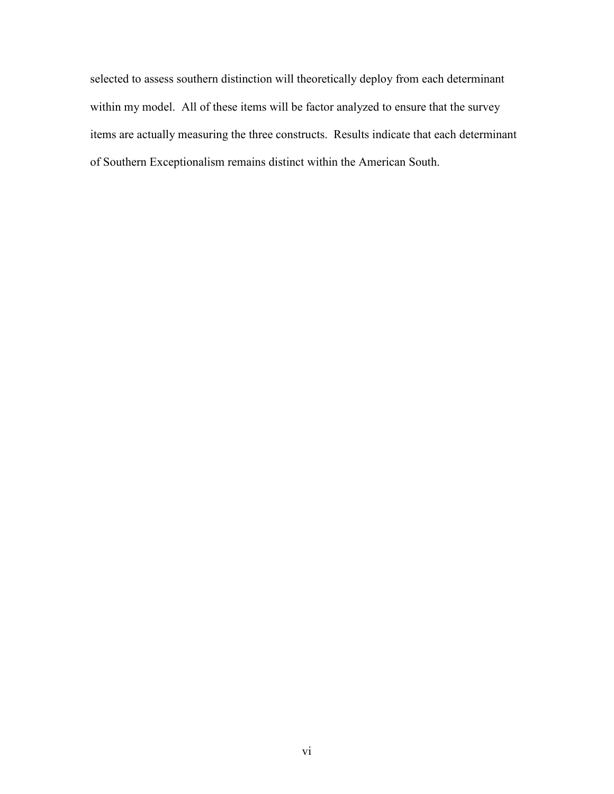selected to assess southern distinction will theoretically deploy from each determinant within my model. All of these items will be factor analyzed to ensure that the survey items are actually measuring the three constructs. Results indicate that each determinant of Southern Exceptionalism remains distinct within the American South.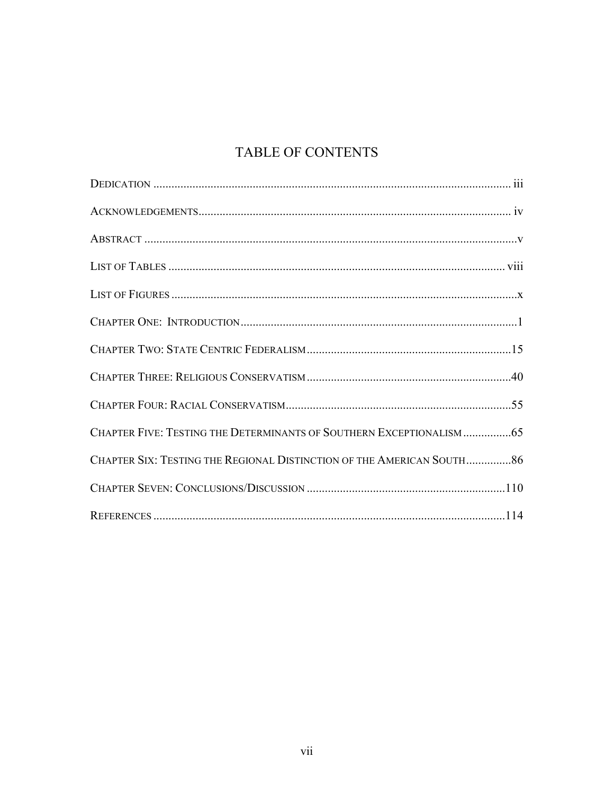# TABLE OF CONTENTS

| CHAPTER FIVE: TESTING THE DETERMINANTS OF SOUTHERN EXCEPTIONALISM  65  |  |
|------------------------------------------------------------------------|--|
| CHAPTER SIX: TESTING THE REGIONAL DISTINCTION OF THE AMERICAN SOUTH 86 |  |
|                                                                        |  |
|                                                                        |  |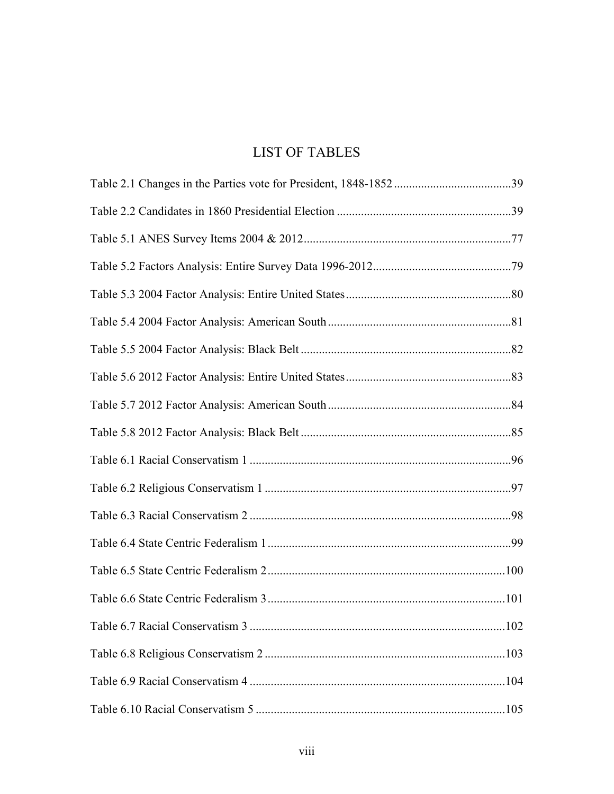# LIST OF TABLES

| .102 |
|------|
|      |
|      |
|      |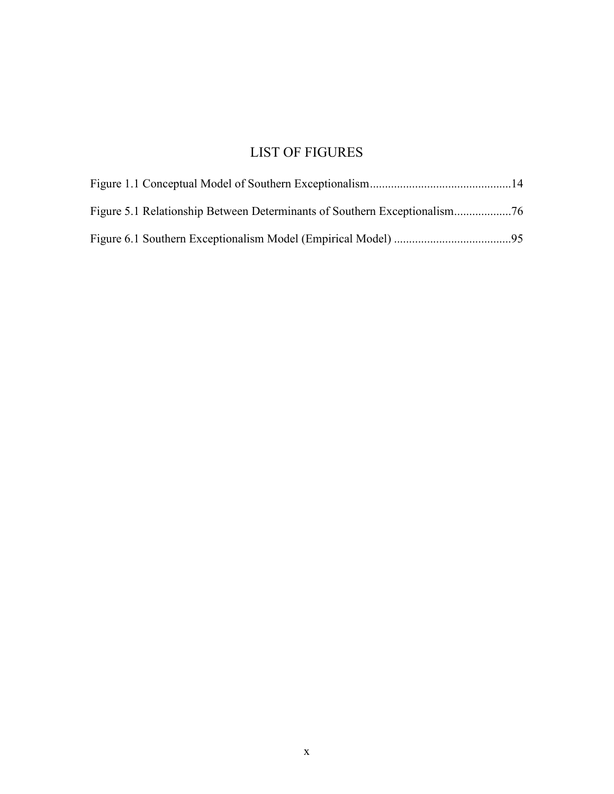# LIST OF FIGURES

| . 95 |
|------|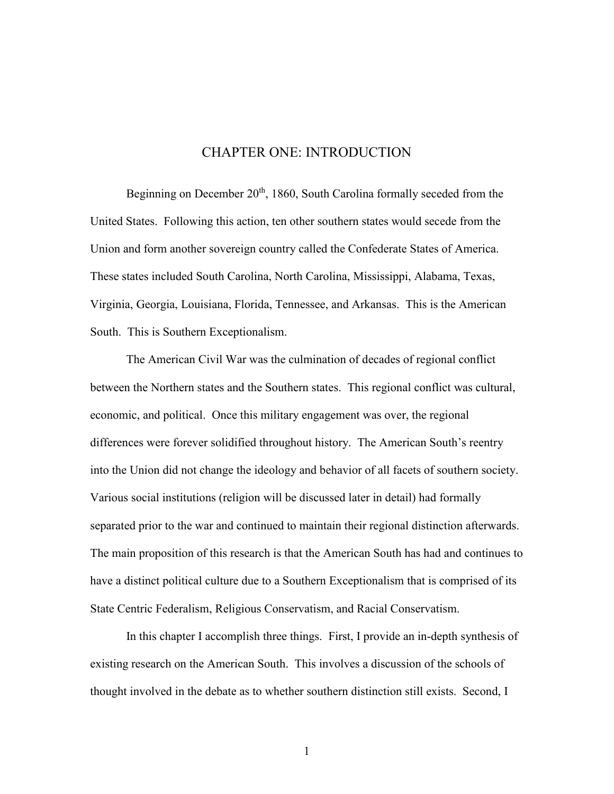## CHAPTER ONE: INTRODUCTION

Beginning on December 20<sup>th</sup>, 1860, South Carolina formally seceded from the United States. Following this action, ten other southern states would secede from the Union and form another sovereign country called the Confederate States of America. These states included South Carolina, North Carolina, Mississippi, Alabama, Texas, Virginia, Georgia, Louisiana, Florida, Tennessee, and Arkansas. This is the American South. This is Southern Exceptionalism.

The American Civil War was the culmination of decades of regional conflict between the Northern states and the Southern states. This regional conflict was cultural, economic, and political. Once this military engagement was over, the regional differences were forever solidified throughout history. The American South's reentry into the Union did not change the ideology and behavior of all facets of southern society. Various social institutions (religion will be discussed later in detail) had formally separated prior to the war and continued to maintain their regional distinction afterwards. The main proposition of this research is that the American South has had and continues to have a distinct political culture due to a Southern Exceptionalism that is comprised of its State Centric Federalism, Religious Conservatism, and Racial Conservatism.

In this chapter I accomplish three things. First, I provide an in-depth synthesis of existing research on the American South. This involves a discussion of the schools of thought involved in the debate as to whether southern distinction still exists. Second, I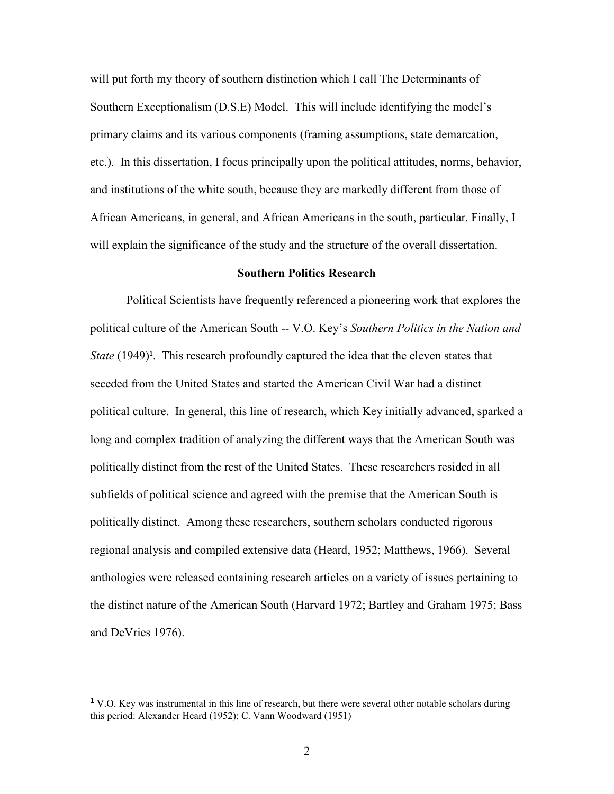will put forth my theory of southern distinction which I call The Determinants of Southern Exceptionalism (D.S.E) Model. This will include identifying the model's primary claims and its various components (framing assumptions, state demarcation, etc.). In this dissertation, I focus principally upon the political attitudes, norms, behavior, and institutions of the white south, because they are markedly different from those of African Americans, in general, and African Americans in the south, particular. Finally, I will explain the significance of the study and the structure of the overall dissertation.

### **Southern Politics Research**

Political Scientists have frequently referenced a pioneering work that explores the political culture of the American South -- V.O. Key's *Southern Politics in the Nation and State* (1949)<sup>1</sup>. This research profoundly captured the idea that the eleven states that seceded from the United States and started the American Civil War had a distinct political culture. In general, this line of research, which Key initially advanced, sparked a long and complex tradition of analyzing the different ways that the American South was politically distinct from the rest of the United States. These researchers resided in all subfields of political science and agreed with the premise that the American South is politically distinct. Among these researchers, southern scholars conducted rigorous regional analysis and compiled extensive data (Heard, 1952; Matthews, 1966). Several anthologies were released containing research articles on a variety of issues pertaining to the distinct nature of the American South (Harvard 1972; Bartley and Graham 1975; Bass and DeVries 1976).

 $1$  V.O. Key was instrumental in this line of research, but there were several other notable scholars during this period: Alexander Heard (1952); C. Vann Woodward (1951)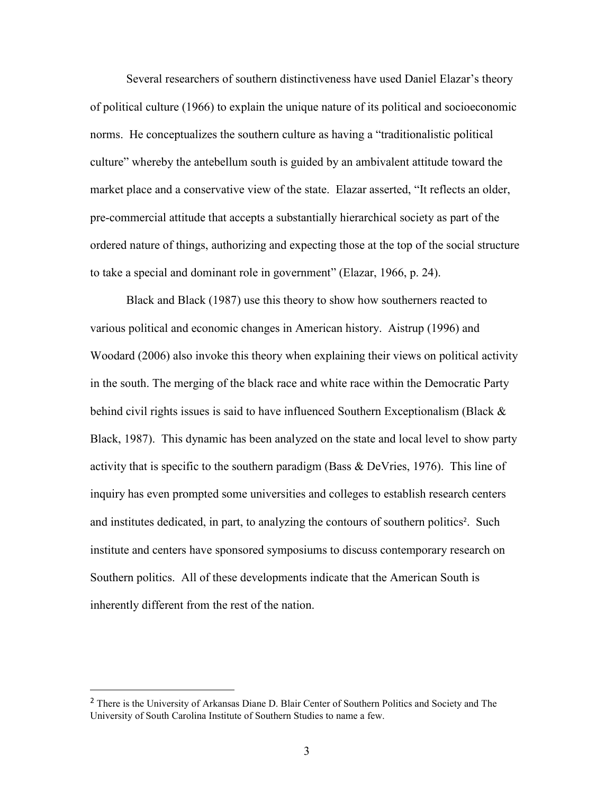Several researchers of southern distinctiveness have used Daniel Elazar's theory of political culture (1966) to explain the unique nature of its political and socioeconomic norms. He conceptualizes the southern culture as having a "traditionalistic political culture" whereby the antebellum south is guided by an ambivalent attitude toward the market place and a conservative view of the state. Elazar asserted, "It reflects an older, pre-commercial attitude that accepts a substantially hierarchical society as part of the ordered nature of things, authorizing and expecting those at the top of the social structure to take a special and dominant role in government" (Elazar, 1966, p. 24).

Black and Black (1987) use this theory to show how southerners reacted to various political and economic changes in American history. Aistrup (1996) and Woodard (2006) also invoke this theory when explaining their views on political activity in the south. The merging of the black race and white race within the Democratic Party behind civil rights issues is said to have influenced Southern Exceptionalism (Black & Black, 1987). This dynamic has been analyzed on the state and local level to show party activity that is specific to the southern paradigm (Bass  $\&$  DeVries, 1976). This line of inquiry has even prompted some universities and colleges to establish research centers and institutes dedicated, in part, to analyzing the contours of southern politics<sup>2</sup>. Such institute and centers have sponsored symposiums to discuss contemporary research on Southern politics. All of these developments indicate that the American South is inherently different from the rest of the nation.

<sup>&</sup>lt;sup>2</sup> There is the University of Arkansas Diane D. Blair Center of Southern Politics and Society and The University of South Carolina Institute of Southern Studies to name a few.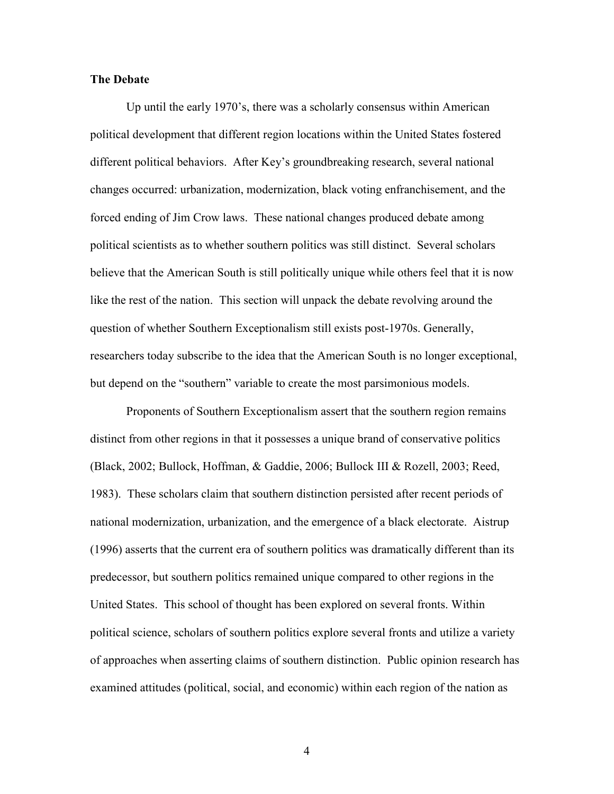#### **The Debate**

Up until the early 1970's, there was a scholarly consensus within American political development that different region locations within the United States fostered different political behaviors. After Key's groundbreaking research, several national changes occurred: urbanization, modernization, black voting enfranchisement, and the forced ending of Jim Crow laws. These national changes produced debate among political scientists as to whether southern politics was still distinct. Several scholars believe that the American South is still politically unique while others feel that it is now like the rest of the nation. This section will unpack the debate revolving around the question of whether Southern Exceptionalism still exists post-1970s. Generally, researchers today subscribe to the idea that the American South is no longer exceptional, but depend on the "southern" variable to create the most parsimonious models.

Proponents of Southern Exceptionalism assert that the southern region remains distinct from other regions in that it possesses a unique brand of conservative politics (Black, 2002; Bullock, Hoffman, & Gaddie, 2006; Bullock III & Rozell, 2003; Reed, 1983). These scholars claim that southern distinction persisted after recent periods of national modernization, urbanization, and the emergence of a black electorate. Aistrup (1996) asserts that the current era of southern politics was dramatically different than its predecessor, but southern politics remained unique compared to other regions in the United States. This school of thought has been explored on several fronts. Within political science, scholars of southern politics explore several fronts and utilize a variety of approaches when asserting claims of southern distinction. Public opinion research has examined attitudes (political, social, and economic) within each region of the nation as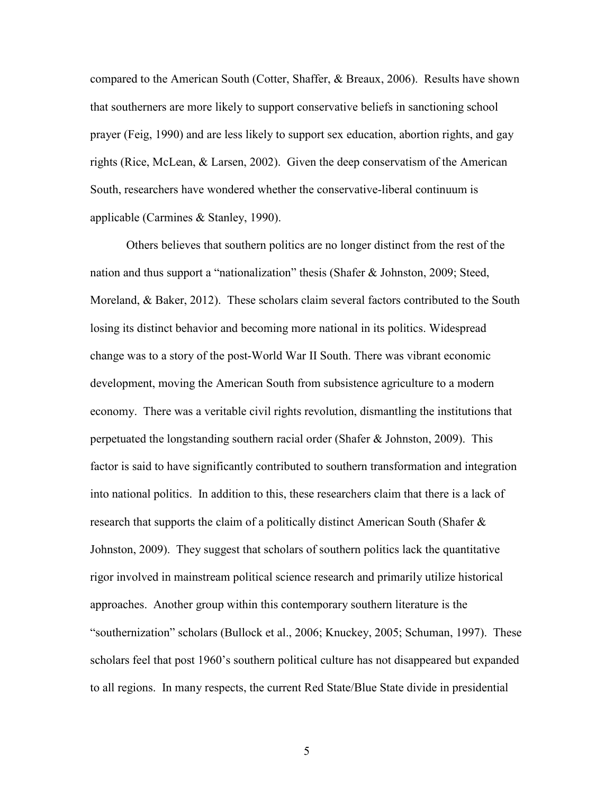compared to the American South (Cotter, Shaffer, & Breaux, 2006). Results have shown that southerners are more likely to support conservative beliefs in sanctioning school prayer (Feig, 1990) and are less likely to support sex education, abortion rights, and gay rights (Rice, McLean, & Larsen, 2002). Given the deep conservatism of the American South, researchers have wondered whether the conservative-liberal continuum is applicable (Carmines & Stanley, 1990).

Others believes that southern politics are no longer distinct from the rest of the nation and thus support a "nationalization" thesis (Shafer & Johnston, 2009; Steed, Moreland, & Baker, 2012). These scholars claim several factors contributed to the South losing its distinct behavior and becoming more national in its politics. Widespread change was to a story of the post-World War II South. There was vibrant economic development, moving the American South from subsistence agriculture to a modern economy. There was a veritable civil rights revolution, dismantling the institutions that perpetuated the longstanding southern racial order (Shafer & Johnston, 2009). This factor is said to have significantly contributed to southern transformation and integration into national politics. In addition to this, these researchers claim that there is a lack of research that supports the claim of a politically distinct American South (Shafer & Johnston, 2009). They suggest that scholars of southern politics lack the quantitative rigor involved in mainstream political science research and primarily utilize historical approaches. Another group within this contemporary southern literature is the "southernization" scholars (Bullock et al., 2006; Knuckey, 2005; Schuman, 1997). These scholars feel that post 1960's southern political culture has not disappeared but expanded to all regions. In many respects, the current Red State/Blue State divide in presidential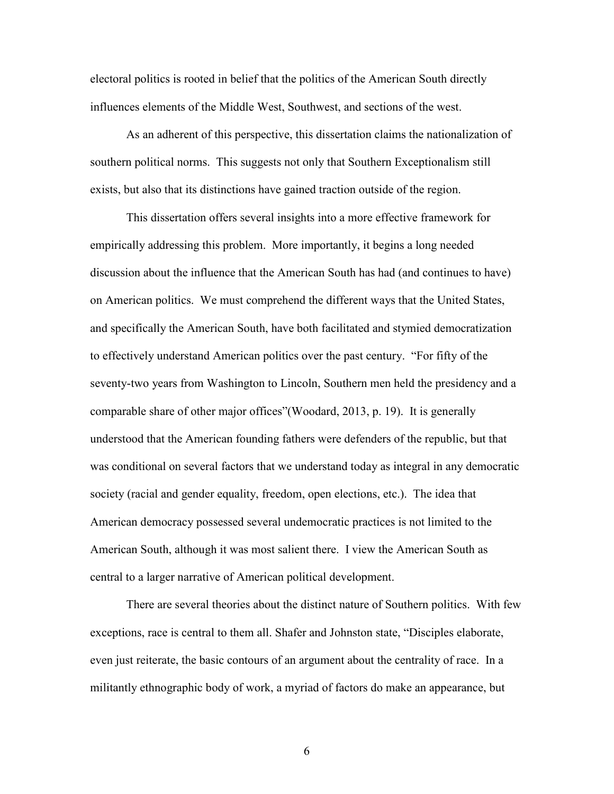electoral politics is rooted in belief that the politics of the American South directly influences elements of the Middle West, Southwest, and sections of the west.

As an adherent of this perspective, this dissertation claims the nationalization of southern political norms. This suggests not only that Southern Exceptionalism still exists, but also that its distinctions have gained traction outside of the region.

This dissertation offers several insights into a more effective framework for empirically addressing this problem. More importantly, it begins a long needed discussion about the influence that the American South has had (and continues to have) on American politics. We must comprehend the different ways that the United States, and specifically the American South, have both facilitated and stymied democratization to effectively understand American politics over the past century. "For fifty of the seventy-two years from Washington to Lincoln, Southern men held the presidency and a comparable share of other major offices"(Woodard, 2013, p. 19). It is generally understood that the American founding fathers were defenders of the republic, but that was conditional on several factors that we understand today as integral in any democratic society (racial and gender equality, freedom, open elections, etc.). The idea that American democracy possessed several undemocratic practices is not limited to the American South, although it was most salient there. I view the American South as central to a larger narrative of American political development.

There are several theories about the distinct nature of Southern politics. With few exceptions, race is central to them all. Shafer and Johnston state, "Disciples elaborate, even just reiterate, the basic contours of an argument about the centrality of race. In a militantly ethnographic body of work, a myriad of factors do make an appearance, but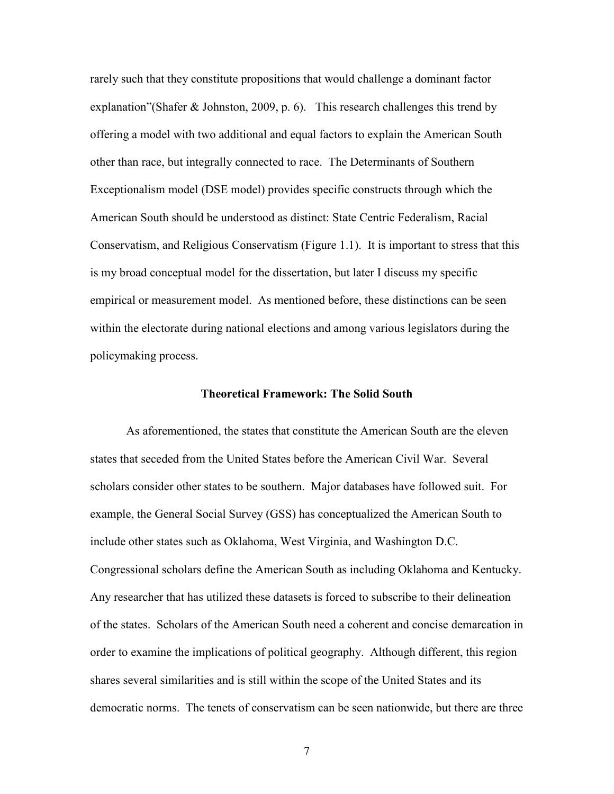rarely such that they constitute propositions that would challenge a dominant factor explanation"(Shafer & Johnston, 2009, p. 6). This research challenges this trend by offering a model with two additional and equal factors to explain the American South other than race, but integrally connected to race. The Determinants of Southern Exceptionalism model (DSE model) provides specific constructs through which the American South should be understood as distinct: State Centric Federalism, Racial Conservatism, and Religious Conservatism (Figure 1.1). It is important to stress that this is my broad conceptual model for the dissertation, but later I discuss my specific empirical or measurement model. As mentioned before, these distinctions can be seen within the electorate during national elections and among various legislators during the policymaking process.

#### **Theoretical Framework: The Solid South**

As aforementioned, the states that constitute the American South are the eleven states that seceded from the United States before the American Civil War. Several scholars consider other states to be southern. Major databases have followed suit. For example, the General Social Survey (GSS) has conceptualized the American South to include other states such as Oklahoma, West Virginia, and Washington D.C. Congressional scholars define the American South as including Oklahoma and Kentucky. Any researcher that has utilized these datasets is forced to subscribe to their delineation of the states. Scholars of the American South need a coherent and concise demarcation in order to examine the implications of political geography. Although different, this region shares several similarities and is still within the scope of the United States and its democratic norms. The tenets of conservatism can be seen nationwide, but there are three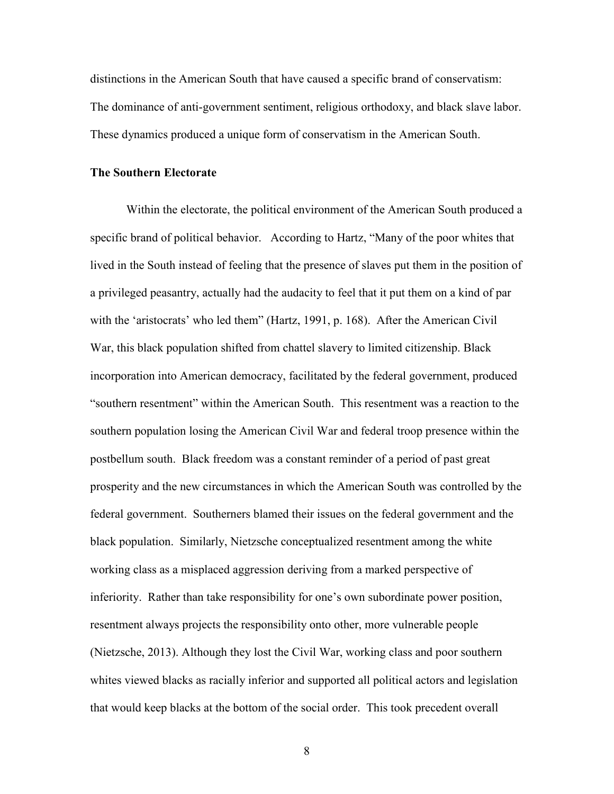distinctions in the American South that have caused a specific brand of conservatism: The dominance of anti-government sentiment, religious orthodoxy, and black slave labor. These dynamics produced a unique form of conservatism in the American South.

### **The Southern Electorate**

Within the electorate, the political environment of the American South produced a specific brand of political behavior. According to Hartz, "Many of the poor whites that lived in the South instead of feeling that the presence of slaves put them in the position of a privileged peasantry, actually had the audacity to feel that it put them on a kind of par with the 'aristocrats' who led them" (Hartz, 1991, p. 168). After the American Civil War, this black population shifted from chattel slavery to limited citizenship. Black incorporation into American democracy, facilitated by the federal government, produced "southern resentment" within the American South. This resentment was a reaction to the southern population losing the American Civil War and federal troop presence within the postbellum south. Black freedom was a constant reminder of a period of past great prosperity and the new circumstances in which the American South was controlled by the federal government. Southerners blamed their issues on the federal government and the black population. Similarly, Nietzsche conceptualized resentment among the white working class as a misplaced aggression deriving from a marked perspective of inferiority. Rather than take responsibility for one's own subordinate power position, resentment always projects the responsibility onto other, more vulnerable people (Nietzsche, 2013). Although they lost the Civil War, working class and poor southern whites viewed blacks as racially inferior and supported all political actors and legislation that would keep blacks at the bottom of the social order. This took precedent overall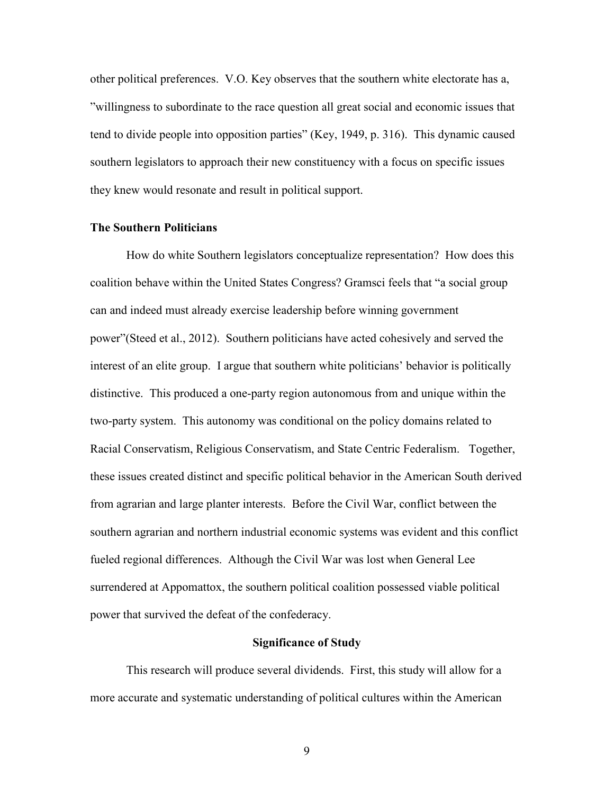other political preferences. V.O. Key observes that the southern white electorate has a, "willingness to subordinate to the race question all great social and economic issues that tend to divide people into opposition parties" (Key, 1949, p. 316). This dynamic caused southern legislators to approach their new constituency with a focus on specific issues they knew would resonate and result in political support.

### **The Southern Politicians**

How do white Southern legislators conceptualize representation? How does this coalition behave within the United States Congress? Gramsci feels that "a social group can and indeed must already exercise leadership before winning government power"(Steed et al., 2012). Southern politicians have acted cohesively and served the interest of an elite group. I argue that southern white politicians' behavior is politically distinctive. This produced a one-party region autonomous from and unique within the two-party system. This autonomy was conditional on the policy domains related to Racial Conservatism, Religious Conservatism, and State Centric Federalism. Together, these issues created distinct and specific political behavior in the American South derived from agrarian and large planter interests. Before the Civil War, conflict between the southern agrarian and northern industrial economic systems was evident and this conflict fueled regional differences. Although the Civil War was lost when General Lee surrendered at Appomattox, the southern political coalition possessed viable political power that survived the defeat of the confederacy.

#### **Significance of Study**

This research will produce several dividends. First, this study will allow for a more accurate and systematic understanding of political cultures within the American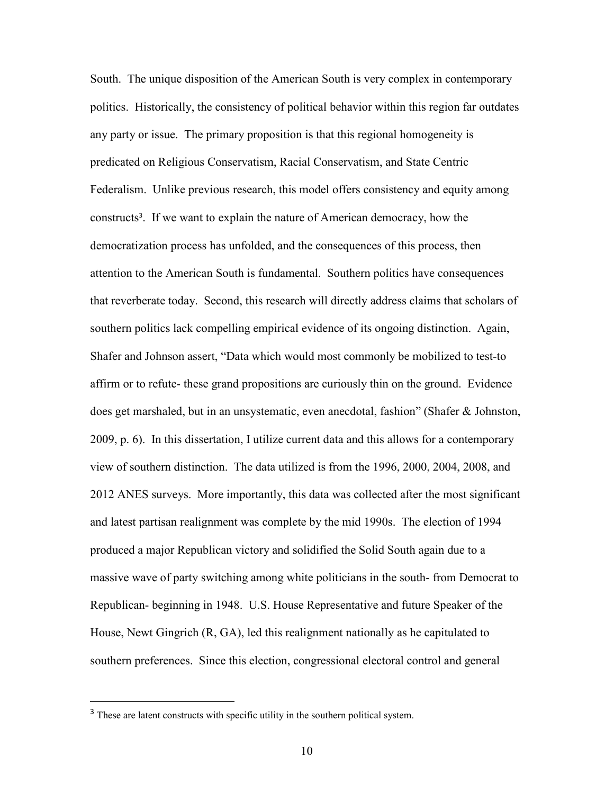South. The unique disposition of the American South is very complex in contemporary politics. Historically, the consistency of political behavior within this region far outdates any party or issue. The primary proposition is that this regional homogeneity is predicated on Religious Conservatism, Racial Conservatism, and State Centric Federalism. Unlike previous research, this model offers consistency and equity among constructs<sup>3</sup> . If we want to explain the nature of American democracy, how the democratization process has unfolded, and the consequences of this process, then attention to the American South is fundamental. Southern politics have consequences that reverberate today. Second, this research will directly address claims that scholars of southern politics lack compelling empirical evidence of its ongoing distinction. Again, Shafer and Johnson assert, "Data which would most commonly be mobilized to test-to affirm or to refute- these grand propositions are curiously thin on the ground. Evidence does get marshaled, but in an unsystematic, even anecdotal, fashion" (Shafer & Johnston, 2009, p. 6). In this dissertation, I utilize current data and this allows for a contemporary view of southern distinction. The data utilized is from the 1996, 2000, 2004, 2008, and 2012 ANES surveys. More importantly, this data was collected after the most significant and latest partisan realignment was complete by the mid 1990s. The election of 1994 produced a major Republican victory and solidified the Solid South again due to a massive wave of party switching among white politicians in the south- from Democrat to Republican- beginning in 1948. U.S. House Representative and future Speaker of the House, Newt Gingrich (R, GA), led this realignment nationally as he capitulated to southern preferences. Since this election, congressional electoral control and general

 $\overline{a}$ 

<sup>&</sup>lt;sup>3</sup> These are latent constructs with specific utility in the southern political system.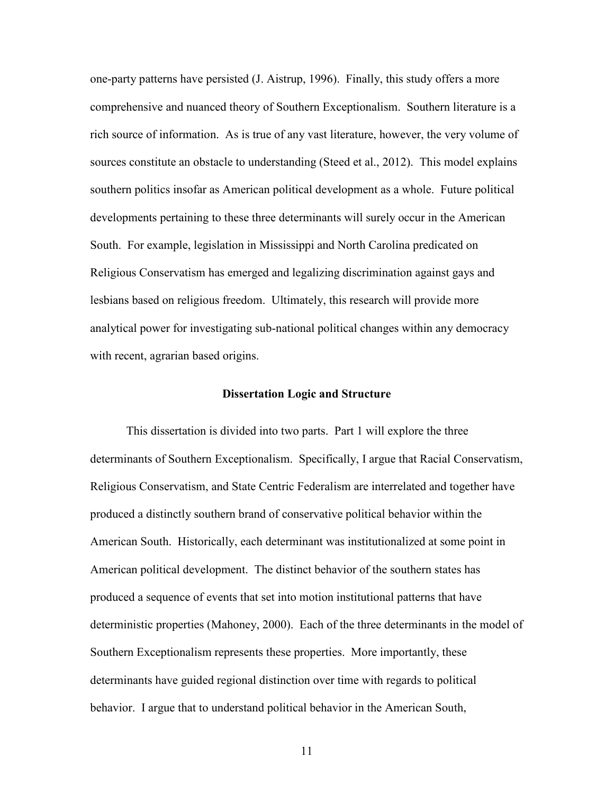one-party patterns have persisted (J. Aistrup, 1996). Finally, this study offers a more comprehensive and nuanced theory of Southern Exceptionalism. Southern literature is a rich source of information. As is true of any vast literature, however, the very volume of sources constitute an obstacle to understanding (Steed et al., 2012). This model explains southern politics insofar as American political development as a whole. Future political developments pertaining to these three determinants will surely occur in the American South. For example, legislation in Mississippi and North Carolina predicated on Religious Conservatism has emerged and legalizing discrimination against gays and lesbians based on religious freedom. Ultimately, this research will provide more analytical power for investigating sub-national political changes within any democracy with recent, agrarian based origins.

#### **Dissertation Logic and Structure**

This dissertation is divided into two parts. Part 1 will explore the three determinants of Southern Exceptionalism. Specifically, I argue that Racial Conservatism, Religious Conservatism, and State Centric Federalism are interrelated and together have produced a distinctly southern brand of conservative political behavior within the American South. Historically, each determinant was institutionalized at some point in American political development. The distinct behavior of the southern states has produced a sequence of events that set into motion institutional patterns that have deterministic properties (Mahoney, 2000). Each of the three determinants in the model of Southern Exceptionalism represents these properties. More importantly, these determinants have guided regional distinction over time with regards to political behavior. I argue that to understand political behavior in the American South,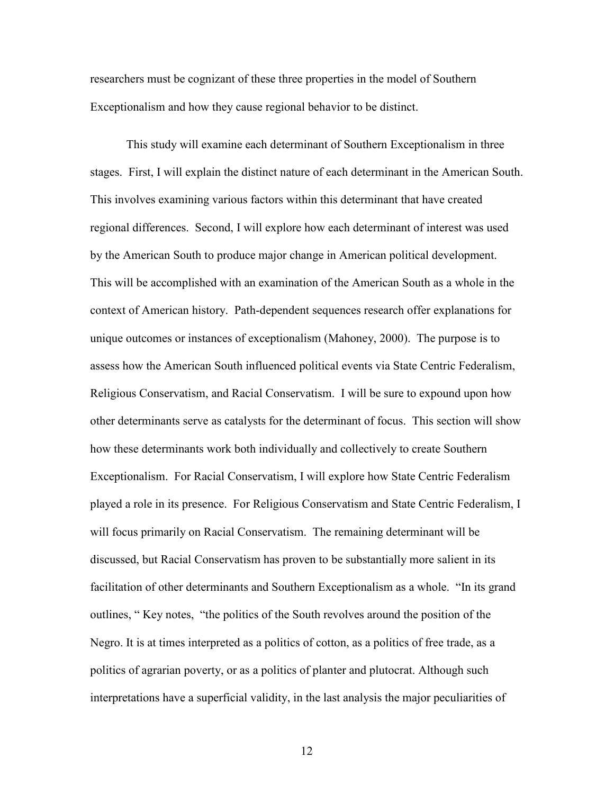researchers must be cognizant of these three properties in the model of Southern Exceptionalism and how they cause regional behavior to be distinct.

This study will examine each determinant of Southern Exceptionalism in three stages. First, I will explain the distinct nature of each determinant in the American South. This involves examining various factors within this determinant that have created regional differences. Second, I will explore how each determinant of interest was used by the American South to produce major change in American political development. This will be accomplished with an examination of the American South as a whole in the context of American history. Path-dependent sequences research offer explanations for unique outcomes or instances of exceptionalism (Mahoney, 2000). The purpose is to assess how the American South influenced political events via State Centric Federalism, Religious Conservatism, and Racial Conservatism. I will be sure to expound upon how other determinants serve as catalysts for the determinant of focus. This section will show how these determinants work both individually and collectively to create Southern Exceptionalism. For Racial Conservatism, I will explore how State Centric Federalism played a role in its presence. For Religious Conservatism and State Centric Federalism, I will focus primarily on Racial Conservatism. The remaining determinant will be discussed, but Racial Conservatism has proven to be substantially more salient in its facilitation of other determinants and Southern Exceptionalism as a whole. "In its grand outlines, " Key notes, "the politics of the South revolves around the position of the Negro. It is at times interpreted as a politics of cotton, as a politics of free trade, as a politics of agrarian poverty, or as a politics of planter and plutocrat. Although such interpretations have a superficial validity, in the last analysis the major peculiarities of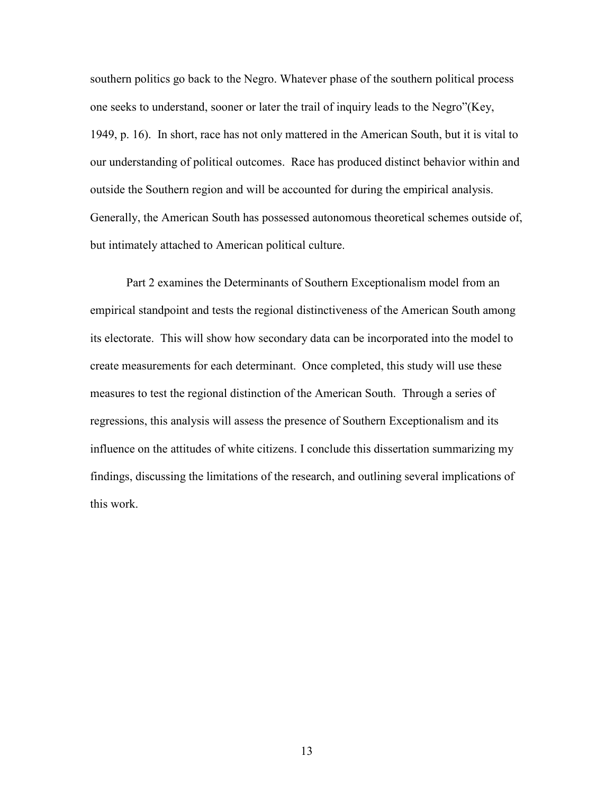southern politics go back to the Negro. Whatever phase of the southern political process one seeks to understand, sooner or later the trail of inquiry leads to the Negro"(Key, 1949, p. 16). In short, race has not only mattered in the American South, but it is vital to our understanding of political outcomes. Race has produced distinct behavior within and outside the Southern region and will be accounted for during the empirical analysis. Generally, the American South has possessed autonomous theoretical schemes outside of, but intimately attached to American political culture.

Part 2 examines the Determinants of Southern Exceptionalism model from an empirical standpoint and tests the regional distinctiveness of the American South among its electorate. This will show how secondary data can be incorporated into the model to create measurements for each determinant. Once completed, this study will use these measures to test the regional distinction of the American South. Through a series of regressions, this analysis will assess the presence of Southern Exceptionalism and its influence on the attitudes of white citizens. I conclude this dissertation summarizing my findings, discussing the limitations of the research, and outlining several implications of this work.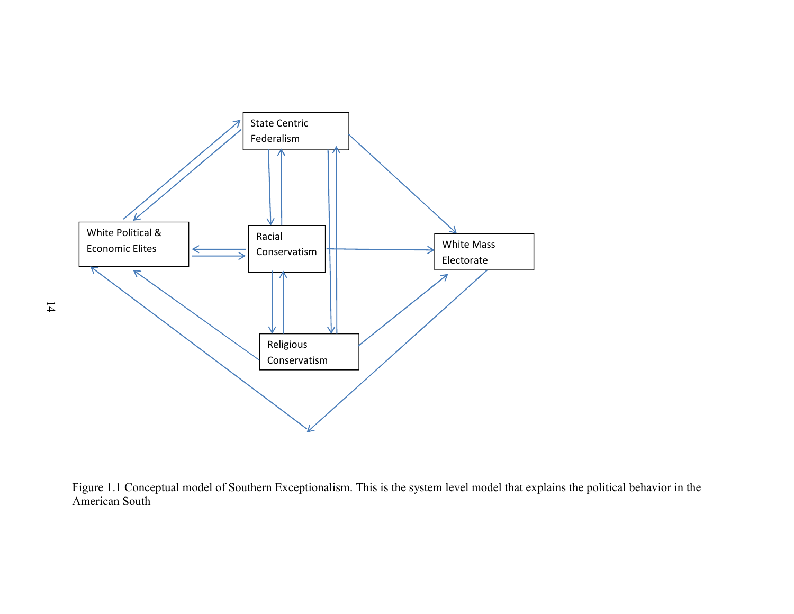

Figure 1.1 Conceptual model of Southern Exceptionalism. This is the system level model that explains the political behavior in the American South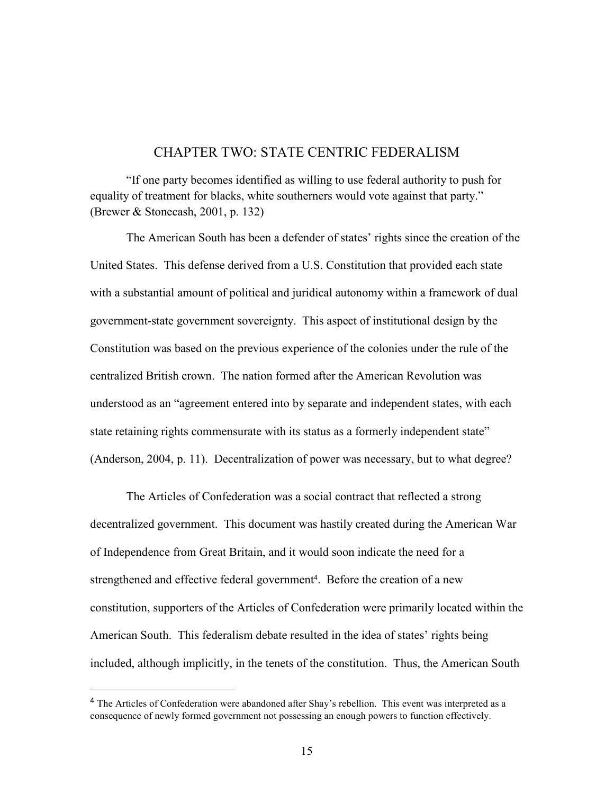## CHAPTER TWO: STATE CENTRIC FEDERALISM

"If one party becomes identified as willing to use federal authority to push for equality of treatment for blacks, white southerners would vote against that party." (Brewer & Stonecash, 2001, p. 132)

The American South has been a defender of states' rights since the creation of the United States. This defense derived from a U.S. Constitution that provided each state with a substantial amount of political and juridical autonomy within a framework of dual government-state government sovereignty. This aspect of institutional design by the Constitution was based on the previous experience of the colonies under the rule of the centralized British crown. The nation formed after the American Revolution was understood as an "agreement entered into by separate and independent states, with each state retaining rights commensurate with its status as a formerly independent state" (Anderson, 2004, p. 11). Decentralization of power was necessary, but to what degree?

The Articles of Confederation was a social contract that reflected a strong decentralized government. This document was hastily created during the American War of Independence from Great Britain, and it would soon indicate the need for a strengthened and effective federal government<sup>4</sup>. Before the creation of a new constitution, supporters of the Articles of Confederation were primarily located within the American South. This federalism debate resulted in the idea of states' rights being included, although implicitly, in the tenets of the constitution. Thus, the American South

<sup>&</sup>lt;sup>4</sup> The Articles of Confederation were abandoned after Shay's rebellion. This event was interpreted as a consequence of newly formed government not possessing an enough powers to function effectively.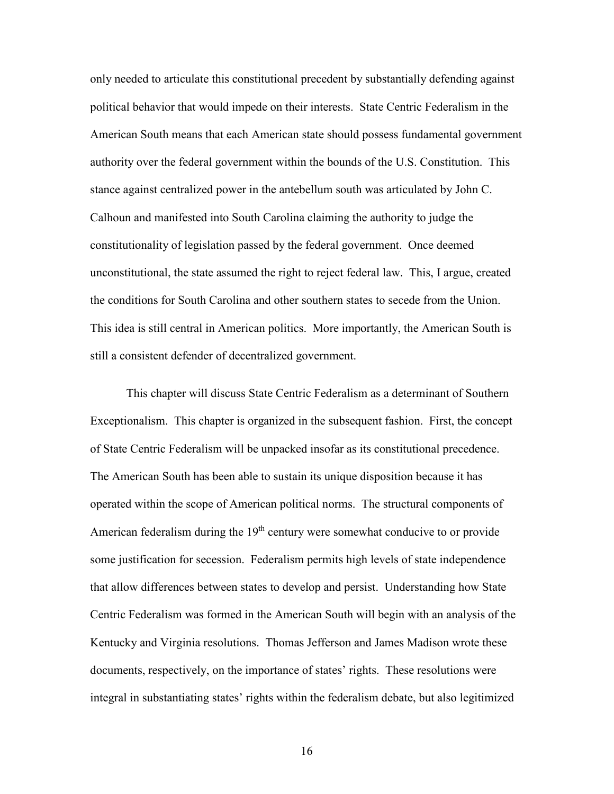only needed to articulate this constitutional precedent by substantially defending against political behavior that would impede on their interests. State Centric Federalism in the American South means that each American state should possess fundamental government authority over the federal government within the bounds of the U.S. Constitution. This stance against centralized power in the antebellum south was articulated by John C. Calhoun and manifested into South Carolina claiming the authority to judge the constitutionality of legislation passed by the federal government. Once deemed unconstitutional, the state assumed the right to reject federal law. This, I argue, created the conditions for South Carolina and other southern states to secede from the Union. This idea is still central in American politics. More importantly, the American South is still a consistent defender of decentralized government.

This chapter will discuss State Centric Federalism as a determinant of Southern Exceptionalism. This chapter is organized in the subsequent fashion. First, the concept of State Centric Federalism will be unpacked insofar as its constitutional precedence. The American South has been able to sustain its unique disposition because it has operated within the scope of American political norms. The structural components of American federalism during the 19<sup>th</sup> century were somewhat conducive to or provide some justification for secession. Federalism permits high levels of state independence that allow differences between states to develop and persist. Understanding how State Centric Federalism was formed in the American South will begin with an analysis of the Kentucky and Virginia resolutions. Thomas Jefferson and James Madison wrote these documents, respectively, on the importance of states' rights. These resolutions were integral in substantiating states' rights within the federalism debate, but also legitimized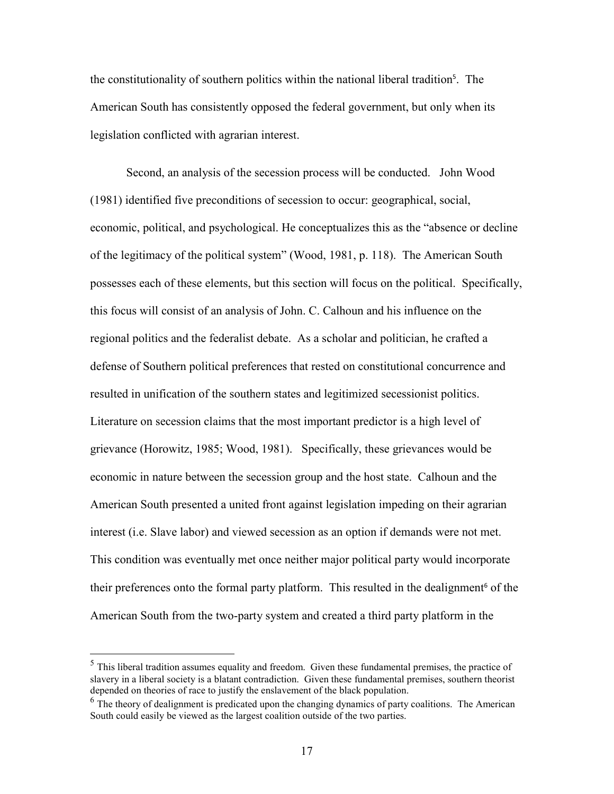the constitutionality of southern politics within the national liberal tradition<sup>5</sup> . The American South has consistently opposed the federal government, but only when its legislation conflicted with agrarian interest.

Second, an analysis of the secession process will be conducted. John Wood (1981) identified five preconditions of secession to occur: geographical, social, economic, political, and psychological. He conceptualizes this as the "absence or decline of the legitimacy of the political system" (Wood, 1981, p. 118). The American South possesses each of these elements, but this section will focus on the political. Specifically, this focus will consist of an analysis of John. C. Calhoun and his influence on the regional politics and the federalist debate. As a scholar and politician, he crafted a defense of Southern political preferences that rested on constitutional concurrence and resulted in unification of the southern states and legitimized secessionist politics. Literature on secession claims that the most important predictor is a high level of grievance (Horowitz, 1985; Wood, 1981). Specifically, these grievances would be economic in nature between the secession group and the host state. Calhoun and the American South presented a united front against legislation impeding on their agrarian interest (i.e. Slave labor) and viewed secession as an option if demands were not met. This condition was eventually met once neither major political party would incorporate their preferences onto the formal party platform. This resulted in the dealignment<sup>6</sup> of the American South from the two-party system and created a third party platform in the

 $<sup>5</sup>$  This liberal tradition assumes equality and freedom. Given these fundamental premises, the practice of</sup> slavery in a liberal society is a blatant contradiction. Given these fundamental premises, southern theorist depended on theories of race to justify the enslavement of the black population.

 $<sup>6</sup>$  The theory of dealignment is predicated upon the changing dynamics of party coalitions. The American</sup> South could easily be viewed as the largest coalition outside of the two parties.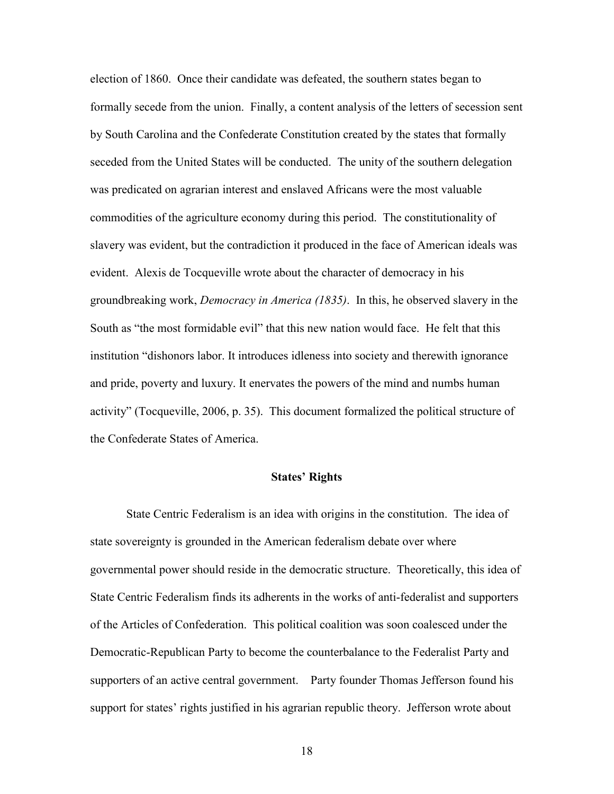election of 1860. Once their candidate was defeated, the southern states began to formally secede from the union. Finally, a content analysis of the letters of secession sent by South Carolina and the Confederate Constitution created by the states that formally seceded from the United States will be conducted. The unity of the southern delegation was predicated on agrarian interest and enslaved Africans were the most valuable commodities of the agriculture economy during this period. The constitutionality of slavery was evident, but the contradiction it produced in the face of American ideals was evident. Alexis de Tocqueville wrote about the character of democracy in his groundbreaking work, *Democracy in America (1835)*. In this, he observed slavery in the South as "the most formidable evil" that this new nation would face. He felt that this institution "dishonors labor. It introduces idleness into society and therewith ignorance and pride, poverty and luxury. It enervates the powers of the mind and numbs human activity" (Tocqueville, 2006, p. 35). This document formalized the political structure of the Confederate States of America.

#### **States' Rights**

State Centric Federalism is an idea with origins in the constitution. The idea of state sovereignty is grounded in the American federalism debate over where governmental power should reside in the democratic structure. Theoretically, this idea of State Centric Federalism finds its adherents in the works of anti-federalist and supporters of the Articles of Confederation. This political coalition was soon coalesced under the Democratic-Republican Party to become the counterbalance to the Federalist Party and supporters of an active central government. Party founder Thomas Jefferson found his support for states' rights justified in his agrarian republic theory. Jefferson wrote about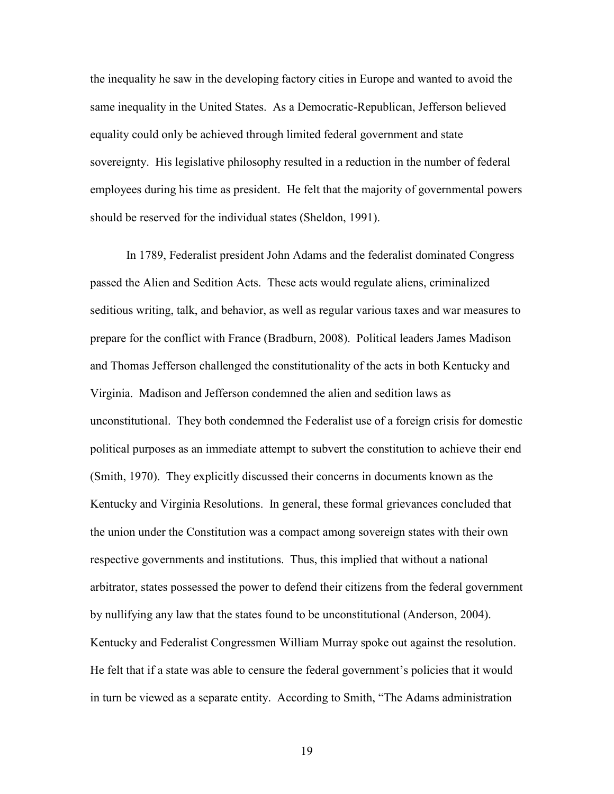the inequality he saw in the developing factory cities in Europe and wanted to avoid the same inequality in the United States. As a Democratic-Republican, Jefferson believed equality could only be achieved through limited federal government and state sovereignty. His legislative philosophy resulted in a reduction in the number of federal employees during his time as president. He felt that the majority of governmental powers should be reserved for the individual states (Sheldon, 1991).

In 1789, Federalist president John Adams and the federalist dominated Congress passed the Alien and Sedition Acts. These acts would regulate aliens, criminalized seditious writing, talk, and behavior, as well as regular various taxes and war measures to prepare for the conflict with France (Bradburn, 2008). Political leaders James Madison and Thomas Jefferson challenged the constitutionality of the acts in both Kentucky and Virginia. Madison and Jefferson condemned the alien and sedition laws as unconstitutional. They both condemned the Federalist use of a foreign crisis for domestic political purposes as an immediate attempt to subvert the constitution to achieve their end (Smith, 1970). They explicitly discussed their concerns in documents known as the Kentucky and Virginia Resolutions. In general, these formal grievances concluded that the union under the Constitution was a compact among sovereign states with their own respective governments and institutions. Thus, this implied that without a national arbitrator, states possessed the power to defend their citizens from the federal government by nullifying any law that the states found to be unconstitutional (Anderson, 2004). Kentucky and Federalist Congressmen William Murray spoke out against the resolution. He felt that if a state was able to censure the federal government's policies that it would in turn be viewed as a separate entity. According to Smith, "The Adams administration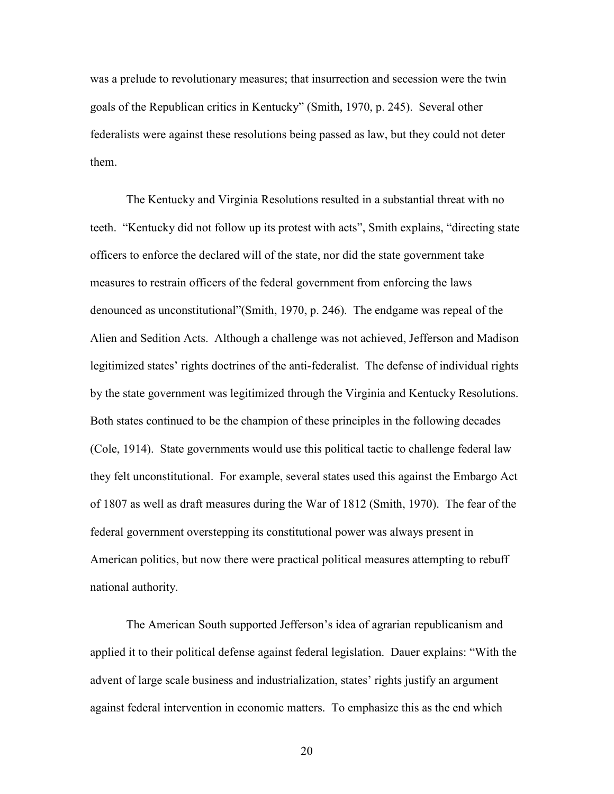was a prelude to revolutionary measures; that insurrection and secession were the twin goals of the Republican critics in Kentucky" (Smith, 1970, p. 245). Several other federalists were against these resolutions being passed as law, but they could not deter them.

The Kentucky and Virginia Resolutions resulted in a substantial threat with no teeth. "Kentucky did not follow up its protest with acts", Smith explains, "directing state officers to enforce the declared will of the state, nor did the state government take measures to restrain officers of the federal government from enforcing the laws denounced as unconstitutional"(Smith, 1970, p. 246). The endgame was repeal of the Alien and Sedition Acts. Although a challenge was not achieved, Jefferson and Madison legitimized states' rights doctrines of the anti-federalist. The defense of individual rights by the state government was legitimized through the Virginia and Kentucky Resolutions. Both states continued to be the champion of these principles in the following decades (Cole, 1914). State governments would use this political tactic to challenge federal law they felt unconstitutional. For example, several states used this against the Embargo Act of 1807 as well as draft measures during the War of 1812 (Smith, 1970). The fear of the federal government overstepping its constitutional power was always present in American politics, but now there were practical political measures attempting to rebuff national authority.

The American South supported Jefferson's idea of agrarian republicanism and applied it to their political defense against federal legislation. Dauer explains: "With the advent of large scale business and industrialization, states' rights justify an argument against federal intervention in economic matters. To emphasize this as the end which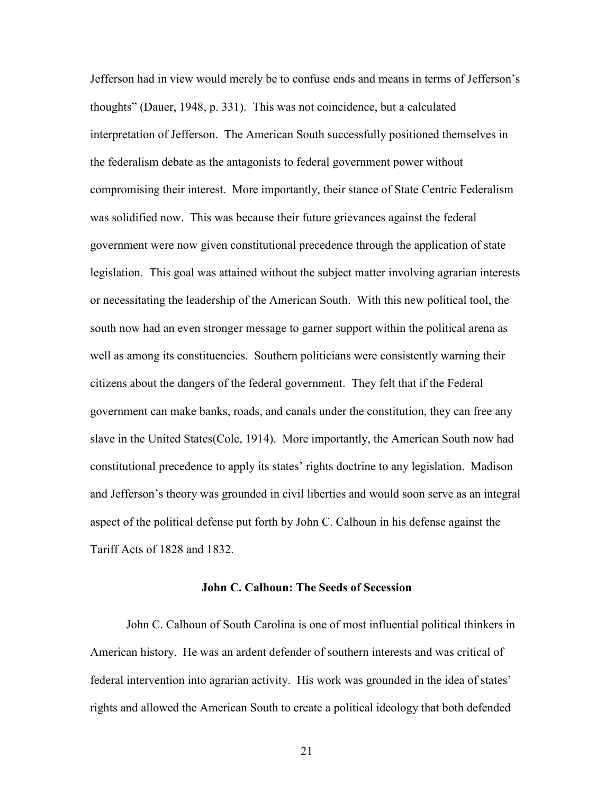Jefferson had in view would merely be to confuse ends and means in terms of Jefferson's thoughts" (Dauer, 1948, p. 331). This was not coincidence, but a calculated interpretation of Jefferson. The American South successfully positioned themselves in the federalism debate as the antagonists to federal government power without compromising their interest. More importantly, their stance of State Centric Federalism was solidified now. This was because their future grievances against the federal government were now given constitutional precedence through the application of state legislation. This goal was attained without the subject matter involving agrarian interests or necessitating the leadership of the American South. With this new political tool, the south now had an even stronger message to garner support within the political arena as well as among its constituencies. Southern politicians were consistently warning their citizens about the dangers of the federal government. They felt that if the Federal government can make banks, roads, and canals under the constitution, they can free any slave in the United States(Cole, 1914). More importantly, the American South now had constitutional precedence to apply its states' rights doctrine to any legislation. Madison and Jefferson's theory was grounded in civil liberties and would soon serve as an integral aspect of the political defense put forth by John C. Calhoun in his defense against the Tariff Acts of 1828 and 1832.

### **John C. Calhoun: The Seeds of Secession**

John C. Calhoun of South Carolina is one of most influential political thinkers in American history. He was an ardent defender of southern interests and was critical of federal intervention into agrarian activity. His work was grounded in the idea of states' rights and allowed the American South to create a political ideology that both defended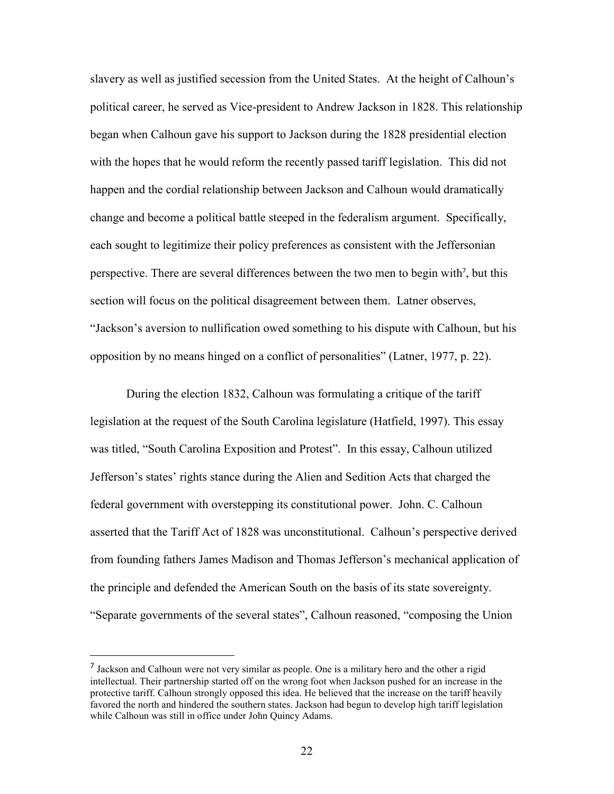slavery as well as justified secession from the United States. At the height of Calhoun's political career, he served as Vice-president to Andrew Jackson in 1828. This relationship began when Calhoun gave his support to Jackson during the 1828 presidential election with the hopes that he would reform the recently passed tariff legislation. This did not happen and the cordial relationship between Jackson and Calhoun would dramatically change and become a political battle steeped in the federalism argument. Specifically, each sought to legitimize their policy preferences as consistent with the Jeffersonian perspective. There are several differences between the two men to begin with<sup>7</sup>, but this section will focus on the political disagreement between them. Latner observes, "Jackson's aversion to nullification owed something to his dispute with Calhoun, but his opposition by no means hinged on a conflict of personalities" (Latner, 1977, p. 22).

During the election 1832, Calhoun was formulating a critique of the tariff legislation at the request of the South Carolina legislature (Hatfield, 1997). This essay was titled, "South Carolina Exposition and Protest". In this essay, Calhoun utilized Jefferson's states' rights stance during the Alien and Sedition Acts that charged the federal government with overstepping its constitutional power. John. C. Calhoun asserted that the Tariff Act of 1828 was unconstitutional. Calhoun's perspective derived from founding fathers James Madison and Thomas Jefferson's mechanical application of the principle and defended the American South on the basis of its state sovereignty. "Separate governments of the several states", Calhoun reasoned, "composing the Union

<sup>&</sup>lt;sup>7</sup> Jackson and Calhoun were not very similar as people. One is a military hero and the other a rigid intellectual. Their partnership started off on the wrong foot when Jackson pushed for an increase in the protective tariff. Calhoun strongly opposed this idea. He believed that the increase on the tariff heavily favored the north and hindered the southern states. Jackson had begun to develop high tariff legislation while Calhoun was still in office under John Quincy Adams.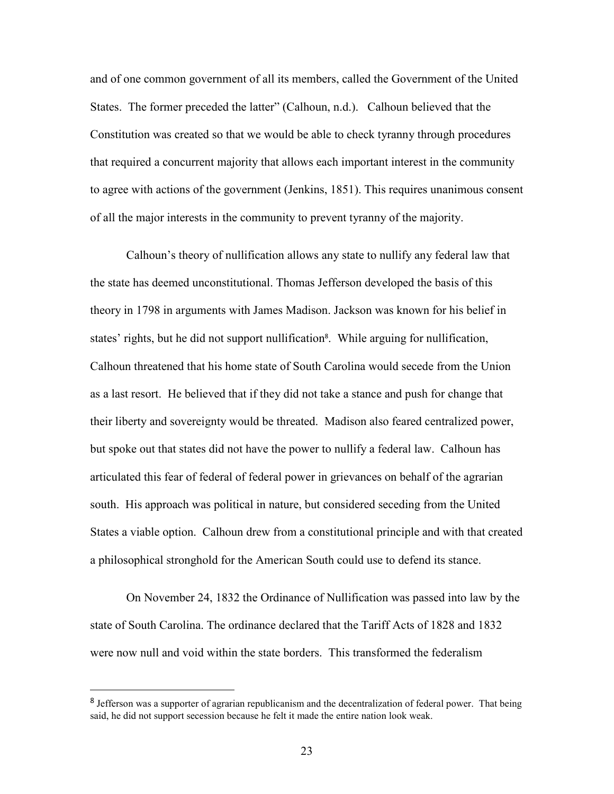and of one common government of all its members, called the Government of the United States. The former preceded the latter" (Calhoun, n.d.). Calhoun believed that the Constitution was created so that we would be able to check tyranny through procedures that required a concurrent majority that allows each important interest in the community to agree with actions of the government (Jenkins, 1851). This requires unanimous consent of all the major interests in the community to prevent tyranny of the majority.

Calhoun's theory of nullification allows any state to nullify any federal law that the state has deemed unconstitutional. Thomas Jefferson developed the basis of this theory in 1798 in arguments with James Madison. Jackson was known for his belief in states' rights, but he did not support nullification 8 . While arguing for nullification, Calhoun threatened that his home state of South Carolina would secede from the Union as a last resort. He believed that if they did not take a stance and push for change that their liberty and sovereignty would be threated. Madison also feared centralized power, but spoke out that states did not have the power to nullify a federal law. Calhoun has articulated this fear of federal of federal power in grievances on behalf of the agrarian south. His approach was political in nature, but considered seceding from the United States a viable option. Calhoun drew from a constitutional principle and with that created a philosophical stronghold for the American South could use to defend its stance.

On November 24, 1832 the Ordinance of Nullification was passed into law by the state of South Carolina. The ordinance declared that the Tariff Acts of 1828 and 1832 were now null and void within the state borders. This transformed the federalism

<sup>&</sup>lt;sup>8</sup> Jefferson was a supporter of agrarian republicanism and the decentralization of federal power. That being said, he did not support secession because he felt it made the entire nation look weak.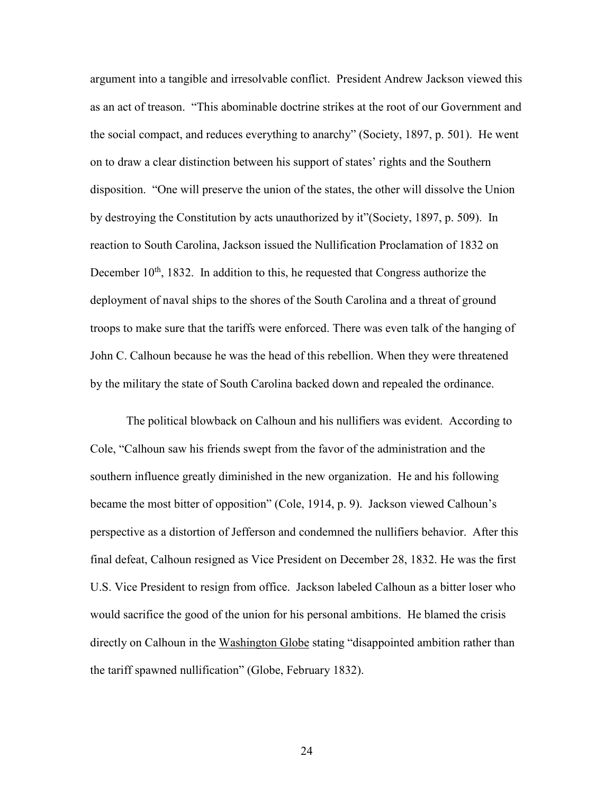argument into a tangible and irresolvable conflict. President Andrew Jackson viewed this as an act of treason. "This abominable doctrine strikes at the root of our Government and the social compact, and reduces everything to anarchy" (Society, 1897, p. 501). He went on to draw a clear distinction between his support of states' rights and the Southern disposition. "One will preserve the union of the states, the other will dissolve the Union by destroying the Constitution by acts unauthorized by it"(Society, 1897, p. 509). In reaction to South Carolina, Jackson issued the Nullification Proclamation of 1832 on December  $10<sup>th</sup>$ , 1832. In addition to this, he requested that Congress authorize the deployment of naval ships to the shores of the South Carolina and a threat of ground troops to make sure that the tariffs were enforced. There was even talk of the hanging of John C. Calhoun because he was the head of this rebellion. When they were threatened by the military the state of South Carolina backed down and repealed the ordinance.

The political blowback on Calhoun and his nullifiers was evident. According to Cole, "Calhoun saw his friends swept from the favor of the administration and the southern influence greatly diminished in the new organization. He and his following became the most bitter of opposition" (Cole, 1914, p. 9). Jackson viewed Calhoun's perspective as a distortion of Jefferson and condemned the nullifiers behavior. After this final defeat, Calhoun resigned as Vice President on December 28, 1832. He was the first U.S. Vice President to resign from office. Jackson labeled Calhoun as a bitter loser who would sacrifice the good of the union for his personal ambitions. He blamed the crisis directly on Calhoun in the Washington Globe stating "disappointed ambition rather than the tariff spawned nullification" (Globe, February 1832).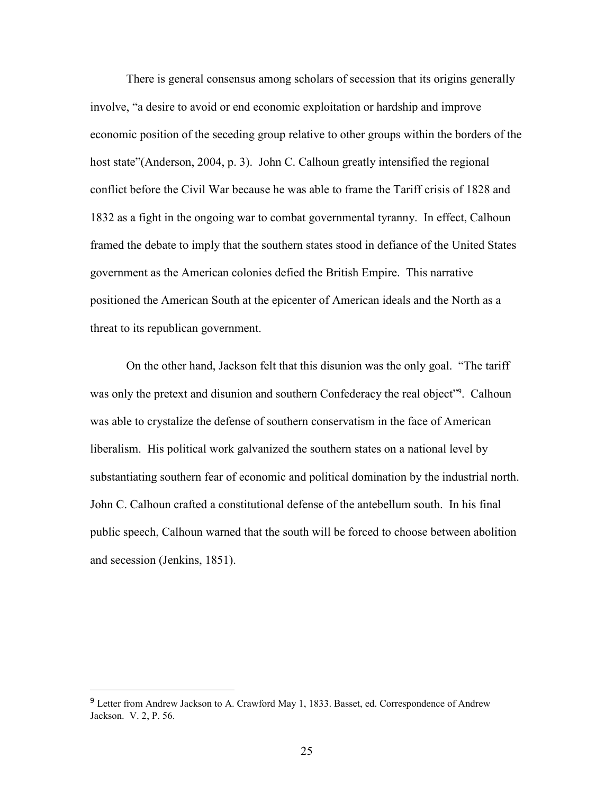There is general consensus among scholars of secession that its origins generally involve, "a desire to avoid or end economic exploitation or hardship and improve economic position of the seceding group relative to other groups within the borders of the host state"(Anderson, 2004, p. 3). John C. Calhoun greatly intensified the regional conflict before the Civil War because he was able to frame the Tariff crisis of 1828 and 1832 as a fight in the ongoing war to combat governmental tyranny. In effect, Calhoun framed the debate to imply that the southern states stood in defiance of the United States government as the American colonies defied the British Empire. This narrative positioned the American South at the epicenter of American ideals and the North as a threat to its republican government.

On the other hand, Jackson felt that this disunion was the only goal. "The tariff was only the pretext and disunion and southern Confederacy the real object"<sup>9</sup>. Calhoun was able to crystalize the defense of southern conservatism in the face of American liberalism. His political work galvanized the southern states on a national level by substantiating southern fear of economic and political domination by the industrial north. John C. Calhoun crafted a constitutional defense of the antebellum south. In his final public speech, Calhoun warned that the south will be forced to choose between abolition and secession (Jenkins, 1851).

<sup>&</sup>lt;sup>9</sup> Letter from Andrew Jackson to A. Crawford May 1, 1833. Basset, ed. Correspondence of Andrew Jackson. V. 2, P. 56.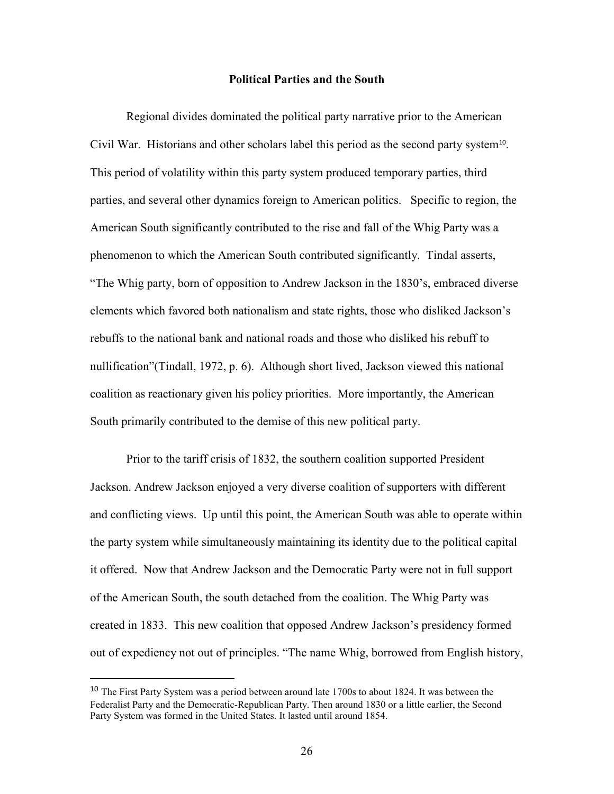#### **Political Parties and the South**

Regional divides dominated the political party narrative prior to the American Civil War. Historians and other scholars label this period as the second party system<sup>10</sup>. This period of volatility within this party system produced temporary parties, third parties, and several other dynamics foreign to American politics. Specific to region, the American South significantly contributed to the rise and fall of the Whig Party was a phenomenon to which the American South contributed significantly. Tindal asserts, "The Whig party, born of opposition to Andrew Jackson in the 1830's, embraced diverse elements which favored both nationalism and state rights, those who disliked Jackson's rebuffs to the national bank and national roads and those who disliked his rebuff to nullification"(Tindall, 1972, p. 6). Although short lived, Jackson viewed this national coalition as reactionary given his policy priorities. More importantly, the American South primarily contributed to the demise of this new political party.

Prior to the tariff crisis of 1832, the southern coalition supported President Jackson. Andrew Jackson enjoyed a very diverse coalition of supporters with different and conflicting views. Up until this point, the American South was able to operate within the party system while simultaneously maintaining its identity due to the political capital it offered. Now that Andrew Jackson and the Democratic Party were not in full support of the American South, the south detached from the coalition. The Whig Party was created in 1833. This new coalition that opposed Andrew Jackson's presidency formed out of expediency not out of principles. "The name Whig, borrowed from English history,

l

<sup>&</sup>lt;sup>10</sup> The First Party System was a period between around late 1700s to about 1824. It was between the Federalist Party and the Democratic-Republican Party. Then around 1830 or a little earlier, the Second Party System was formed in the United States. It lasted until around 1854.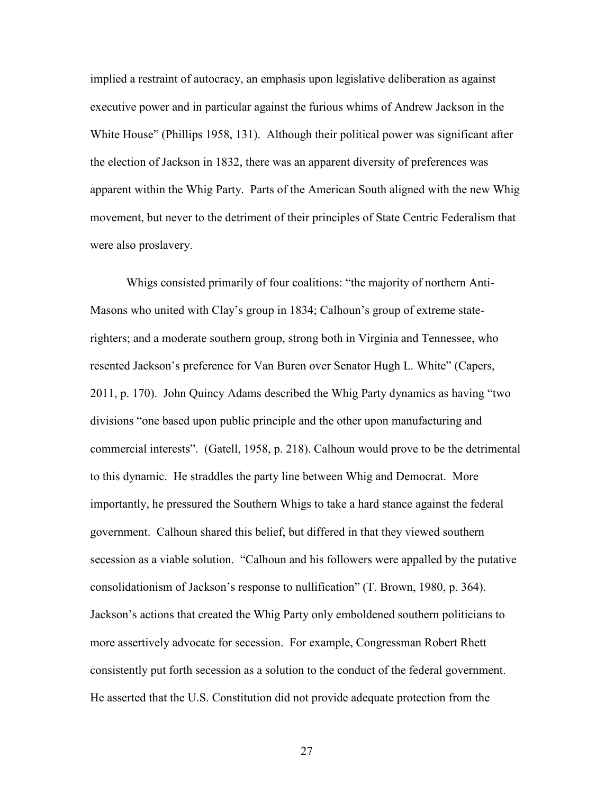implied a restraint of autocracy, an emphasis upon legislative deliberation as against executive power and in particular against the furious whims of Andrew Jackson in the White House" (Phillips 1958, 131). Although their political power was significant after the election of Jackson in 1832, there was an apparent diversity of preferences was apparent within the Whig Party. Parts of the American South aligned with the new Whig movement, but never to the detriment of their principles of State Centric Federalism that were also proslavery.

Whigs consisted primarily of four coalitions: "the majority of northern Anti-Masons who united with Clay's group in 1834; Calhoun's group of extreme staterighters; and a moderate southern group, strong both in Virginia and Tennessee, who resented Jackson's preference for Van Buren over Senator Hugh L. White" (Capers, 2011, p. 170). John Quincy Adams described the Whig Party dynamics as having "two divisions "one based upon public principle and the other upon manufacturing and commercial interests". (Gatell, 1958, p. 218). Calhoun would prove to be the detrimental to this dynamic. He straddles the party line between Whig and Democrat. More importantly, he pressured the Southern Whigs to take a hard stance against the federal government. Calhoun shared this belief, but differed in that they viewed southern secession as a viable solution. "Calhoun and his followers were appalled by the putative consolidationism of Jackson's response to nullification" (T. Brown, 1980, p. 364). Jackson's actions that created the Whig Party only emboldened southern politicians to more assertively advocate for secession. For example, Congressman Robert Rhett consistently put forth secession as a solution to the conduct of the federal government. He asserted that the U.S. Constitution did not provide adequate protection from the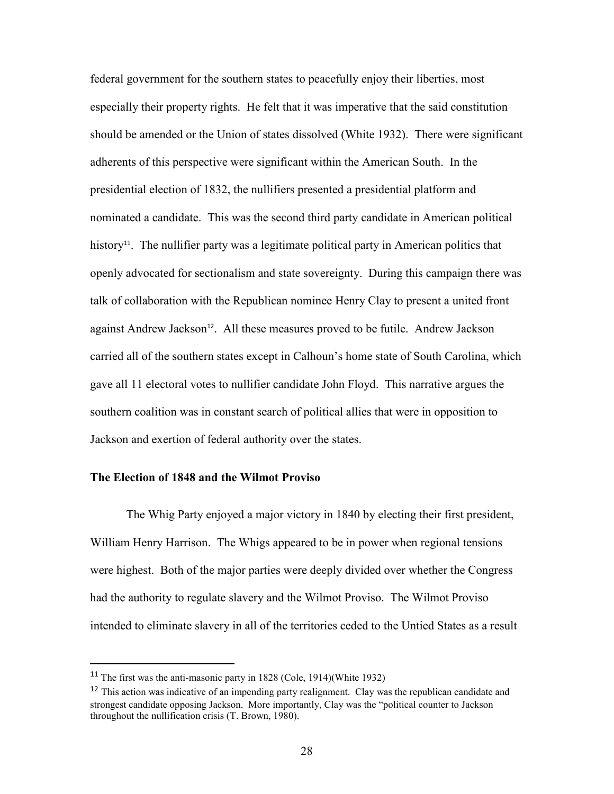federal government for the southern states to peacefully enjoy their liberties, most especially their property rights. He felt that it was imperative that the said constitution should be amended or the Union of states dissolved (White 1932). There were significant adherents of this perspective were significant within the American South. In the presidential election of 1832, the nullifiers presented a presidential platform and nominated a candidate. This was the second third party candidate in American political history<sup>11</sup>. The nullifier party was a legitimate political party in American politics that openly advocated for sectionalism and state sovereignty. During this campaign there was talk of collaboration with the Republican nominee Henry Clay to present a united front against Andrew Jackson<sup>12</sup>. All these measures proved to be futile. Andrew Jackson carried all of the southern states except in Calhoun's home state of South Carolina, which gave all 11 electoral votes to nullifier candidate John Floyd. This narrative argues the southern coalition was in constant search of political allies that were in opposition to Jackson and exertion of federal authority over the states.

#### **The Election of 1848 and the Wilmot Proviso**

The Whig Party enjoyed a major victory in 1840 by electing their first president, William Henry Harrison. The Whigs appeared to be in power when regional tensions were highest. Both of the major parties were deeply divided over whether the Congress had the authority to regulate slavery and the Wilmot Proviso. The Wilmot Proviso intended to eliminate slavery in all of the territories ceded to the Untied States as a result

l

<sup>11</sup> The first was the anti-masonic party in 1828 (Cole, 1914)(White 1932)

<sup>&</sup>lt;sup>12</sup> This action was indicative of an impending party realignment. Clay was the republican candidate and strongest candidate opposing Jackson. More importantly, Clay was the "political counter to Jackson throughout the nullification crisis (T. Brown, 1980).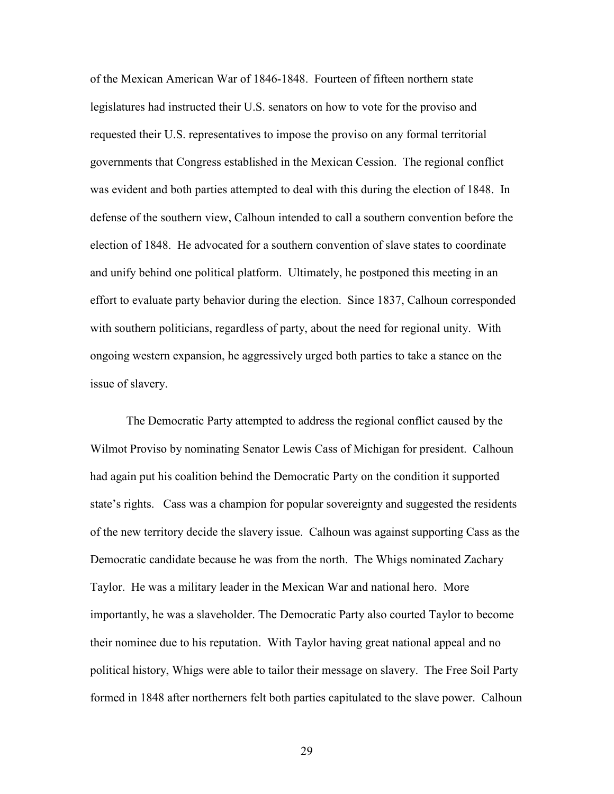of the Mexican American War of 1846-1848. Fourteen of fifteen northern state legislatures had instructed their U.S. senators on how to vote for the proviso and requested their U.S. representatives to impose the proviso on any formal territorial governments that Congress established in the Mexican Cession. The regional conflict was evident and both parties attempted to deal with this during the election of 1848. In defense of the southern view, Calhoun intended to call a southern convention before the election of 1848. He advocated for a southern convention of slave states to coordinate and unify behind one political platform. Ultimately, he postponed this meeting in an effort to evaluate party behavior during the election. Since 1837, Calhoun corresponded with southern politicians, regardless of party, about the need for regional unity. With ongoing western expansion, he aggressively urged both parties to take a stance on the issue of slavery.

The Democratic Party attempted to address the regional conflict caused by the Wilmot Proviso by nominating Senator Lewis Cass of Michigan for president. Calhoun had again put his coalition behind the Democratic Party on the condition it supported state's rights. Cass was a champion for popular sovereignty and suggested the residents of the new territory decide the slavery issue. Calhoun was against supporting Cass as the Democratic candidate because he was from the north. The Whigs nominated Zachary Taylor. He was a military leader in the Mexican War and national hero. More importantly, he was a slaveholder. The Democratic Party also courted Taylor to become their nominee due to his reputation. With Taylor having great national appeal and no political history, Whigs were able to tailor their message on slavery. The Free Soil Party formed in 1848 after northerners felt both parties capitulated to the slave power. Calhoun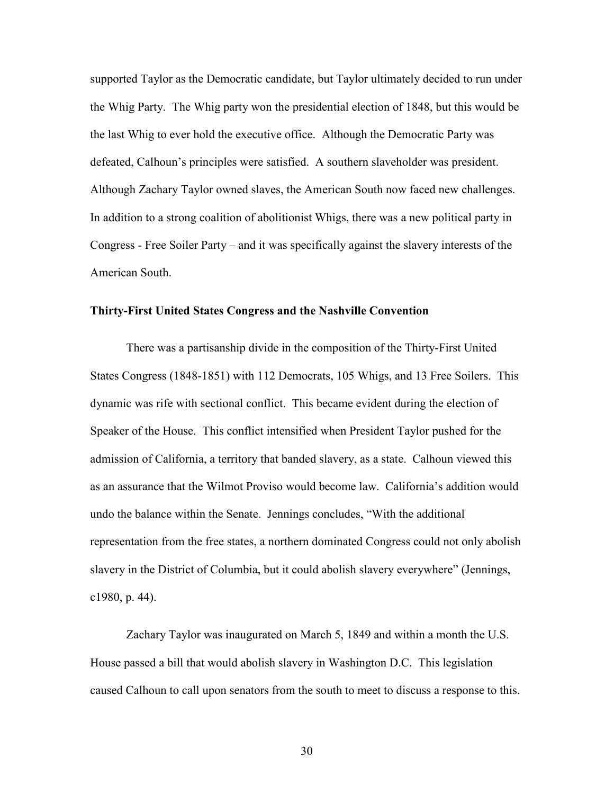supported Taylor as the Democratic candidate, but Taylor ultimately decided to run under the Whig Party. The Whig party won the presidential election of 1848, but this would be the last Whig to ever hold the executive office. Although the Democratic Party was defeated, Calhoun's principles were satisfied. A southern slaveholder was president. Although Zachary Taylor owned slaves, the American South now faced new challenges. In addition to a strong coalition of abolitionist Whigs, there was a new political party in Congress - Free Soiler Party – and it was specifically against the slavery interests of the American South.

#### **Thirty-First United States Congress and the Nashville Convention**

 There was a partisanship divide in the composition of the Thirty-First United States Congress (1848-1851) with 112 Democrats, 105 Whigs, and 13 Free Soilers. This dynamic was rife with sectional conflict. This became evident during the election of Speaker of the House. This conflict intensified when President Taylor pushed for the admission of California, a territory that banded slavery, as a state. Calhoun viewed this as an assurance that the Wilmot Proviso would become law. California's addition would undo the balance within the Senate. Jennings concludes, "With the additional representation from the free states, a northern dominated Congress could not only abolish slavery in the District of Columbia, but it could abolish slavery everywhere" (Jennings, c1980, p. 44).

Zachary Taylor was inaugurated on March 5, 1849 and within a month the U.S. House passed a bill that would abolish slavery in Washington D.C. This legislation caused Calhoun to call upon senators from the south to meet to discuss a response to this.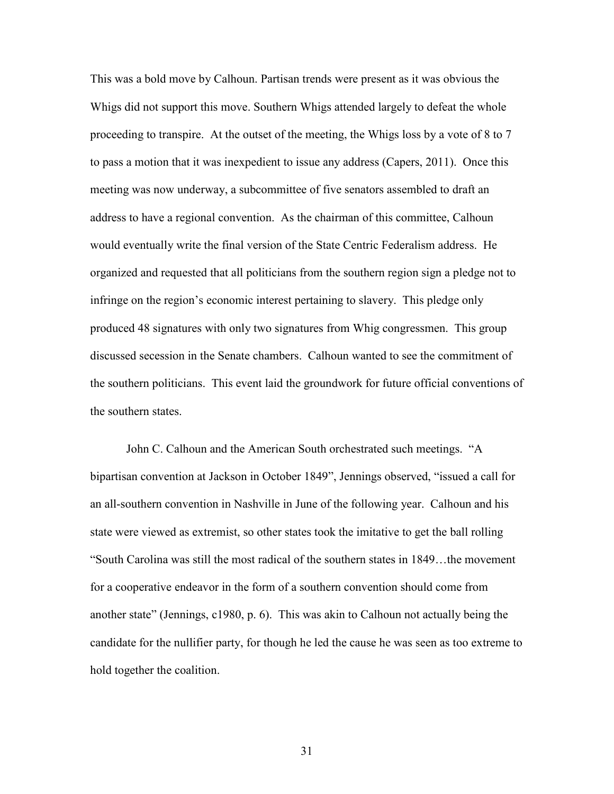This was a bold move by Calhoun. Partisan trends were present as it was obvious the Whigs did not support this move. Southern Whigs attended largely to defeat the whole proceeding to transpire. At the outset of the meeting, the Whigs loss by a vote of 8 to 7 to pass a motion that it was inexpedient to issue any address (Capers, 2011). Once this meeting was now underway, a subcommittee of five senators assembled to draft an address to have a regional convention. As the chairman of this committee, Calhoun would eventually write the final version of the State Centric Federalism address. He organized and requested that all politicians from the southern region sign a pledge not to infringe on the region's economic interest pertaining to slavery. This pledge only produced 48 signatures with only two signatures from Whig congressmen. This group discussed secession in the Senate chambers. Calhoun wanted to see the commitment of the southern politicians. This event laid the groundwork for future official conventions of the southern states.

John C. Calhoun and the American South orchestrated such meetings. "A bipartisan convention at Jackson in October 1849", Jennings observed, "issued a call for an all-southern convention in Nashville in June of the following year. Calhoun and his state were viewed as extremist, so other states took the imitative to get the ball rolling "South Carolina was still the most radical of the southern states in 1849…the movement for a cooperative endeavor in the form of a southern convention should come from another state" (Jennings, c1980, p. 6). This was akin to Calhoun not actually being the candidate for the nullifier party, for though he led the cause he was seen as too extreme to hold together the coalition.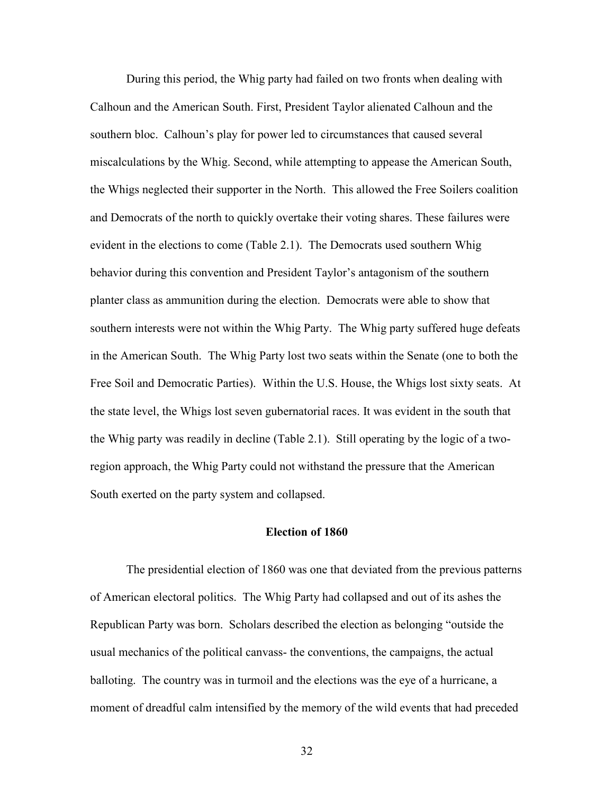During this period, the Whig party had failed on two fronts when dealing with Calhoun and the American South. First, President Taylor alienated Calhoun and the southern bloc. Calhoun's play for power led to circumstances that caused several miscalculations by the Whig. Second, while attempting to appease the American South, the Whigs neglected their supporter in the North. This allowed the Free Soilers coalition and Democrats of the north to quickly overtake their voting shares. These failures were evident in the elections to come (Table 2.1). The Democrats used southern Whig behavior during this convention and President Taylor's antagonism of the southern planter class as ammunition during the election. Democrats were able to show that southern interests were not within the Whig Party. The Whig party suffered huge defeats in the American South. The Whig Party lost two seats within the Senate (one to both the Free Soil and Democratic Parties). Within the U.S. House, the Whigs lost sixty seats. At the state level, the Whigs lost seven gubernatorial races. It was evident in the south that the Whig party was readily in decline (Table 2.1). Still operating by the logic of a tworegion approach, the Whig Party could not withstand the pressure that the American South exerted on the party system and collapsed.

#### **Election of 1860**

The presidential election of 1860 was one that deviated from the previous patterns of American electoral politics. The Whig Party had collapsed and out of its ashes the Republican Party was born. Scholars described the election as belonging "outside the usual mechanics of the political canvass- the conventions, the campaigns, the actual balloting. The country was in turmoil and the elections was the eye of a hurricane, a moment of dreadful calm intensified by the memory of the wild events that had preceded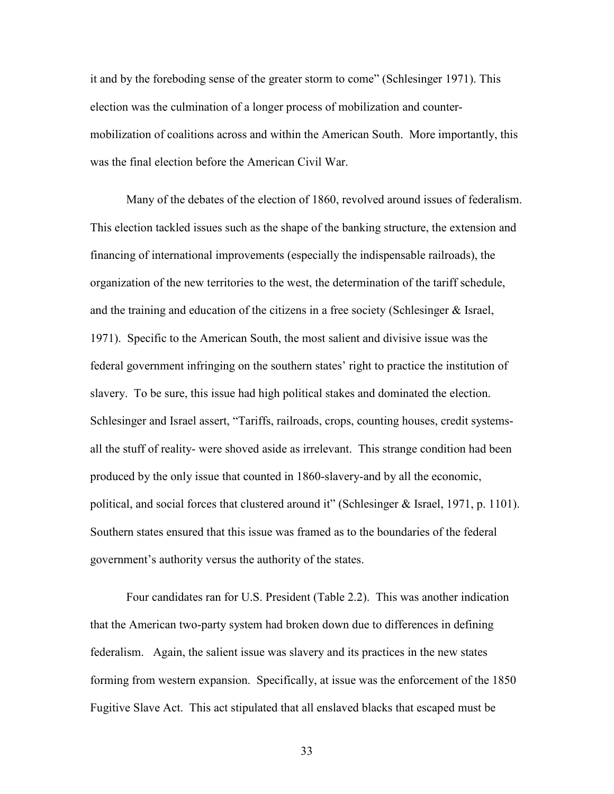it and by the foreboding sense of the greater storm to come" (Schlesinger 1971). This election was the culmination of a longer process of mobilization and countermobilization of coalitions across and within the American South. More importantly, this was the final election before the American Civil War.

Many of the debates of the election of 1860, revolved around issues of federalism. This election tackled issues such as the shape of the banking structure, the extension and financing of international improvements (especially the indispensable railroads), the organization of the new territories to the west, the determination of the tariff schedule, and the training and education of the citizens in a free society (Schlesinger & Israel, 1971). Specific to the American South, the most salient and divisive issue was the federal government infringing on the southern states' right to practice the institution of slavery. To be sure, this issue had high political stakes and dominated the election. Schlesinger and Israel assert, "Tariffs, railroads, crops, counting houses, credit systemsall the stuff of reality- were shoved aside as irrelevant. This strange condition had been produced by the only issue that counted in 1860-slavery-and by all the economic, political, and social forces that clustered around it" (Schlesinger  $\&$  Israel, 1971, p. 1101). Southern states ensured that this issue was framed as to the boundaries of the federal government's authority versus the authority of the states.

Four candidates ran for U.S. President (Table 2.2). This was another indication that the American two-party system had broken down due to differences in defining federalism. Again, the salient issue was slavery and its practices in the new states forming from western expansion. Specifically, at issue was the enforcement of the 1850 Fugitive Slave Act. This act stipulated that all enslaved blacks that escaped must be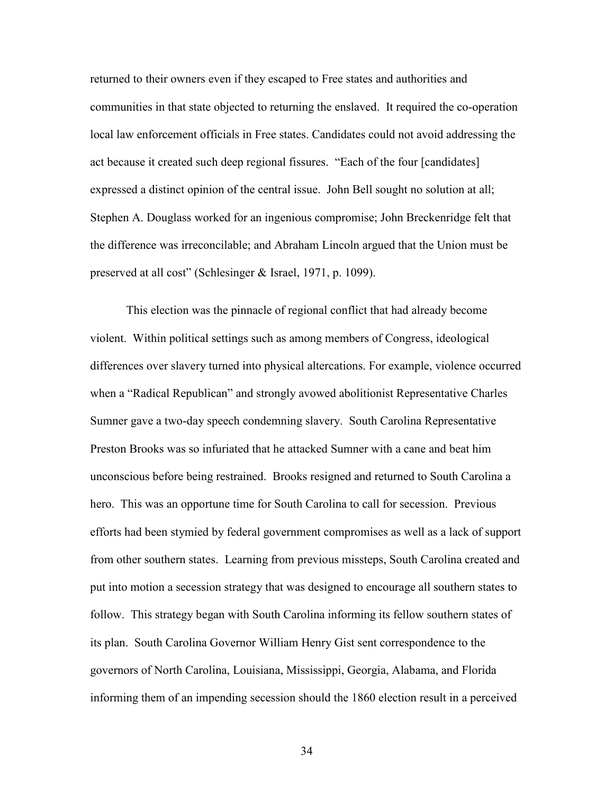returned to their owners even if they escaped to Free states and authorities and communities in that state objected to returning the enslaved. It required the co-operation local law enforcement officials in Free states. Candidates could not avoid addressing the act because it created such deep regional fissures. "Each of the four [candidates] expressed a distinct opinion of the central issue. John Bell sought no solution at all; Stephen A. Douglass worked for an ingenious compromise; John Breckenridge felt that the difference was irreconcilable; and Abraham Lincoln argued that the Union must be preserved at all cost" (Schlesinger & Israel, 1971, p. 1099).

This election was the pinnacle of regional conflict that had already become violent. Within political settings such as among members of Congress, ideological differences over slavery turned into physical altercations. For example, violence occurred when a "Radical Republican" and strongly avowed abolitionist Representative Charles Sumner gave a two-day speech condemning slavery. South Carolina Representative Preston Brooks was so infuriated that he attacked Sumner with a cane and beat him unconscious before being restrained. Brooks resigned and returned to South Carolina a hero. This was an opportune time for South Carolina to call for secession. Previous efforts had been stymied by federal government compromises as well as a lack of support from other southern states. Learning from previous missteps, South Carolina created and put into motion a secession strategy that was designed to encourage all southern states to follow. This strategy began with South Carolina informing its fellow southern states of its plan. South Carolina Governor William Henry Gist sent correspondence to the governors of North Carolina, Louisiana, Mississippi, Georgia, Alabama, and Florida informing them of an impending secession should the 1860 election result in a perceived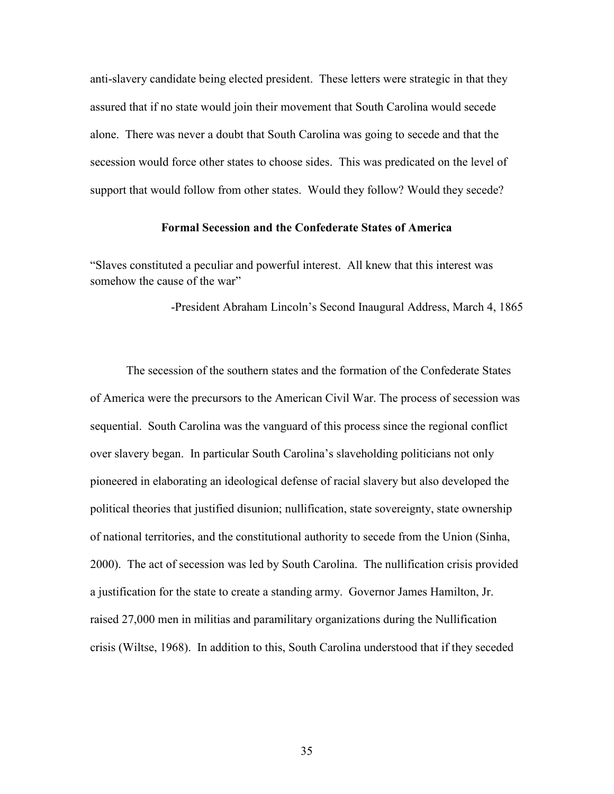anti-slavery candidate being elected president. These letters were strategic in that they assured that if no state would join their movement that South Carolina would secede alone. There was never a doubt that South Carolina was going to secede and that the secession would force other states to choose sides. This was predicated on the level of support that would follow from other states. Would they follow? Would they secede?

#### **Formal Secession and the Confederate States of America**

"Slaves constituted a peculiar and powerful interest. All knew that this interest was somehow the cause of the war"

-President Abraham Lincoln's Second Inaugural Address, March 4, 1865

The secession of the southern states and the formation of the Confederate States of America were the precursors to the American Civil War. The process of secession was sequential. South Carolina was the vanguard of this process since the regional conflict over slavery began. In particular South Carolina's slaveholding politicians not only pioneered in elaborating an ideological defense of racial slavery but also developed the political theories that justified disunion; nullification, state sovereignty, state ownership of national territories, and the constitutional authority to secede from the Union (Sinha, 2000). The act of secession was led by South Carolina. The nullification crisis provided a justification for the state to create a standing army. Governor James Hamilton, Jr. raised 27,000 men in militias and paramilitary organizations during the Nullification crisis (Wiltse, 1968). In addition to this, South Carolina understood that if they seceded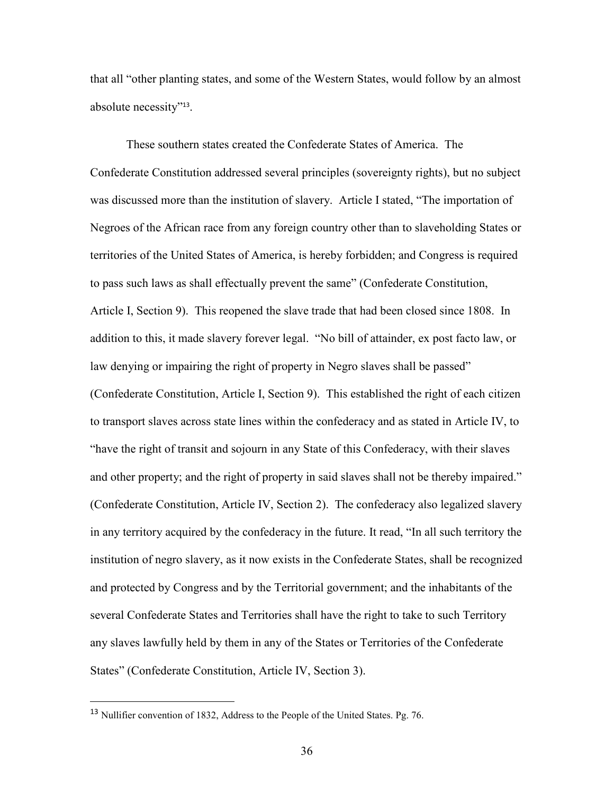that all "other planting states, and some of the Western States, would follow by an almost absolute necessity"<sup>13</sup> .

These southern states created the Confederate States of America. The Confederate Constitution addressed several principles (sovereignty rights), but no subject was discussed more than the institution of slavery. Article I stated, "The importation of Negroes of the African race from any foreign country other than to slaveholding States or territories of the United States of America, is hereby forbidden; and Congress is required to pass such laws as shall effectually prevent the same" (Confederate Constitution, Article I, Section 9). This reopened the slave trade that had been closed since 1808. In addition to this, it made slavery forever legal. "No bill of attainder, ex post facto law, or law denying or impairing the right of property in Negro slaves shall be passed" (Confederate Constitution, Article I, Section 9). This established the right of each citizen to transport slaves across state lines within the confederacy and as stated in Article IV, to "have the right of transit and sojourn in any State of this Confederacy, with their slaves and other property; and the right of property in said slaves shall not be thereby impaired." (Confederate Constitution, Article IV, Section 2). The confederacy also legalized slavery in any territory acquired by the confederacy in the future. It read, "In all such territory the institution of negro slavery, as it now exists in the Confederate States, shall be recognized and protected by Congress and by the Territorial government; and the inhabitants of the several Confederate States and Territories shall have the right to take to such Territory any slaves lawfully held by them in any of the States or Territories of the Confederate States" (Confederate Constitution, Article IV, Section 3).

 $\overline{a}$ 

<sup>13</sup> Nullifier convention of 1832, Address to the People of the United States. Pg. 76.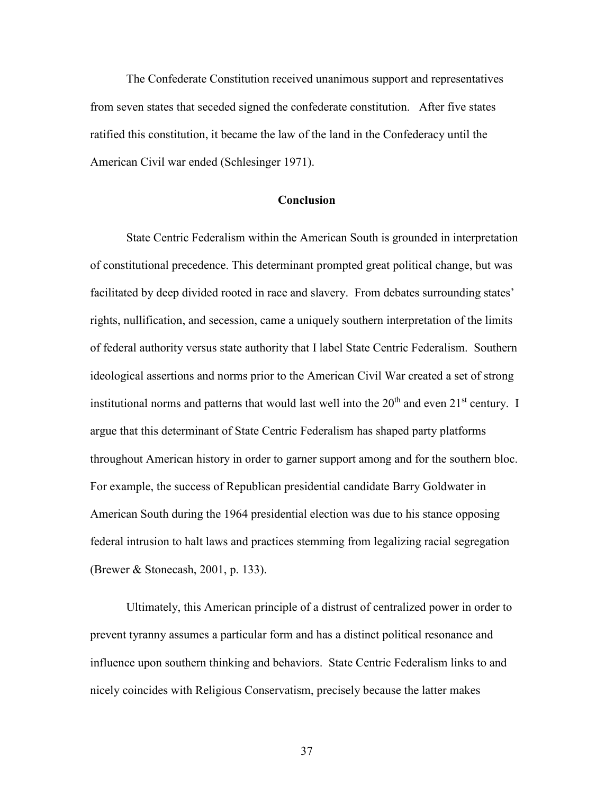The Confederate Constitution received unanimous support and representatives from seven states that seceded signed the confederate constitution. After five states ratified this constitution, it became the law of the land in the Confederacy until the American Civil war ended (Schlesinger 1971).

## **Conclusion**

State Centric Federalism within the American South is grounded in interpretation of constitutional precedence. This determinant prompted great political change, but was facilitated by deep divided rooted in race and slavery. From debates surrounding states' rights, nullification, and secession, came a uniquely southern interpretation of the limits of federal authority versus state authority that I label State Centric Federalism. Southern ideological assertions and norms prior to the American Civil War created a set of strong institutional norms and patterns that would last well into the  $20<sup>th</sup>$  and even  $21<sup>st</sup>$  century. I argue that this determinant of State Centric Federalism has shaped party platforms throughout American history in order to garner support among and for the southern bloc. For example, the success of Republican presidential candidate Barry Goldwater in American South during the 1964 presidential election was due to his stance opposing federal intrusion to halt laws and practices stemming from legalizing racial segregation (Brewer & Stonecash, 2001, p. 133).

Ultimately, this American principle of a distrust of centralized power in order to prevent tyranny assumes a particular form and has a distinct political resonance and influence upon southern thinking and behaviors. State Centric Federalism links to and nicely coincides with Religious Conservatism, precisely because the latter makes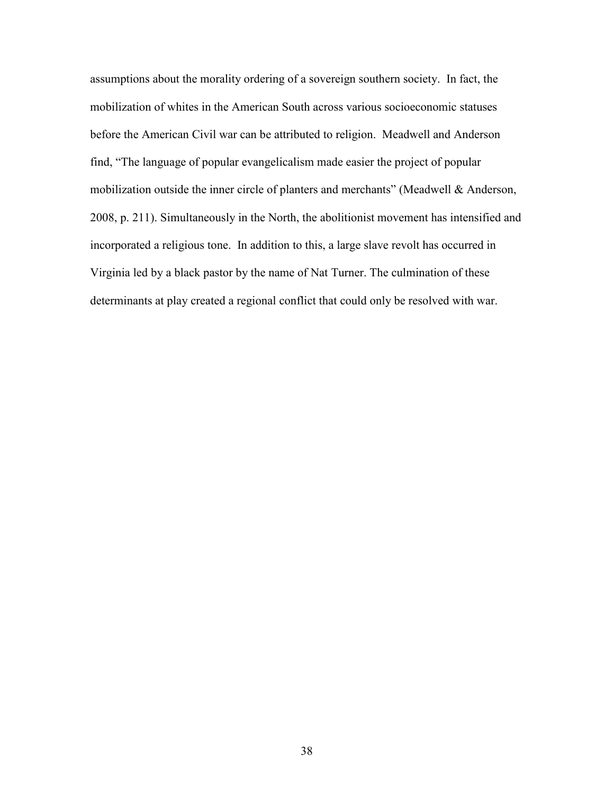assumptions about the morality ordering of a sovereign southern society. In fact, the mobilization of whites in the American South across various socioeconomic statuses before the American Civil war can be attributed to religion. Meadwell and Anderson find, "The language of popular evangelicalism made easier the project of popular mobilization outside the inner circle of planters and merchants" (Meadwell & Anderson, 2008, p. 211). Simultaneously in the North, the abolitionist movement has intensified and incorporated a religious tone. In addition to this, a large slave revolt has occurred in Virginia led by a black pastor by the name of Nat Turner. The culmination of these determinants at play created a regional conflict that could only be resolved with war.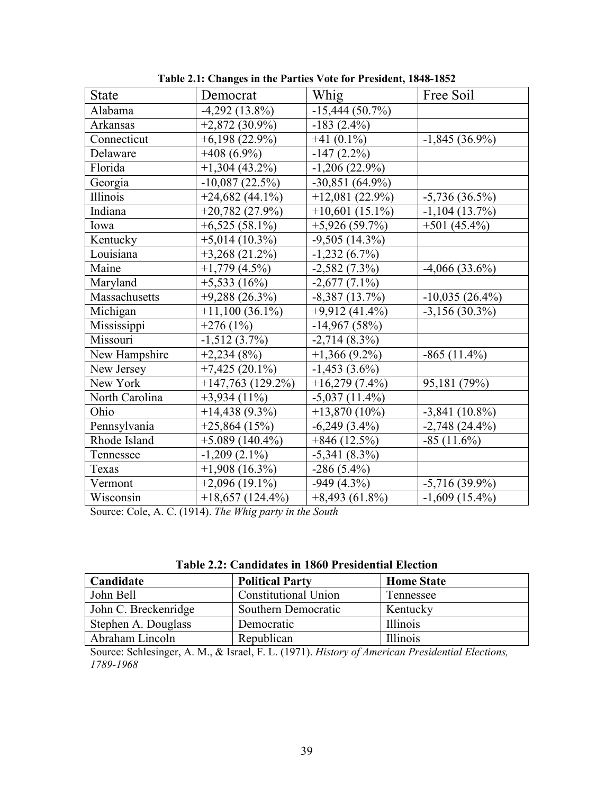| <b>State</b>   | Democrat            | Whig              | Free Soil         |
|----------------|---------------------|-------------------|-------------------|
| Alabama        | $-4,292$ (13.8%)    | $-15,444(50.7%)$  |                   |
| Arkansas       | $+2,872(30.9\%)$    | $-183(2.4\%)$     |                   |
| Connecticut    | $+6,198(22.9\%)$    | $+41(0.1\%)$      | $-1,845(36.9\%)$  |
| Delaware       | $+408(6.9\%)$       | $-147(2.2\%)$     |                   |
| Florida        | $+1,304(43.2\%)$    | $-1,206(22.9\%)$  |                   |
| Georgia        | $-10,087(22.5%)$    | $-30,851(64.9\%)$ |                   |
| Illinois       | $+24,682(44.1\%)$   | $+12,081(22.9\%)$ | $-5,736(36.5\%)$  |
| Indiana        | $+20,782(27.9%)$    | $+10,601(15.1\%)$ | $-1,104(13.7%)$   |
| Iowa           | $+6,525(58.1\%)$    | $+5,926(59.7%)$   | $+501(45.4\%)$    |
| Kentucky       | $+5,014(10.3\%)$    | $-9,505(14.3\%)$  |                   |
| Louisiana      | $+3,268(21.2\%)$    | $-1,232(6.7\%)$   |                   |
| Maine          | $+1,779$ (4.5%)     | $-2,582(7.3\%)$   | $-4,066(33.6\%)$  |
| Maryland       | $+5,533(16%)$       | $-2,677(7.1\%)$   |                   |
| Massachusetts  | $+9,288(26.3\%)$    | $-8,387(13.7%)$   | $-10,035(26.4\%)$ |
| Michigan       | $+11,100(36.1\%)$   | $+9,912(41.4\%)$  | $-3,156(30.3\%)$  |
| Mississippi    | $+276(1%)$          | $-14,967(58%)$    |                   |
| Missouri       | $-1,512(3.7\%)$     | $-2,714(8.3\%)$   |                   |
| New Hampshire  | $+2,234(8%)$        | $+1,366(9.2\%)$   | $-865(11.4\%)$    |
| New Jersey     | $+7,425(20.1\%)$    | $-1,453(3.6\%)$   |                   |
| New York       | $+147,763$ (129.2%) | $+16,279(7.4\%)$  | 95,181 (79%)      |
| North Carolina | $+3,934(11\%)$      | $-5,037(11.4\%)$  |                   |
| Ohio           | $+14,438(9.3\%)$    | $+13,870(10\%)$   | $-3,841$ (10.8%)  |
| Pennsylvania   | $+25,864(15%)$      | $-6,249(3.4\%)$   | $-2,748(24.4\%)$  |
| Rhode Island   | $+5.089(140.4\%)$   | $+846(12.5%)$     | $-85(11.6%)$      |
| Tennessee      | $-1,209(2.1\%)$     | $-5,341(8.3\%)$   |                   |
| Texas          | $+1,908(16.3\%)$    | $-286(5.4\%)$     |                   |
| Vermont        | $+2,096(19.1\%)$    | $-949(4.3\%)$     | $-5,716(39.9\%)$  |
| Wisconsin      | $+18,657(124.4\%)$  | $+8,493(61.8\%)$  | $-1,609$ (15.4%)  |

**Table 2.1: Changes in the Parties Vote for President, 1848-1852**

Source: Cole, A. C. (1914). *The Whig party in the South*

| Candidate            | <b>Political Party</b>      | <b>Home State</b> |
|----------------------|-----------------------------|-------------------|
| John Bell            | <b>Constitutional Union</b> | Tennessee         |
| John C. Breckenridge | Southern Democratic         | Kentucky          |
| Stephen A. Douglass  | Democratic                  | Illinois          |
| Abraham Lincoln      | Republican                  | Illinois          |

Source: Schlesinger, A. M., & Israel, F. L. (1971). *History of American Presidential Elections, 1789-1968*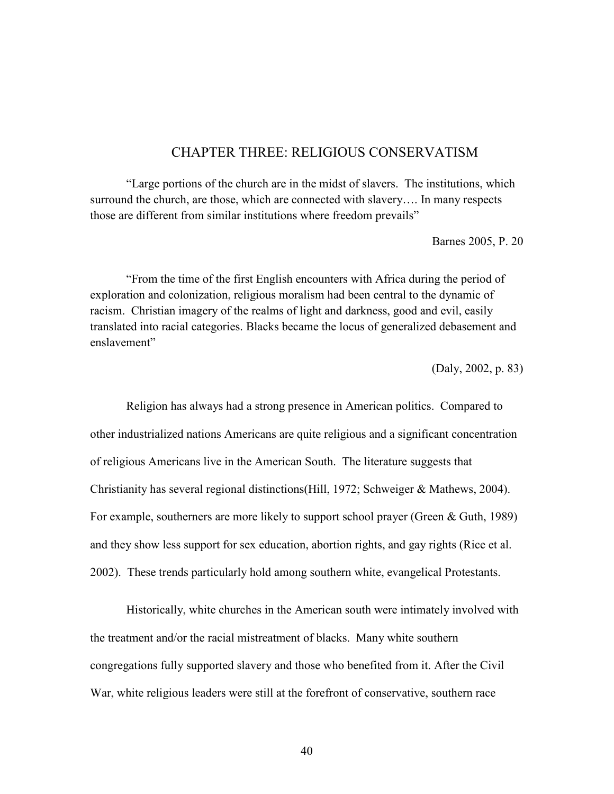# CHAPTER THREE: RELIGIOUS CONSERVATISM

"Large portions of the church are in the midst of slavers. The institutions, which surround the church, are those, which are connected with slavery…. In many respects those are different from similar institutions where freedom prevails"

Barnes 2005, P. 20

"From the time of the first English encounters with Africa during the period of exploration and colonization, religious moralism had been central to the dynamic of racism. Christian imagery of the realms of light and darkness, good and evil, easily translated into racial categories. Blacks became the locus of generalized debasement and enslavement"

(Daly, 2002, p. 83)

Religion has always had a strong presence in American politics. Compared to other industrialized nations Americans are quite religious and a significant concentration of religious Americans live in the American South. The literature suggests that Christianity has several regional distinctions(Hill, 1972; Schweiger & Mathews, 2004). For example, southerners are more likely to support school prayer (Green & Guth, 1989) and they show less support for sex education, abortion rights, and gay rights (Rice et al. 2002). These trends particularly hold among southern white, evangelical Protestants.

Historically, white churches in the American south were intimately involved with the treatment and/or the racial mistreatment of blacks. Many white southern congregations fully supported slavery and those who benefited from it. After the Civil War, white religious leaders were still at the forefront of conservative, southern race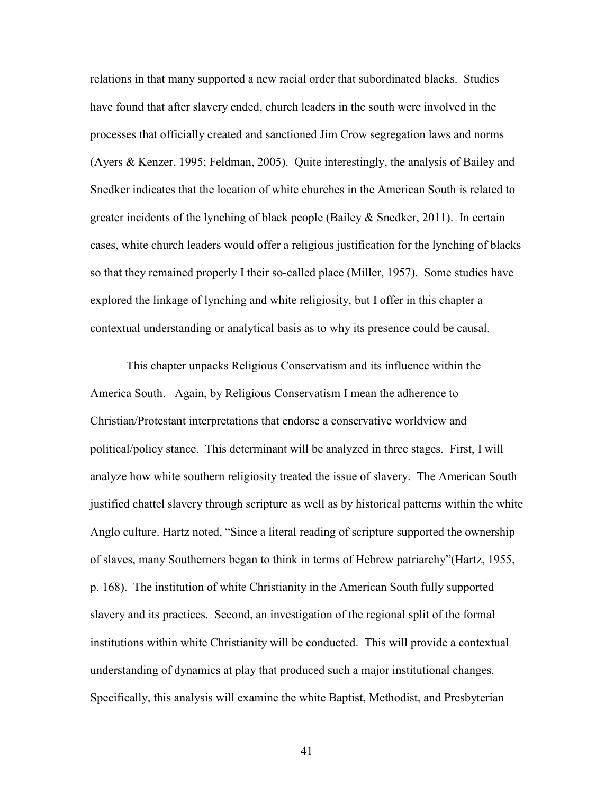relations in that many supported a new racial order that subordinated blacks. Studies have found that after slavery ended, church leaders in the south were involved in the processes that officially created and sanctioned Jim Crow segregation laws and norms (Ayers & Kenzer, 1995; Feldman, 2005). Quite interestingly, the analysis of Bailey and Snedker indicates that the location of white churches in the American South is related to greater incidents of the lynching of black people (Bailey & Snedker, 2011). In certain cases, white church leaders would offer a religious justification for the lynching of blacks so that they remained properly I their so-called place (Miller, 1957). Some studies have explored the linkage of lynching and white religiosity, but I offer in this chapter a contextual understanding or analytical basis as to why its presence could be causal.

This chapter unpacks Religious Conservatism and its influence within the America South. Again, by Religious Conservatism I mean the adherence to Christian/Protestant interpretations that endorse a conservative worldview and political/policy stance. This determinant will be analyzed in three stages. First, I will analyze how white southern religiosity treated the issue of slavery. The American South justified chattel slavery through scripture as well as by historical patterns within the white Anglo culture. Hartz noted, "Since a literal reading of scripture supported the ownership of slaves, many Southerners began to think in terms of Hebrew patriarchy"(Hartz, 1955, p. 168). The institution of white Christianity in the American South fully supported slavery and its practices. Second, an investigation of the regional split of the formal institutions within white Christianity will be conducted. This will provide a contextual understanding of dynamics at play that produced such a major institutional changes. Specifically, this analysis will examine the white Baptist, Methodist, and Presbyterian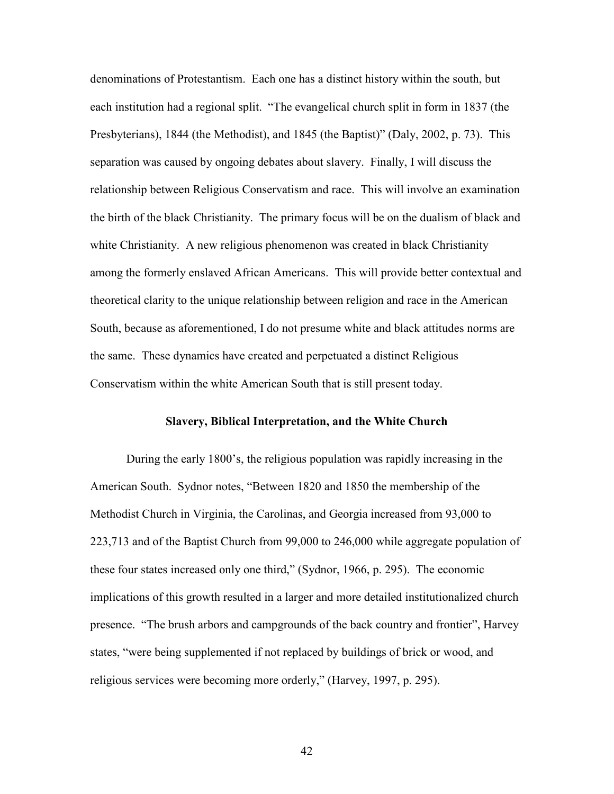denominations of Protestantism. Each one has a distinct history within the south, but each institution had a regional split. "The evangelical church split in form in 1837 (the Presbyterians), 1844 (the Methodist), and 1845 (the Baptist)" (Daly, 2002, p. 73). This separation was caused by ongoing debates about slavery. Finally, I will discuss the relationship between Religious Conservatism and race. This will involve an examination the birth of the black Christianity. The primary focus will be on the dualism of black and white Christianity. A new religious phenomenon was created in black Christianity among the formerly enslaved African Americans. This will provide better contextual and theoretical clarity to the unique relationship between religion and race in the American South, because as aforementioned, I do not presume white and black attitudes norms are the same. These dynamics have created and perpetuated a distinct Religious Conservatism within the white American South that is still present today.

#### **Slavery, Biblical Interpretation, and the White Church**

During the early 1800's, the religious population was rapidly increasing in the American South. Sydnor notes, "Between 1820 and 1850 the membership of the Methodist Church in Virginia, the Carolinas, and Georgia increased from 93,000 to 223,713 and of the Baptist Church from 99,000 to 246,000 while aggregate population of these four states increased only one third," (Sydnor, 1966, p. 295). The economic implications of this growth resulted in a larger and more detailed institutionalized church presence. "The brush arbors and campgrounds of the back country and frontier", Harvey states, "were being supplemented if not replaced by buildings of brick or wood, and religious services were becoming more orderly," (Harvey, 1997, p. 295).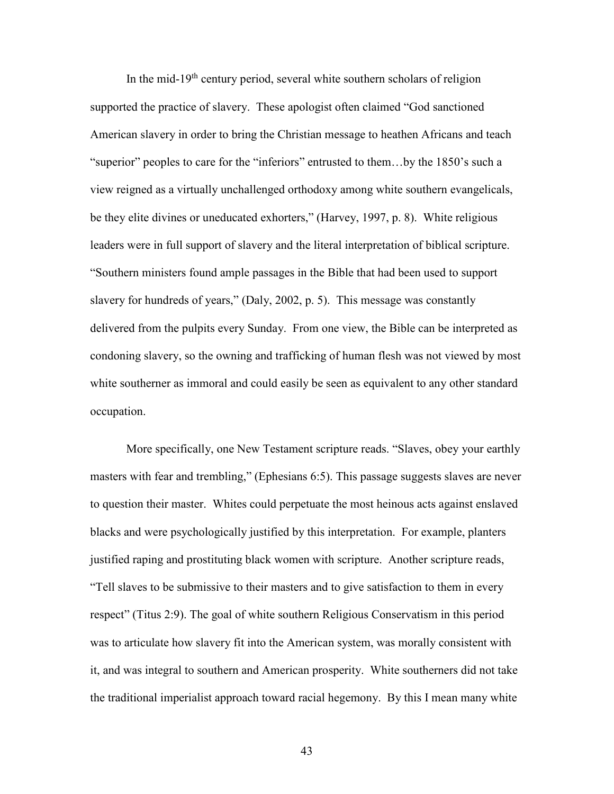In the mid-19<sup>th</sup> century period, several white southern scholars of religion supported the practice of slavery. These apologist often claimed "God sanctioned American slavery in order to bring the Christian message to heathen Africans and teach "superior" peoples to care for the "inferiors" entrusted to them…by the 1850's such a view reigned as a virtually unchallenged orthodoxy among white southern evangelicals, be they elite divines or uneducated exhorters," (Harvey, 1997, p. 8). White religious leaders were in full support of slavery and the literal interpretation of biblical scripture. "Southern ministers found ample passages in the Bible that had been used to support slavery for hundreds of years," (Daly, 2002, p. 5). This message was constantly delivered from the pulpits every Sunday. From one view, the Bible can be interpreted as condoning slavery, so the owning and trafficking of human flesh was not viewed by most white southerner as immoral and could easily be seen as equivalent to any other standard occupation.

More specifically, one New Testament scripture reads. "Slaves, obey your earthly masters with fear and trembling," (Ephesians 6:5). This passage suggests slaves are never to question their master. Whites could perpetuate the most heinous acts against enslaved blacks and were psychologically justified by this interpretation. For example, planters justified raping and prostituting black women with scripture. Another scripture reads, "Tell slaves to be submissive to their masters and to give satisfaction to them in every respect" (Titus 2:9). The goal of white southern Religious Conservatism in this period was to articulate how slavery fit into the American system, was morally consistent with it, and was integral to southern and American prosperity. White southerners did not take the traditional imperialist approach toward racial hegemony. By this I mean many white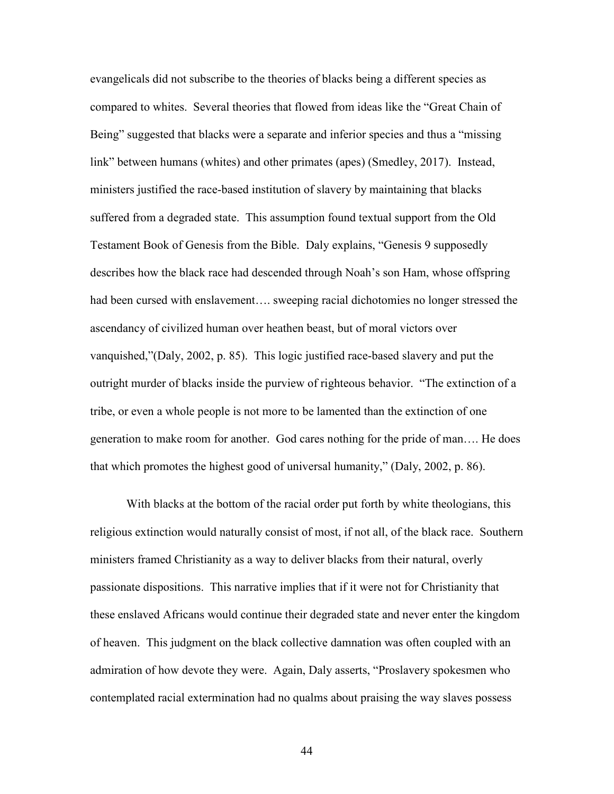evangelicals did not subscribe to the theories of blacks being a different species as compared to whites. Several theories that flowed from ideas like the "Great Chain of Being" suggested that blacks were a separate and inferior species and thus a "missing link" between humans (whites) and other primates (apes) (Smedley, 2017). Instead, ministers justified the race-based institution of slavery by maintaining that blacks suffered from a degraded state. This assumption found textual support from the Old Testament Book of Genesis from the Bible. Daly explains, "Genesis 9 supposedly describes how the black race had descended through Noah's son Ham, whose offspring had been cursed with enslavement…. sweeping racial dichotomies no longer stressed the ascendancy of civilized human over heathen beast, but of moral victors over vanquished,"(Daly, 2002, p. 85). This logic justified race-based slavery and put the outright murder of blacks inside the purview of righteous behavior. "The extinction of a tribe, or even a whole people is not more to be lamented than the extinction of one generation to make room for another. God cares nothing for the pride of man…. He does that which promotes the highest good of universal humanity," (Daly, 2002, p. 86).

With blacks at the bottom of the racial order put forth by white theologians, this religious extinction would naturally consist of most, if not all, of the black race. Southern ministers framed Christianity as a way to deliver blacks from their natural, overly passionate dispositions. This narrative implies that if it were not for Christianity that these enslaved Africans would continue their degraded state and never enter the kingdom of heaven. This judgment on the black collective damnation was often coupled with an admiration of how devote they were. Again, Daly asserts, "Proslavery spokesmen who contemplated racial extermination had no qualms about praising the way slaves possess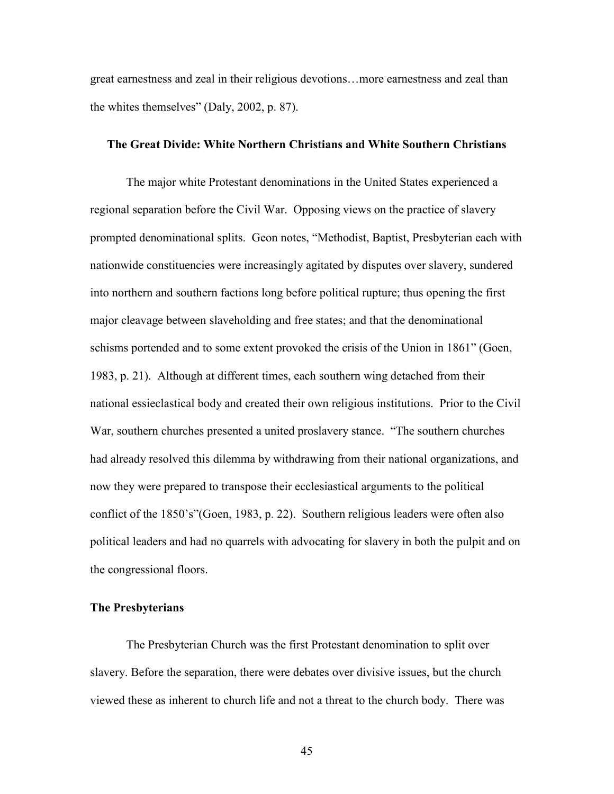great earnestness and zeal in their religious devotions…more earnestness and zeal than the whites themselves" (Daly, 2002, p. 87).

#### **The Great Divide: White Northern Christians and White Southern Christians**

The major white Protestant denominations in the United States experienced a regional separation before the Civil War. Opposing views on the practice of slavery prompted denominational splits. Geon notes, "Methodist, Baptist, Presbyterian each with nationwide constituencies were increasingly agitated by disputes over slavery, sundered into northern and southern factions long before political rupture; thus opening the first major cleavage between slaveholding and free states; and that the denominational schisms portended and to some extent provoked the crisis of the Union in 1861" (Goen, 1983, p. 21). Although at different times, each southern wing detached from their national essieclastical body and created their own religious institutions. Prior to the Civil War, southern churches presented a united proslavery stance. "The southern churches had already resolved this dilemma by withdrawing from their national organizations, and now they were prepared to transpose their ecclesiastical arguments to the political conflict of the 1850's"(Goen, 1983, p. 22). Southern religious leaders were often also political leaders and had no quarrels with advocating for slavery in both the pulpit and on the congressional floors.

#### **The Presbyterians**

 The Presbyterian Church was the first Protestant denomination to split over slavery. Before the separation, there were debates over divisive issues, but the church viewed these as inherent to church life and not a threat to the church body. There was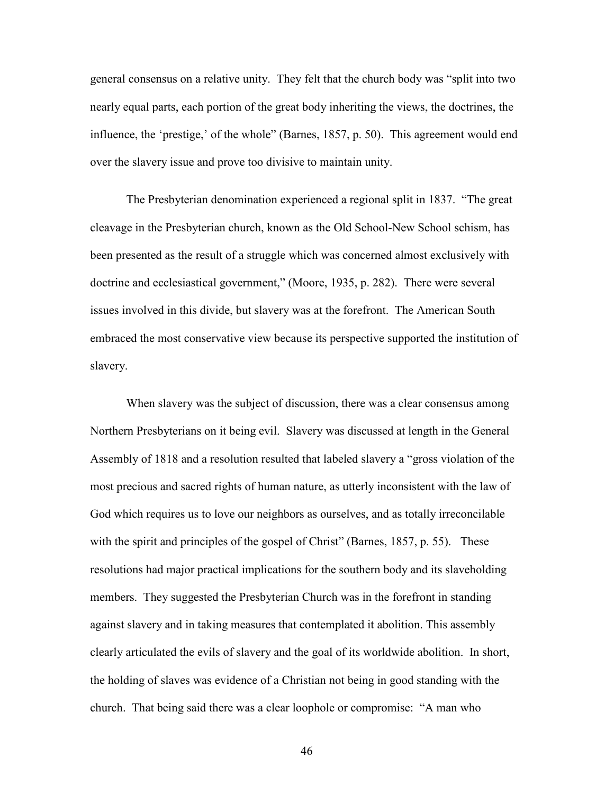general consensus on a relative unity. They felt that the church body was "split into two nearly equal parts, each portion of the great body inheriting the views, the doctrines, the influence, the 'prestige,' of the whole" (Barnes, 1857, p. 50). This agreement would end over the slavery issue and prove too divisive to maintain unity.

The Presbyterian denomination experienced a regional split in 1837. "The great cleavage in the Presbyterian church, known as the Old School-New School schism, has been presented as the result of a struggle which was concerned almost exclusively with doctrine and ecclesiastical government," (Moore, 1935, p. 282). There were several issues involved in this divide, but slavery was at the forefront. The American South embraced the most conservative view because its perspective supported the institution of slavery.

When slavery was the subject of discussion, there was a clear consensus among Northern Presbyterians on it being evil. Slavery was discussed at length in the General Assembly of 1818 and a resolution resulted that labeled slavery a "gross violation of the most precious and sacred rights of human nature, as utterly inconsistent with the law of God which requires us to love our neighbors as ourselves, and as totally irreconcilable with the spirit and principles of the gospel of Christ" (Barnes, 1857, p. 55). These resolutions had major practical implications for the southern body and its slaveholding members. They suggested the Presbyterian Church was in the forefront in standing against slavery and in taking measures that contemplated it abolition. This assembly clearly articulated the evils of slavery and the goal of its worldwide abolition. In short, the holding of slaves was evidence of a Christian not being in good standing with the church. That being said there was a clear loophole or compromise: "A man who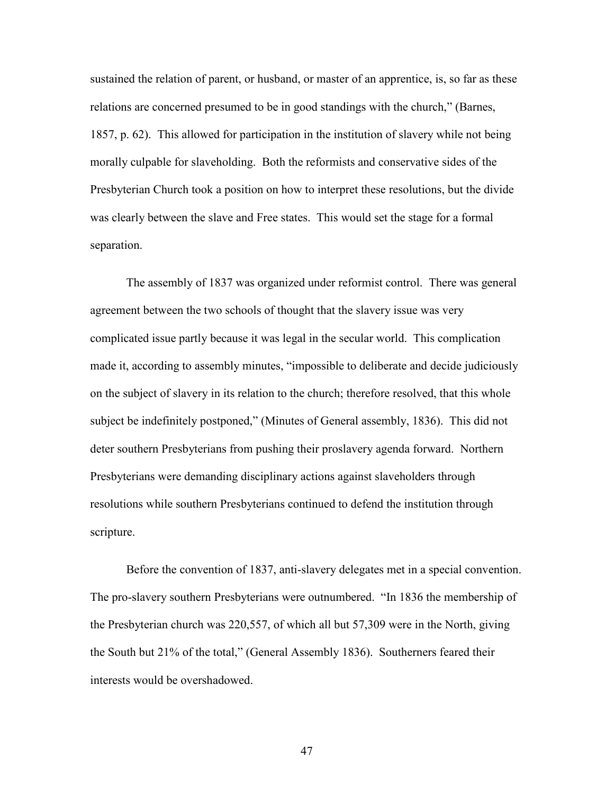sustained the relation of parent, or husband, or master of an apprentice, is, so far as these relations are concerned presumed to be in good standings with the church," (Barnes, 1857, p. 62). This allowed for participation in the institution of slavery while not being morally culpable for slaveholding. Both the reformists and conservative sides of the Presbyterian Church took a position on how to interpret these resolutions, but the divide was clearly between the slave and Free states. This would set the stage for a formal separation.

 The assembly of 1837 was organized under reformist control. There was general agreement between the two schools of thought that the slavery issue was very complicated issue partly because it was legal in the secular world. This complication made it, according to assembly minutes, "impossible to deliberate and decide judiciously on the subject of slavery in its relation to the church; therefore resolved, that this whole subject be indefinitely postponed," (Minutes of General assembly, 1836). This did not deter southern Presbyterians from pushing their proslavery agenda forward. Northern Presbyterians were demanding disciplinary actions against slaveholders through resolutions while southern Presbyterians continued to defend the institution through scripture.

 Before the convention of 1837, anti-slavery delegates met in a special convention. The pro-slavery southern Presbyterians were outnumbered. "In 1836 the membership of the Presbyterian church was 220,557, of which all but 57,309 were in the North, giving the South but 21% of the total," (General Assembly 1836). Southerners feared their interests would be overshadowed.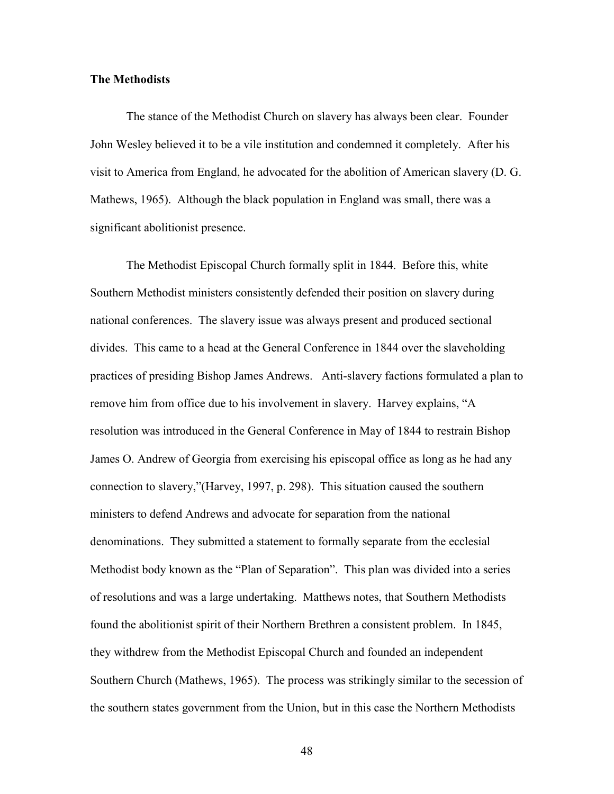#### **The Methodists**

 The stance of the Methodist Church on slavery has always been clear. Founder John Wesley believed it to be a vile institution and condemned it completely. After his visit to America from England, he advocated for the abolition of American slavery (D. G. Mathews, 1965). Although the black population in England was small, there was a significant abolitionist presence.

 The Methodist Episcopal Church formally split in 1844. Before this, white Southern Methodist ministers consistently defended their position on slavery during national conferences. The slavery issue was always present and produced sectional divides. This came to a head at the General Conference in 1844 over the slaveholding practices of presiding Bishop James Andrews. Anti-slavery factions formulated a plan to remove him from office due to his involvement in slavery. Harvey explains, "A resolution was introduced in the General Conference in May of 1844 to restrain Bishop James O. Andrew of Georgia from exercising his episcopal office as long as he had any connection to slavery,"(Harvey, 1997, p. 298). This situation caused the southern ministers to defend Andrews and advocate for separation from the national denominations. They submitted a statement to formally separate from the ecclesial Methodist body known as the "Plan of Separation". This plan was divided into a series of resolutions and was a large undertaking. Matthews notes, that Southern Methodists found the abolitionist spirit of their Northern Brethren a consistent problem. In 1845, they withdrew from the Methodist Episcopal Church and founded an independent Southern Church (Mathews, 1965). The process was strikingly similar to the secession of the southern states government from the Union, but in this case the Northern Methodists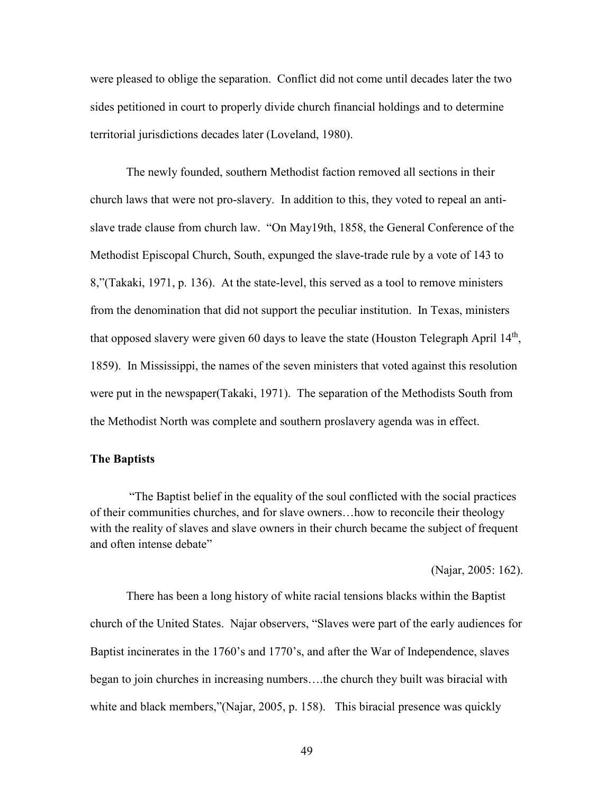were pleased to oblige the separation. Conflict did not come until decades later the two sides petitioned in court to properly divide church financial holdings and to determine territorial jurisdictions decades later (Loveland, 1980).

The newly founded, southern Methodist faction removed all sections in their church laws that were not pro-slavery. In addition to this, they voted to repeal an antislave trade clause from church law. "On May19th, 1858, the General Conference of the Methodist Episcopal Church, South, expunged the slave-trade rule by a vote of 143 to 8,"(Takaki, 1971, p. 136). At the state-level, this served as a tool to remove ministers from the denomination that did not support the peculiar institution. In Texas, ministers that opposed slavery were given 60 days to leave the state (Houston Telegraph April 14<sup>th</sup>, 1859). In Mississippi, the names of the seven ministers that voted against this resolution were put in the newspaper(Takaki, 1971). The separation of the Methodists South from the Methodist North was complete and southern proslavery agenda was in effect.

# **The Baptists**

 "The Baptist belief in the equality of the soul conflicted with the social practices of their communities churches, and for slave owners…how to reconcile their theology with the reality of slaves and slave owners in their church became the subject of frequent and often intense debate"

(Najar, 2005: 162).

There has been a long history of white racial tensions blacks within the Baptist church of the United States. Najar observers, "Slaves were part of the early audiences for Baptist incinerates in the 1760's and 1770's, and after the War of Independence, slaves began to join churches in increasing numbers….the church they built was biracial with white and black members,"(Najar, 2005, p. 158). This biracial presence was quickly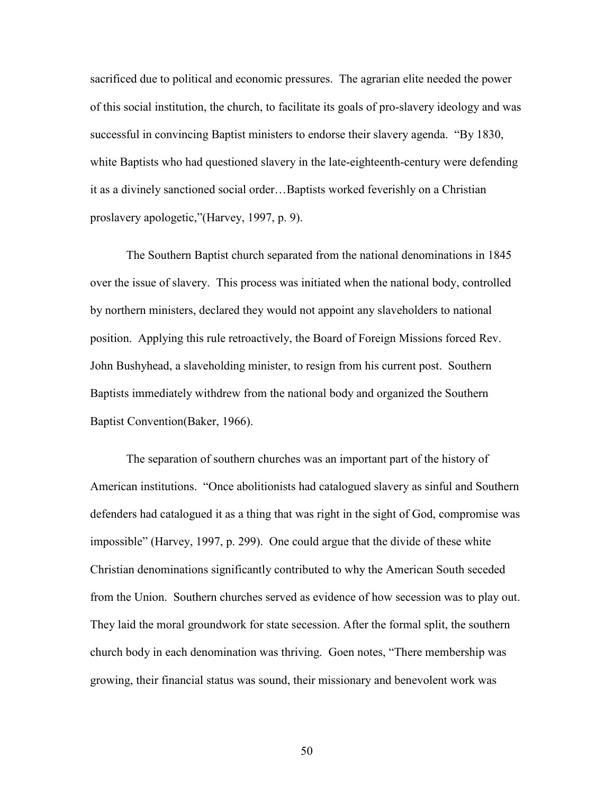sacrificed due to political and economic pressures. The agrarian elite needed the power of this social institution, the church, to facilitate its goals of pro-slavery ideology and was successful in convincing Baptist ministers to endorse their slavery agenda. "By 1830, white Baptists who had questioned slavery in the late-eighteenth-century were defending it as a divinely sanctioned social order…Baptists worked feverishly on a Christian proslavery apologetic,"(Harvey, 1997, p. 9).

The Southern Baptist church separated from the national denominations in 1845 over the issue of slavery. This process was initiated when the national body, controlled by northern ministers, declared they would not appoint any slaveholders to national position. Applying this rule retroactively, the Board of Foreign Missions forced Rev. John Bushyhead, a slaveholding minister, to resign from his current post. Southern Baptists immediately withdrew from the national body and organized the Southern Baptist Convention(Baker, 1966).

The separation of southern churches was an important part of the history of American institutions. "Once abolitionists had catalogued slavery as sinful and Southern defenders had catalogued it as a thing that was right in the sight of God, compromise was impossible" (Harvey, 1997, p. 299). One could argue that the divide of these white Christian denominations significantly contributed to why the American South seceded from the Union. Southern churches served as evidence of how secession was to play out. They laid the moral groundwork for state secession. After the formal split, the southern church body in each denomination was thriving. Goen notes, "There membership was growing, their financial status was sound, their missionary and benevolent work was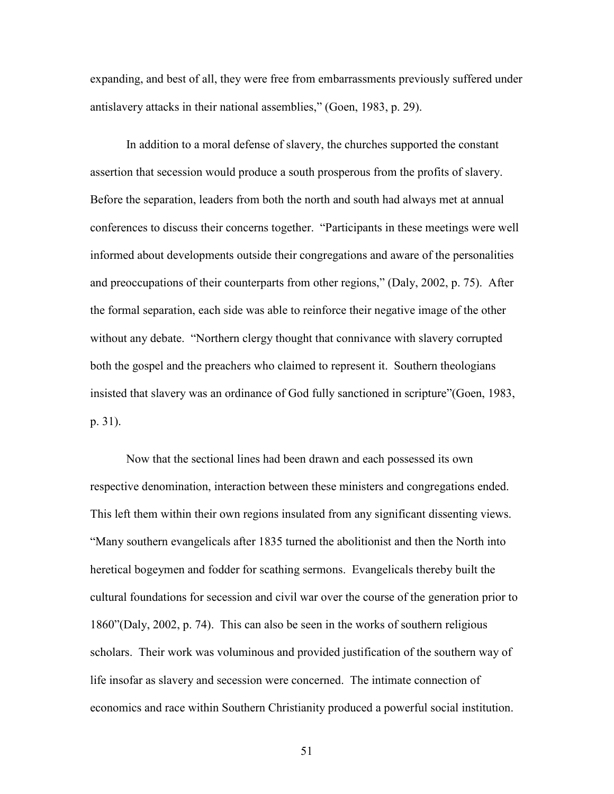expanding, and best of all, they were free from embarrassments previously suffered under antislavery attacks in their national assemblies," (Goen, 1983, p. 29).

In addition to a moral defense of slavery, the churches supported the constant assertion that secession would produce a south prosperous from the profits of slavery. Before the separation, leaders from both the north and south had always met at annual conferences to discuss their concerns together. "Participants in these meetings were well informed about developments outside their congregations and aware of the personalities and preoccupations of their counterparts from other regions," (Daly, 2002, p. 75). After the formal separation, each side was able to reinforce their negative image of the other without any debate. "Northern clergy thought that connivance with slavery corrupted both the gospel and the preachers who claimed to represent it. Southern theologians insisted that slavery was an ordinance of God fully sanctioned in scripture"(Goen, 1983, p. 31).

Now that the sectional lines had been drawn and each possessed its own respective denomination, interaction between these ministers and congregations ended. This left them within their own regions insulated from any significant dissenting views. "Many southern evangelicals after 1835 turned the abolitionist and then the North into heretical bogeymen and fodder for scathing sermons. Evangelicals thereby built the cultural foundations for secession and civil war over the course of the generation prior to 1860"(Daly, 2002, p. 74). This can also be seen in the works of southern religious scholars. Their work was voluminous and provided justification of the southern way of life insofar as slavery and secession were concerned. The intimate connection of economics and race within Southern Christianity produced a powerful social institution.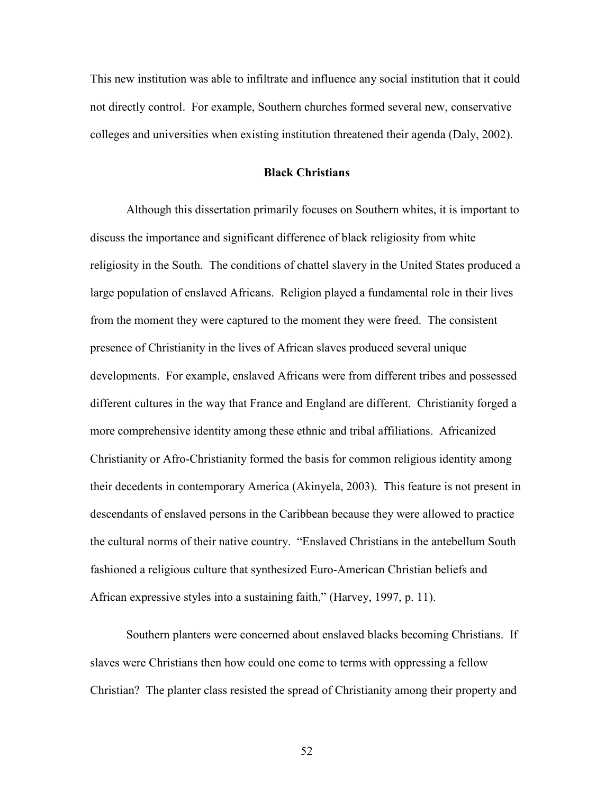This new institution was able to infiltrate and influence any social institution that it could not directly control. For example, Southern churches formed several new, conservative colleges and universities when existing institution threatened their agenda (Daly, 2002).

#### **Black Christians**

Although this dissertation primarily focuses on Southern whites, it is important to discuss the importance and significant difference of black religiosity from white religiosity in the South. The conditions of chattel slavery in the United States produced a large population of enslaved Africans. Religion played a fundamental role in their lives from the moment they were captured to the moment they were freed. The consistent presence of Christianity in the lives of African slaves produced several unique developments. For example, enslaved Africans were from different tribes and possessed different cultures in the way that France and England are different. Christianity forged a more comprehensive identity among these ethnic and tribal affiliations. Africanized Christianity or Afro-Christianity formed the basis for common religious identity among their decedents in contemporary America (Akinyela, 2003). This feature is not present in descendants of enslaved persons in the Caribbean because they were allowed to practice the cultural norms of their native country. "Enslaved Christians in the antebellum South fashioned a religious culture that synthesized Euro-American Christian beliefs and African expressive styles into a sustaining faith," (Harvey, 1997, p. 11).

Southern planters were concerned about enslaved blacks becoming Christians. If slaves were Christians then how could one come to terms with oppressing a fellow Christian? The planter class resisted the spread of Christianity among their property and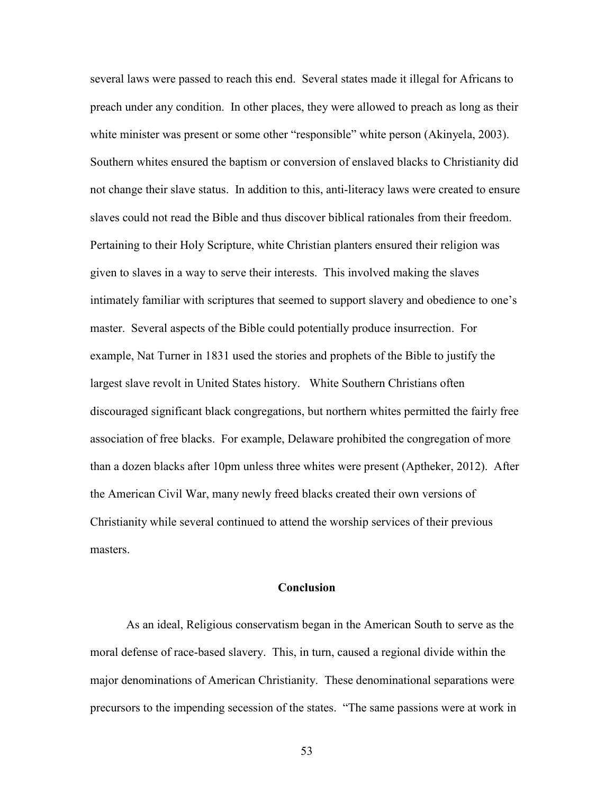several laws were passed to reach this end. Several states made it illegal for Africans to preach under any condition. In other places, they were allowed to preach as long as their white minister was present or some other "responsible" white person (Akinyela, 2003). Southern whites ensured the baptism or conversion of enslaved blacks to Christianity did not change their slave status. In addition to this, anti-literacy laws were created to ensure slaves could not read the Bible and thus discover biblical rationales from their freedom. Pertaining to their Holy Scripture, white Christian planters ensured their religion was given to slaves in a way to serve their interests. This involved making the slaves intimately familiar with scriptures that seemed to support slavery and obedience to one's master. Several aspects of the Bible could potentially produce insurrection. For example, Nat Turner in 1831 used the stories and prophets of the Bible to justify the largest slave revolt in United States history. White Southern Christians often discouraged significant black congregations, but northern whites permitted the fairly free association of free blacks. For example, Delaware prohibited the congregation of more than a dozen blacks after 10pm unless three whites were present (Aptheker, 2012). After the American Civil War, many newly freed blacks created their own versions of Christianity while several continued to attend the worship services of their previous masters.

#### **Conclusion**

As an ideal, Religious conservatism began in the American South to serve as the moral defense of race-based slavery. This, in turn, caused a regional divide within the major denominations of American Christianity. These denominational separations were precursors to the impending secession of the states. "The same passions were at work in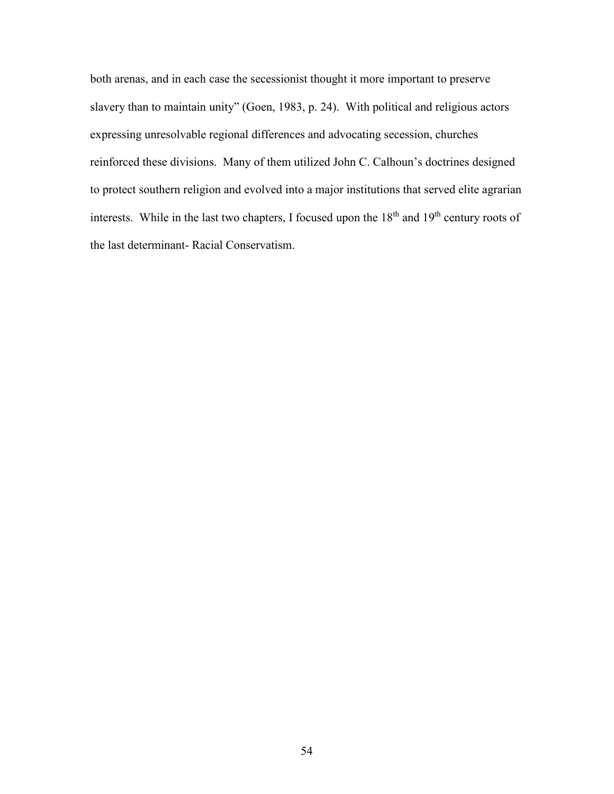both arenas, and in each case the secessionist thought it more important to preserve slavery than to maintain unity" (Goen, 1983, p. 24). With political and religious actors expressing unresolvable regional differences and advocating secession, churches reinforced these divisions. Many of them utilized John C. Calhoun's doctrines designed to protect southern religion and evolved into a major institutions that served elite agrarian interests. While in the last two chapters, I focused upon the 18<sup>th</sup> and 19<sup>th</sup> century roots of the last determinant- Racial Conservatism.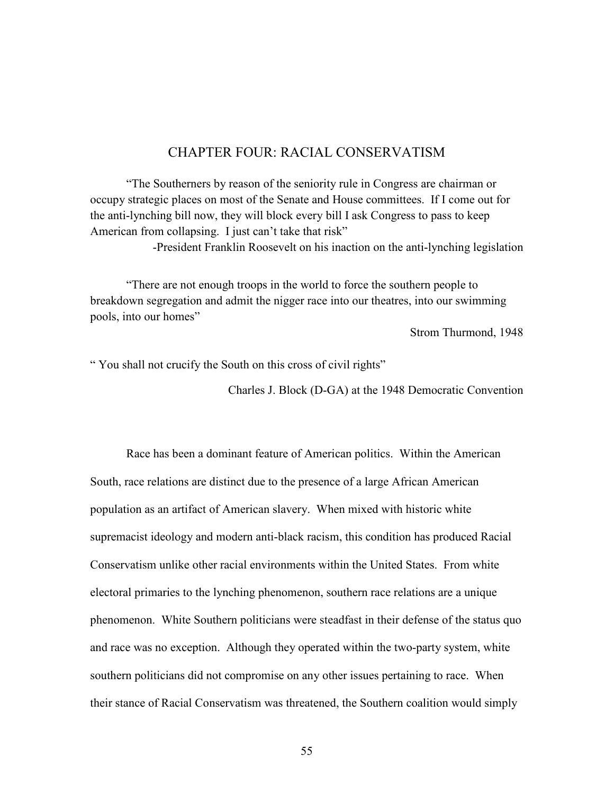# CHAPTER FOUR: RACIAL CONSERVATISM

"The Southerners by reason of the seniority rule in Congress are chairman or occupy strategic places on most of the Senate and House committees. If I come out for the anti-lynching bill now, they will block every bill I ask Congress to pass to keep American from collapsing. I just can't take that risk"

-President Franklin Roosevelt on his inaction on the anti-lynching legislation

"There are not enough troops in the world to force the southern people to breakdown segregation and admit the nigger race into our theatres, into our swimming pools, into our homes"

Strom Thurmond, 1948

" You shall not crucify the South on this cross of civil rights"

Charles J. Block (D-GA) at the 1948 Democratic Convention

Race has been a dominant feature of American politics. Within the American South, race relations are distinct due to the presence of a large African American population as an artifact of American slavery. When mixed with historic white supremacist ideology and modern anti-black racism, this condition has produced Racial Conservatism unlike other racial environments within the United States. From white electoral primaries to the lynching phenomenon, southern race relations are a unique phenomenon. White Southern politicians were steadfast in their defense of the status quo and race was no exception. Although they operated within the two-party system, white southern politicians did not compromise on any other issues pertaining to race. When their stance of Racial Conservatism was threatened, the Southern coalition would simply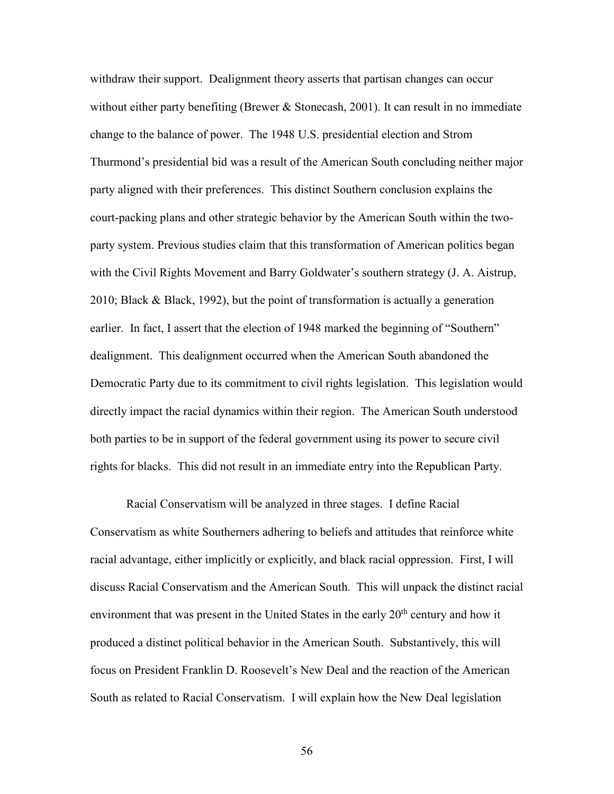withdraw their support. Dealignment theory asserts that partisan changes can occur without either party benefiting (Brewer  $&$  Stonecash, 2001). It can result in no immediate change to the balance of power. The 1948 U.S. presidential election and Strom Thurmond's presidential bid was a result of the American South concluding neither major party aligned with their preferences. This distinct Southern conclusion explains the court-packing plans and other strategic behavior by the American South within the twoparty system. Previous studies claim that this transformation of American politics began with the Civil Rights Movement and Barry Goldwater's southern strategy (J. A. Aistrup, 2010; Black & Black, 1992), but the point of transformation is actually a generation earlier. In fact, I assert that the election of 1948 marked the beginning of "Southern" dealignment. This dealignment occurred when the American South abandoned the Democratic Party due to its commitment to civil rights legislation. This legislation would directly impact the racial dynamics within their region. The American South understood both parties to be in support of the federal government using its power to secure civil rights for blacks. This did not result in an immediate entry into the Republican Party.

Racial Conservatism will be analyzed in three stages. I define Racial Conservatism as white Southerners adhering to beliefs and attitudes that reinforce white racial advantage, either implicitly or explicitly, and black racial oppression. First, I will discuss Racial Conservatism and the American South. This will unpack the distinct racial environment that was present in the United States in the early  $20<sup>th</sup>$  century and how it produced a distinct political behavior in the American South. Substantively, this will focus on President Franklin D. Roosevelt's New Deal and the reaction of the American South as related to Racial Conservatism. I will explain how the New Deal legislation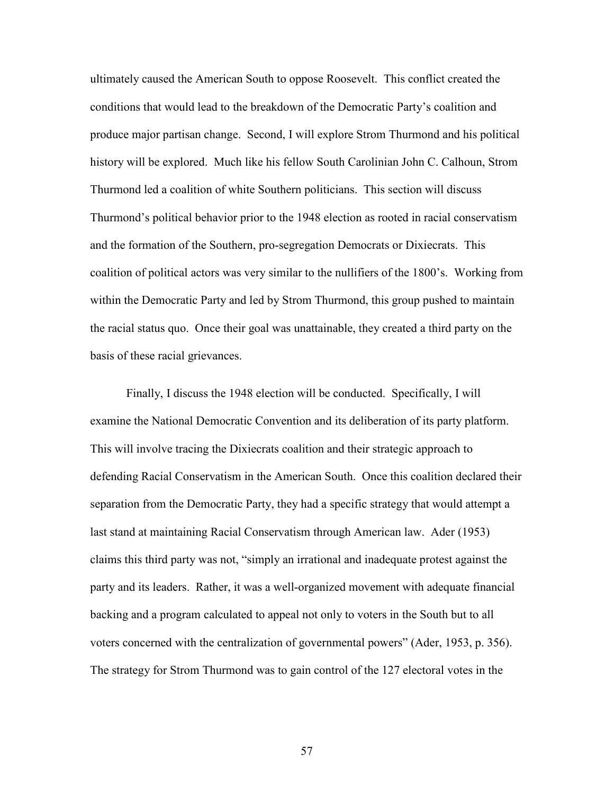ultimately caused the American South to oppose Roosevelt. This conflict created the conditions that would lead to the breakdown of the Democratic Party's coalition and produce major partisan change. Second, I will explore Strom Thurmond and his political history will be explored. Much like his fellow South Carolinian John C. Calhoun, Strom Thurmond led a coalition of white Southern politicians. This section will discuss Thurmond's political behavior prior to the 1948 election as rooted in racial conservatism and the formation of the Southern, pro-segregation Democrats or Dixiecrats. This coalition of political actors was very similar to the nullifiers of the 1800's. Working from within the Democratic Party and led by Strom Thurmond, this group pushed to maintain the racial status quo. Once their goal was unattainable, they created a third party on the basis of these racial grievances.

Finally, I discuss the 1948 election will be conducted. Specifically, I will examine the National Democratic Convention and its deliberation of its party platform. This will involve tracing the Dixiecrats coalition and their strategic approach to defending Racial Conservatism in the American South. Once this coalition declared their separation from the Democratic Party, they had a specific strategy that would attempt a last stand at maintaining Racial Conservatism through American law. Ader (1953) claims this third party was not, "simply an irrational and inadequate protest against the party and its leaders. Rather, it was a well-organized movement with adequate financial backing and a program calculated to appeal not only to voters in the South but to all voters concerned with the centralization of governmental powers" (Ader, 1953, p. 356). The strategy for Strom Thurmond was to gain control of the 127 electoral votes in the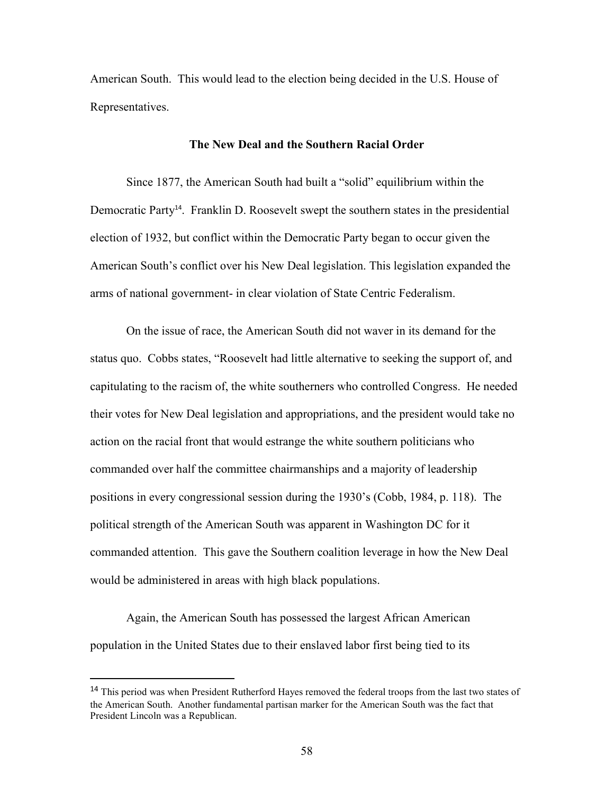American South. This would lead to the election being decided in the U.S. House of Representatives.

#### **The New Deal and the Southern Racial Order**

Since 1877, the American South had built a "solid" equilibrium within the Democratic Party<sup>14</sup>. Franklin D. Roosevelt swept the southern states in the presidential election of 1932, but conflict within the Democratic Party began to occur given the American South's conflict over his New Deal legislation. This legislation expanded the arms of national government- in clear violation of State Centric Federalism.

On the issue of race, the American South did not waver in its demand for the status quo. Cobbs states, "Roosevelt had little alternative to seeking the support of, and capitulating to the racism of, the white southerners who controlled Congress. He needed their votes for New Deal legislation and appropriations, and the president would take no action on the racial front that would estrange the white southern politicians who commanded over half the committee chairmanships and a majority of leadership positions in every congressional session during the 1930's (Cobb, 1984, p. 118). The political strength of the American South was apparent in Washington DC for it commanded attention. This gave the Southern coalition leverage in how the New Deal would be administered in areas with high black populations.

Again, the American South has possessed the largest African American population in the United States due to their enslaved labor first being tied to its

l

<sup>&</sup>lt;sup>14</sup> This period was when President Rutherford Hayes removed the federal troops from the last two states of the American South. Another fundamental partisan marker for the American South was the fact that President Lincoln was a Republican.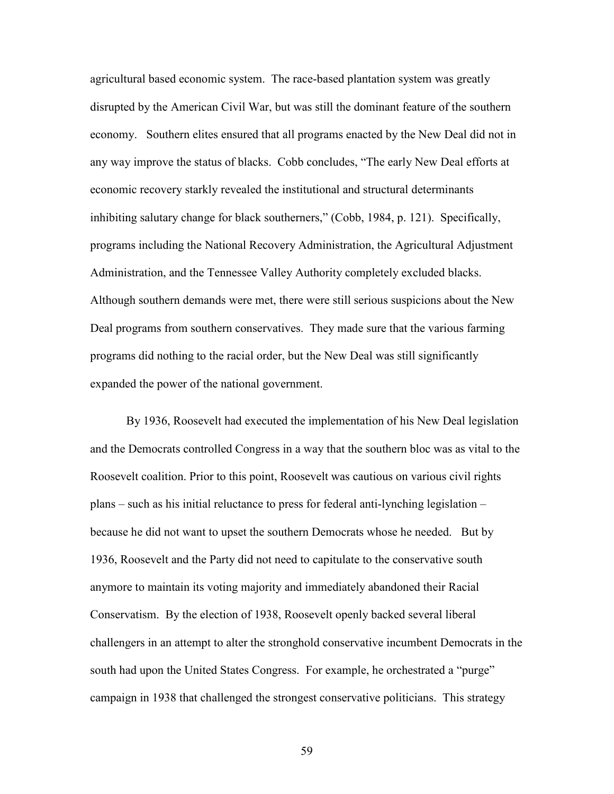agricultural based economic system. The race-based plantation system was greatly disrupted by the American Civil War, but was still the dominant feature of the southern economy. Southern elites ensured that all programs enacted by the New Deal did not in any way improve the status of blacks. Cobb concludes, "The early New Deal efforts at economic recovery starkly revealed the institutional and structural determinants inhibiting salutary change for black southerners," (Cobb, 1984, p. 121). Specifically, programs including the National Recovery Administration, the Agricultural Adjustment Administration, and the Tennessee Valley Authority completely excluded blacks. Although southern demands were met, there were still serious suspicions about the New Deal programs from southern conservatives. They made sure that the various farming programs did nothing to the racial order, but the New Deal was still significantly expanded the power of the national government.

By 1936, Roosevelt had executed the implementation of his New Deal legislation and the Democrats controlled Congress in a way that the southern bloc was as vital to the Roosevelt coalition. Prior to this point, Roosevelt was cautious on various civil rights plans – such as his initial reluctance to press for federal anti-lynching legislation – because he did not want to upset the southern Democrats whose he needed. But by 1936, Roosevelt and the Party did not need to capitulate to the conservative south anymore to maintain its voting majority and immediately abandoned their Racial Conservatism. By the election of 1938, Roosevelt openly backed several liberal challengers in an attempt to alter the stronghold conservative incumbent Democrats in the south had upon the United States Congress. For example, he orchestrated a "purge" campaign in 1938 that challenged the strongest conservative politicians. This strategy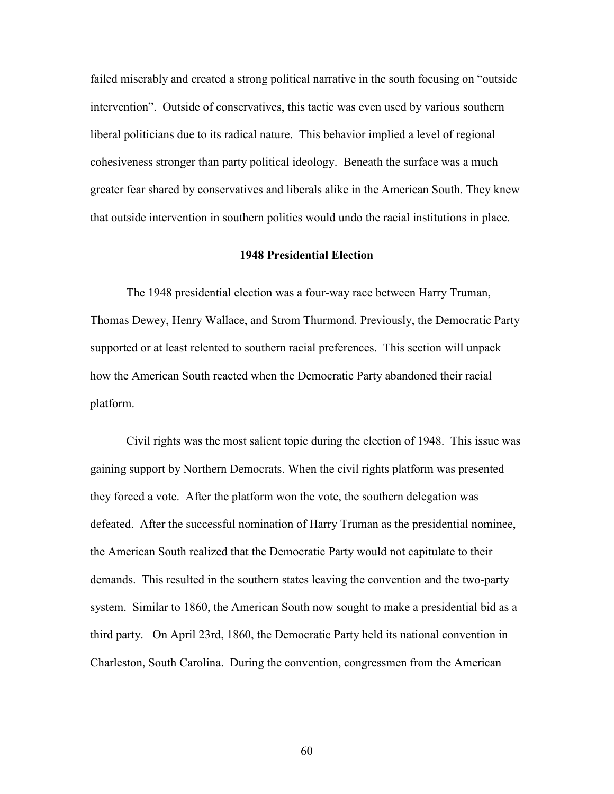failed miserably and created a strong political narrative in the south focusing on "outside intervention". Outside of conservatives, this tactic was even used by various southern liberal politicians due to its radical nature. This behavior implied a level of regional cohesiveness stronger than party political ideology. Beneath the surface was a much greater fear shared by conservatives and liberals alike in the American South. They knew that outside intervention in southern politics would undo the racial institutions in place.

## **1948 Presidential Election**

 The 1948 presidential election was a four-way race between Harry Truman, Thomas Dewey, Henry Wallace, and Strom Thurmond. Previously, the Democratic Party supported or at least relented to southern racial preferences. This section will unpack how the American South reacted when the Democratic Party abandoned their racial platform.

Civil rights was the most salient topic during the election of 1948. This issue was gaining support by Northern Democrats. When the civil rights platform was presented they forced a vote. After the platform won the vote, the southern delegation was defeated. After the successful nomination of Harry Truman as the presidential nominee, the American South realized that the Democratic Party would not capitulate to their demands. This resulted in the southern states leaving the convention and the two-party system. Similar to 1860, the American South now sought to make a presidential bid as a third party. On April 23rd, 1860, the Democratic Party held its national convention in Charleston, South Carolina. During the convention, congressmen from the American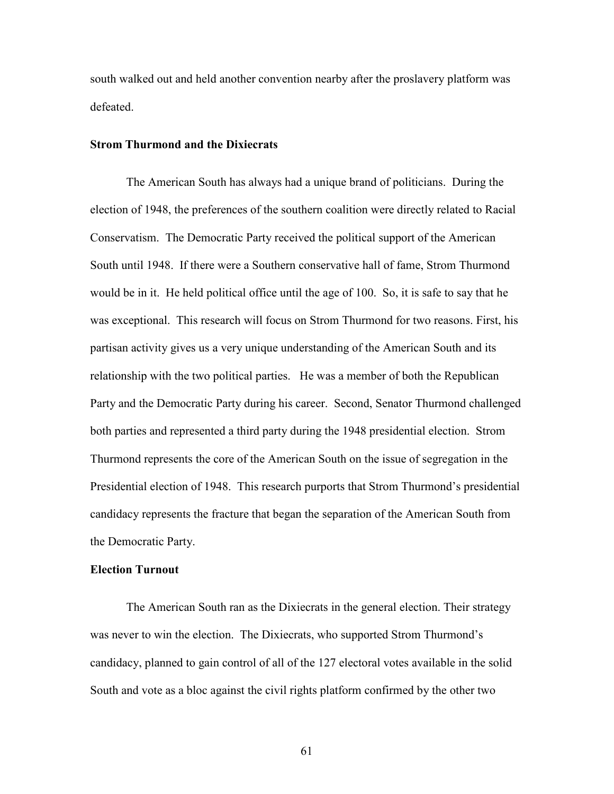south walked out and held another convention nearby after the proslavery platform was defeated.

### **Strom Thurmond and the Dixiecrats**

The American South has always had a unique brand of politicians. During the election of 1948, the preferences of the southern coalition were directly related to Racial Conservatism. The Democratic Party received the political support of the American South until 1948. If there were a Southern conservative hall of fame, Strom Thurmond would be in it. He held political office until the age of 100. So, it is safe to say that he was exceptional. This research will focus on Strom Thurmond for two reasons. First, his partisan activity gives us a very unique understanding of the American South and its relationship with the two political parties. He was a member of both the Republican Party and the Democratic Party during his career. Second, Senator Thurmond challenged both parties and represented a third party during the 1948 presidential election. Strom Thurmond represents the core of the American South on the issue of segregation in the Presidential election of 1948. This research purports that Strom Thurmond's presidential candidacy represents the fracture that began the separation of the American South from the Democratic Party.

#### **Election Turnout**

The American South ran as the Dixiecrats in the general election. Their strategy was never to win the election. The Dixiecrats, who supported Strom Thurmond's candidacy, planned to gain control of all of the 127 electoral votes available in the solid South and vote as a bloc against the civil rights platform confirmed by the other two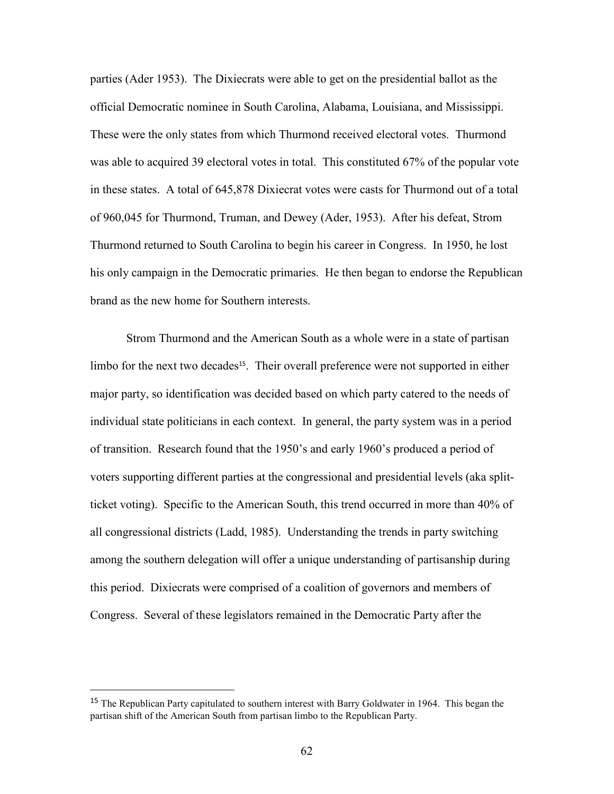parties (Ader 1953). The Dixiecrats were able to get on the presidential ballot as the official Democratic nominee in South Carolina, Alabama, Louisiana, and Mississippi. These were the only states from which Thurmond received electoral votes. Thurmond was able to acquired 39 electoral votes in total. This constituted 67% of the popular vote in these states. A total of 645,878 Dixiecrat votes were casts for Thurmond out of a total of 960,045 for Thurmond, Truman, and Dewey (Ader, 1953). After his defeat, Strom Thurmond returned to South Carolina to begin his career in Congress. In 1950, he lost his only campaign in the Democratic primaries. He then began to endorse the Republican brand as the new home for Southern interests.

Strom Thurmond and the American South as a whole were in a state of partisan limbo for the next two decades<sup>15</sup>. Their overall preference were not supported in either major party, so identification was decided based on which party catered to the needs of individual state politicians in each context. In general, the party system was in a period of transition. Research found that the 1950's and early 1960's produced a period of voters supporting different parties at the congressional and presidential levels (aka splitticket voting). Specific to the American South, this trend occurred in more than 40% of all congressional districts (Ladd, 1985). Understanding the trends in party switching among the southern delegation will offer a unique understanding of partisanship during this period. Dixiecrats were comprised of a coalition of governors and members of Congress. Several of these legislators remained in the Democratic Party after the

l

<sup>&</sup>lt;sup>15</sup> The Republican Party capitulated to southern interest with Barry Goldwater in 1964. This began the partisan shift of the American South from partisan limbo to the Republican Party.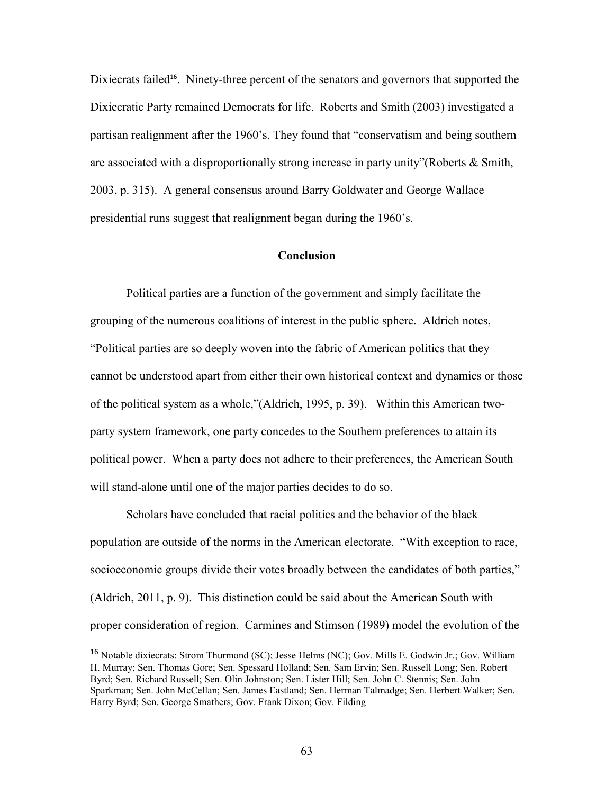Dixiecrats failed<sup>16</sup>. Ninety-three percent of the senators and governors that supported the Dixiecratic Party remained Democrats for life. Roberts and Smith (2003) investigated a partisan realignment after the 1960's. They found that "conservatism and being southern are associated with a disproportionally strong increase in party unity"(Roberts & Smith, 2003, p. 315). A general consensus around Barry Goldwater and George Wallace presidential runs suggest that realignment began during the 1960's.

### **Conclusion**

Political parties are a function of the government and simply facilitate the grouping of the numerous coalitions of interest in the public sphere. Aldrich notes, "Political parties are so deeply woven into the fabric of American politics that they cannot be understood apart from either their own historical context and dynamics or those of the political system as a whole,"(Aldrich, 1995, p. 39). Within this American twoparty system framework, one party concedes to the Southern preferences to attain its political power. When a party does not adhere to their preferences, the American South will stand-alone until one of the major parties decides to do so.

Scholars have concluded that racial politics and the behavior of the black population are outside of the norms in the American electorate. "With exception to race, socioeconomic groups divide their votes broadly between the candidates of both parties," (Aldrich, 2011, p. 9). This distinction could be said about the American South with proper consideration of region. Carmines and Stimson (1989) model the evolution of the

l

<sup>16</sup> Notable dixiecrats: Strom Thurmond (SC); Jesse Helms (NC); Gov. Mills E. Godwin Jr.; Gov. William H. Murray; Sen. Thomas Gore; Sen. Spessard Holland; Sen. Sam Ervin; Sen. Russell Long; Sen. Robert Byrd; Sen. Richard Russell; Sen. Olin Johnston; Sen. Lister Hill; Sen. John C. Stennis; Sen. John Sparkman; Sen. John McCellan; Sen. James Eastland; Sen. Herman Talmadge; Sen. Herbert Walker; Sen. Harry Byrd; Sen. George Smathers; Gov. Frank Dixon; Gov. Filding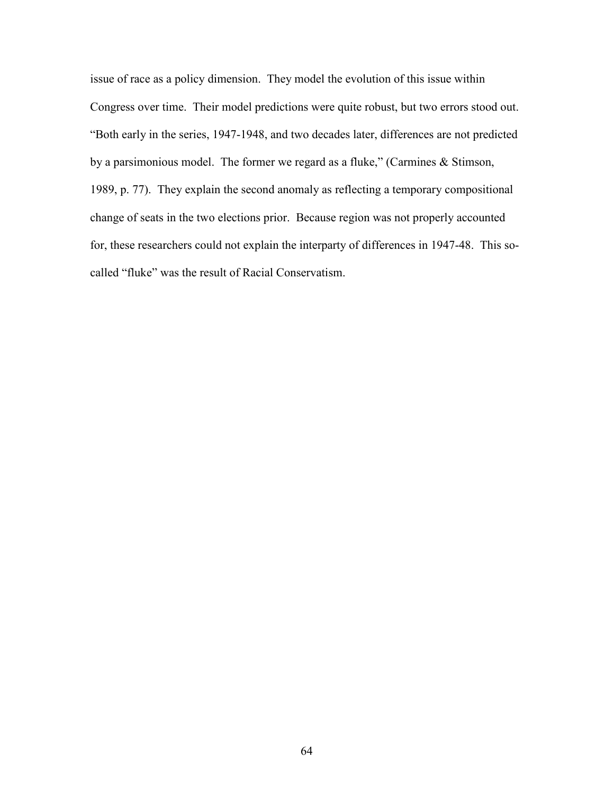issue of race as a policy dimension. They model the evolution of this issue within Congress over time. Their model predictions were quite robust, but two errors stood out. "Both early in the series, 1947-1948, and two decades later, differences are not predicted by a parsimonious model. The former we regard as a fluke," (Carmines & Stimson, 1989, p. 77). They explain the second anomaly as reflecting a temporary compositional change of seats in the two elections prior. Because region was not properly accounted for, these researchers could not explain the interparty of differences in 1947-48. This socalled "fluke" was the result of Racial Conservatism.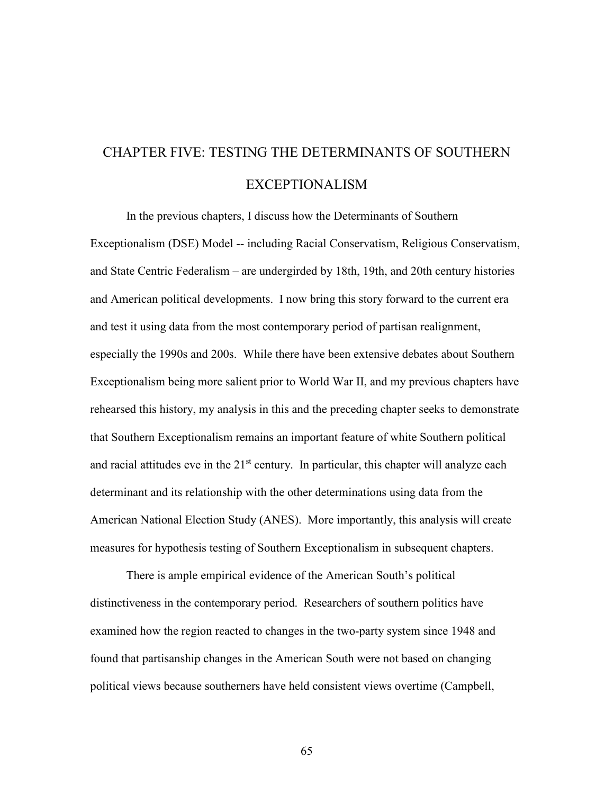## CHAPTER FIVE: TESTING THE DETERMINANTS OF SOUTHERN EXCEPTIONALISM

In the previous chapters, I discuss how the Determinants of Southern Exceptionalism (DSE) Model -- including Racial Conservatism, Religious Conservatism, and State Centric Federalism – are undergirded by 18th, 19th, and 20th century histories and American political developments. I now bring this story forward to the current era and test it using data from the most contemporary period of partisan realignment, especially the 1990s and 200s. While there have been extensive debates about Southern Exceptionalism being more salient prior to World War II, and my previous chapters have rehearsed this history, my analysis in this and the preceding chapter seeks to demonstrate that Southern Exceptionalism remains an important feature of white Southern political and racial attitudes eve in the  $21<sup>st</sup>$  century. In particular, this chapter will analyze each determinant and its relationship with the other determinations using data from the American National Election Study (ANES). More importantly, this analysis will create measures for hypothesis testing of Southern Exceptionalism in subsequent chapters.

 There is ample empirical evidence of the American South's political distinctiveness in the contemporary period. Researchers of southern politics have examined how the region reacted to changes in the two-party system since 1948 and found that partisanship changes in the American South were not based on changing political views because southerners have held consistent views overtime (Campbell,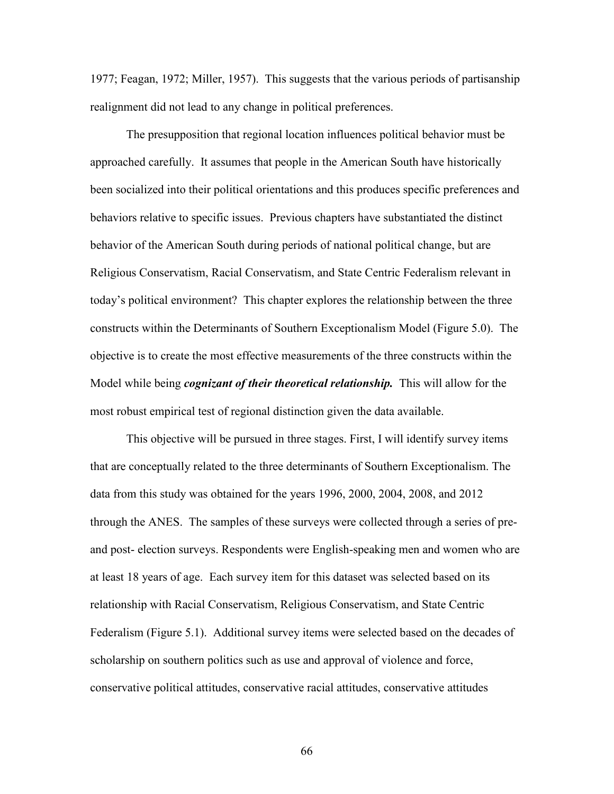1977; Feagan, 1972; Miller, 1957). This suggests that the various periods of partisanship realignment did not lead to any change in political preferences.

The presupposition that regional location influences political behavior must be approached carefully. It assumes that people in the American South have historically been socialized into their political orientations and this produces specific preferences and behaviors relative to specific issues. Previous chapters have substantiated the distinct behavior of the American South during periods of national political change, but are Religious Conservatism, Racial Conservatism, and State Centric Federalism relevant in today's political environment? This chapter explores the relationship between the three constructs within the Determinants of Southern Exceptionalism Model (Figure 5.0). The objective is to create the most effective measurements of the three constructs within the Model while being *cognizant of their theoretical relationship.* This will allow for the most robust empirical test of regional distinction given the data available.

This objective will be pursued in three stages. First, I will identify survey items that are conceptually related to the three determinants of Southern Exceptionalism. The data from this study was obtained for the years 1996, 2000, 2004, 2008, and 2012 through the ANES. The samples of these surveys were collected through a series of preand post- election surveys. Respondents were English-speaking men and women who are at least 18 years of age. Each survey item for this dataset was selected based on its relationship with Racial Conservatism, Religious Conservatism, and State Centric Federalism (Figure 5.1). Additional survey items were selected based on the decades of scholarship on southern politics such as use and approval of violence and force, conservative political attitudes, conservative racial attitudes, conservative attitudes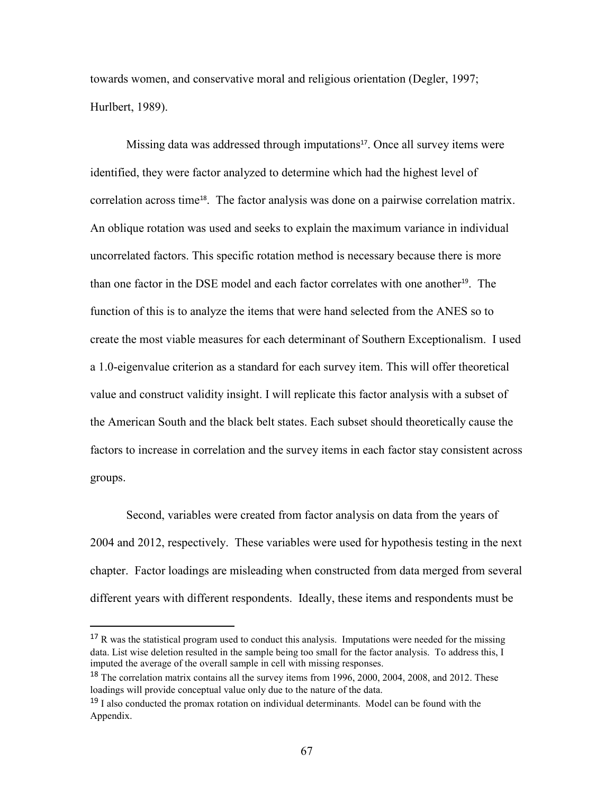towards women, and conservative moral and religious orientation (Degler, 1997; Hurlbert, 1989).

Missing data was addressed through imputations<sup>17</sup>. Once all survey items were identified, they were factor analyzed to determine which had the highest level of correlation across time<sup>18</sup>. The factor analysis was done on a pairwise correlation matrix. An oblique rotation was used and seeks to explain the maximum variance in individual uncorrelated factors. This specific rotation method is necessary because there is more than one factor in the DSE model and each factor correlates with one another<sup>19</sup>. The function of this is to analyze the items that were hand selected from the ANES so to create the most viable measures for each determinant of Southern Exceptionalism. I used a 1.0-eigenvalue criterion as a standard for each survey item. This will offer theoretical value and construct validity insight. I will replicate this factor analysis with a subset of the American South and the black belt states. Each subset should theoretically cause the factors to increase in correlation and the survey items in each factor stay consistent across groups.

Second, variables were created from factor analysis on data from the years of 2004 and 2012, respectively. These variables were used for hypothesis testing in the next chapter. Factor loadings are misleading when constructed from data merged from several different years with different respondents. Ideally, these items and respondents must be

l

 $17 R$  was the statistical program used to conduct this analysis. Imputations were needed for the missing data. List wise deletion resulted in the sample being too small for the factor analysis. To address this, I imputed the average of the overall sample in cell with missing responses.

<sup>&</sup>lt;sup>18</sup> The correlation matrix contains all the survey items from 1996, 2000, 2004, 2008, and 2012. These loadings will provide conceptual value only due to the nature of the data.

 $19$  I also conducted the promax rotation on individual determinants. Model can be found with the Appendix.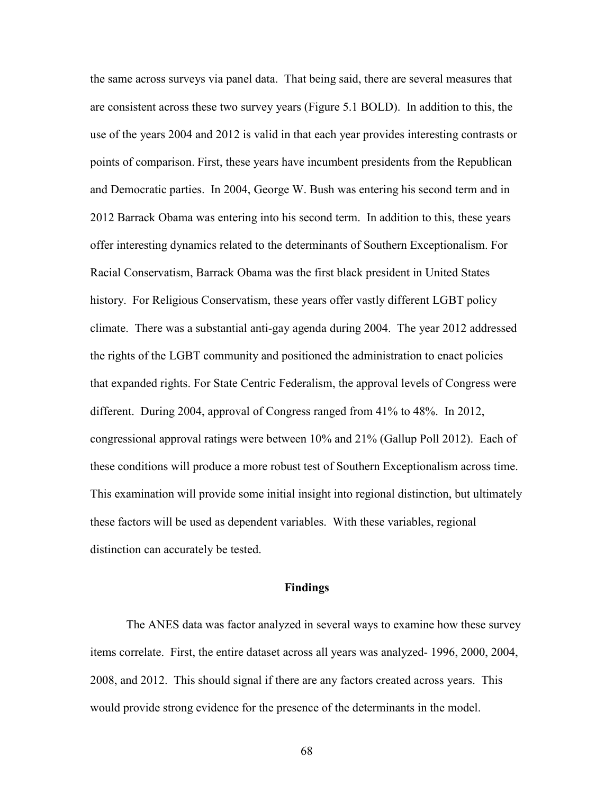the same across surveys via panel data. That being said, there are several measures that are consistent across these two survey years (Figure 5.1 BOLD). In addition to this, the use of the years 2004 and 2012 is valid in that each year provides interesting contrasts or points of comparison. First, these years have incumbent presidents from the Republican and Democratic parties. In 2004, George W. Bush was entering his second term and in 2012 Barrack Obama was entering into his second term. In addition to this, these years offer interesting dynamics related to the determinants of Southern Exceptionalism. For Racial Conservatism, Barrack Obama was the first black president in United States history. For Religious Conservatism, these years offer vastly different LGBT policy climate. There was a substantial anti-gay agenda during 2004. The year 2012 addressed the rights of the LGBT community and positioned the administration to enact policies that expanded rights. For State Centric Federalism, the approval levels of Congress were different. During 2004, approval of Congress ranged from 41% to 48%. In 2012, congressional approval ratings were between 10% and 21% (Gallup Poll 2012). Each of these conditions will produce a more robust test of Southern Exceptionalism across time. This examination will provide some initial insight into regional distinction, but ultimately these factors will be used as dependent variables. With these variables, regional distinction can accurately be tested.

#### **Findings**

The ANES data was factor analyzed in several ways to examine how these survey items correlate. First, the entire dataset across all years was analyzed- 1996, 2000, 2004, 2008, and 2012. This should signal if there are any factors created across years. This would provide strong evidence for the presence of the determinants in the model.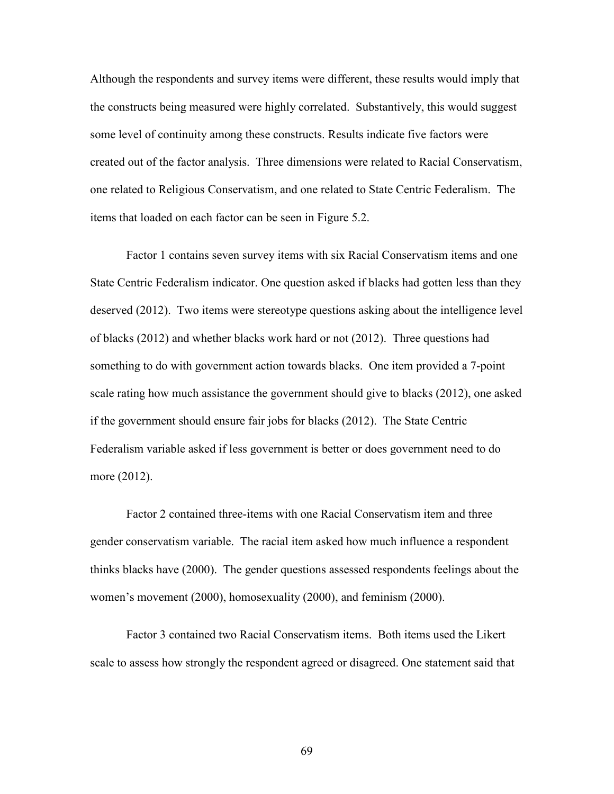Although the respondents and survey items were different, these results would imply that the constructs being measured were highly correlated. Substantively, this would suggest some level of continuity among these constructs. Results indicate five factors were created out of the factor analysis. Three dimensions were related to Racial Conservatism, one related to Religious Conservatism, and one related to State Centric Federalism. The items that loaded on each factor can be seen in Figure 5.2.

Factor 1 contains seven survey items with six Racial Conservatism items and one State Centric Federalism indicator. One question asked if blacks had gotten less than they deserved (2012). Two items were stereotype questions asking about the intelligence level of blacks (2012) and whether blacks work hard or not (2012). Three questions had something to do with government action towards blacks. One item provided a 7-point scale rating how much assistance the government should give to blacks (2012), one asked if the government should ensure fair jobs for blacks (2012). The State Centric Federalism variable asked if less government is better or does government need to do more (2012).

Factor 2 contained three-items with one Racial Conservatism item and three gender conservatism variable. The racial item asked how much influence a respondent thinks blacks have (2000). The gender questions assessed respondents feelings about the women's movement (2000), homosexuality (2000), and feminism (2000).

Factor 3 contained two Racial Conservatism items. Both items used the Likert scale to assess how strongly the respondent agreed or disagreed. One statement said that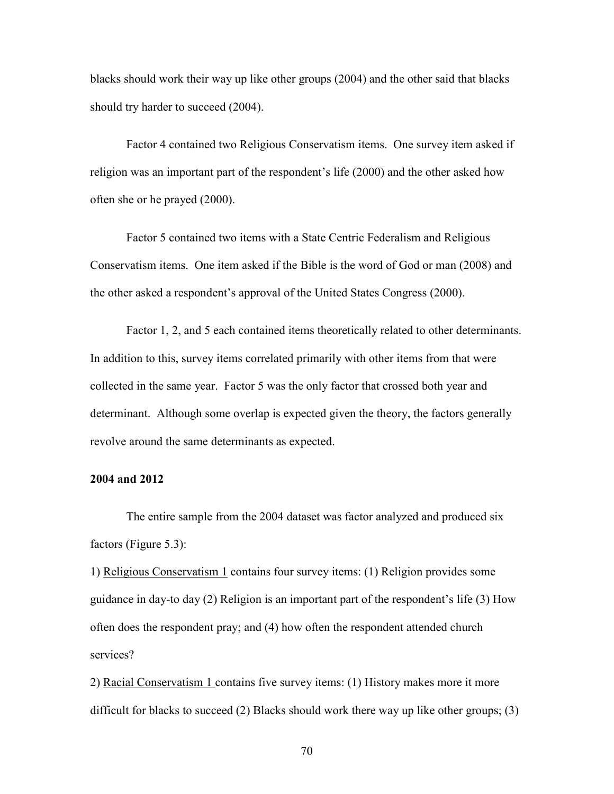blacks should work their way up like other groups (2004) and the other said that blacks should try harder to succeed (2004).

Factor 4 contained two Religious Conservatism items. One survey item asked if religion was an important part of the respondent's life (2000) and the other asked how often she or he prayed (2000).

Factor 5 contained two items with a State Centric Federalism and Religious Conservatism items. One item asked if the Bible is the word of God or man (2008) and the other asked a respondent's approval of the United States Congress (2000).

Factor 1, 2, and 5 each contained items theoretically related to other determinants. In addition to this, survey items correlated primarily with other items from that were collected in the same year. Factor 5 was the only factor that crossed both year and determinant. Although some overlap is expected given the theory, the factors generally revolve around the same determinants as expected.

### **2004 and 2012**

 The entire sample from the 2004 dataset was factor analyzed and produced six factors (Figure 5.3):

1) Religious Conservatism 1 contains four survey items: (1) Religion provides some guidance in day-to day (2) Religion is an important part of the respondent's life (3) How often does the respondent pray; and (4) how often the respondent attended church services?

2) Racial Conservatism 1 contains five survey items: (1) History makes more it more difficult for blacks to succeed (2) Blacks should work there way up like other groups; (3)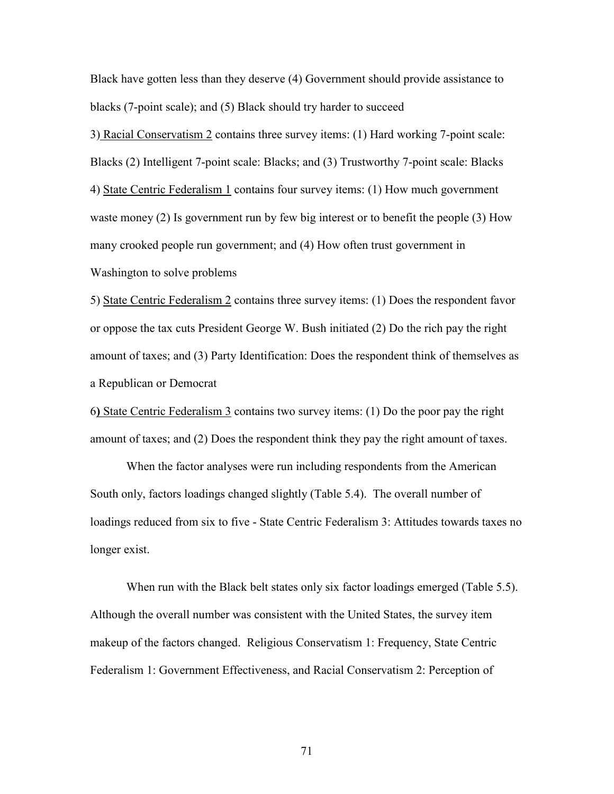Black have gotten less than they deserve (4) Government should provide assistance to blacks (7-point scale); and (5) Black should try harder to succeed

3) Racial Conservatism 2 contains three survey items: (1) Hard working 7-point scale: Blacks (2) Intelligent 7-point scale: Blacks; and (3) Trustworthy 7-point scale: Blacks 4) State Centric Federalism 1 contains four survey items: (1) How much government waste money (2) Is government run by few big interest or to benefit the people (3) How many crooked people run government; and (4) How often trust government in Washington to solve problems

5) State Centric Federalism 2 contains three survey items: (1) Does the respondent favor or oppose the tax cuts President George W. Bush initiated (2) Do the rich pay the right amount of taxes; and (3) Party Identification: Does the respondent think of themselves as a Republican or Democrat

6**)** State Centric Federalism 3 contains two survey items: (1) Do the poor pay the right amount of taxes; and (2) Does the respondent think they pay the right amount of taxes.

 When the factor analyses were run including respondents from the American South only, factors loadings changed slightly (Table 5.4). The overall number of loadings reduced from six to five - State Centric Federalism 3: Attitudes towards taxes no longer exist.

When run with the Black belt states only six factor loadings emerged (Table 5.5). Although the overall number was consistent with the United States, the survey item makeup of the factors changed. Religious Conservatism 1: Frequency, State Centric Federalism 1: Government Effectiveness, and Racial Conservatism 2: Perception of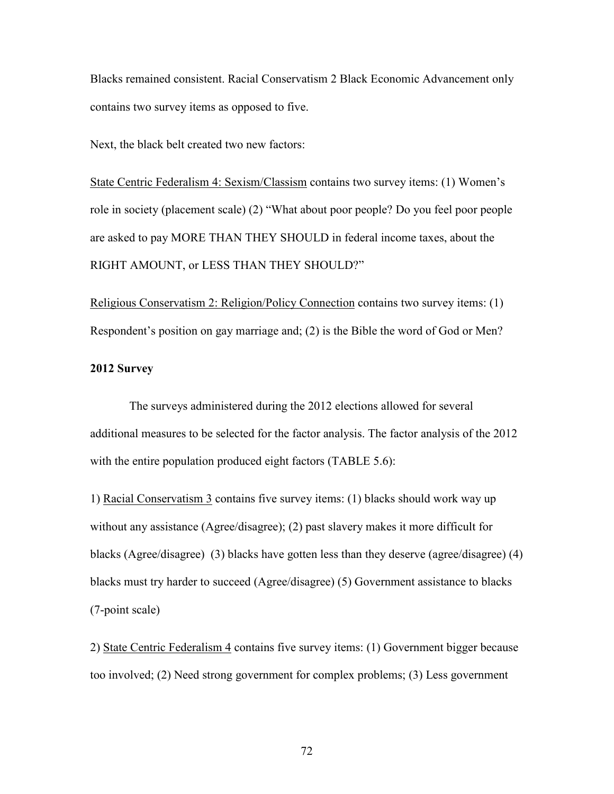Blacks remained consistent. Racial Conservatism 2 Black Economic Advancement only contains two survey items as opposed to five.

Next, the black belt created two new factors:

State Centric Federalism 4: Sexism/Classism contains two survey items: (1) Women's role in society (placement scale) (2) "What about poor people? Do you feel poor people are asked to pay MORE THAN THEY SHOULD in federal income taxes, about the RIGHT AMOUNT, or LESS THAN THEY SHOULD?"

Religious Conservatism 2: Religion/Policy Connection contains two survey items: (1) Respondent's position on gay marriage and; (2) is the Bible the word of God or Men?

### **2012 Survey**

 The surveys administered during the 2012 elections allowed for several additional measures to be selected for the factor analysis. The factor analysis of the 2012 with the entire population produced eight factors (TABLE 5.6):

1) Racial Conservatism 3 contains five survey items: (1) blacks should work way up without any assistance (Agree/disagree); (2) past slavery makes it more difficult for blacks (Agree/disagree) (3) blacks have gotten less than they deserve (agree/disagree) (4) blacks must try harder to succeed (Agree/disagree) (5) Government assistance to blacks (7-point scale)

2) State Centric Federalism 4 contains five survey items: (1) Government bigger because too involved; (2) Need strong government for complex problems; (3) Less government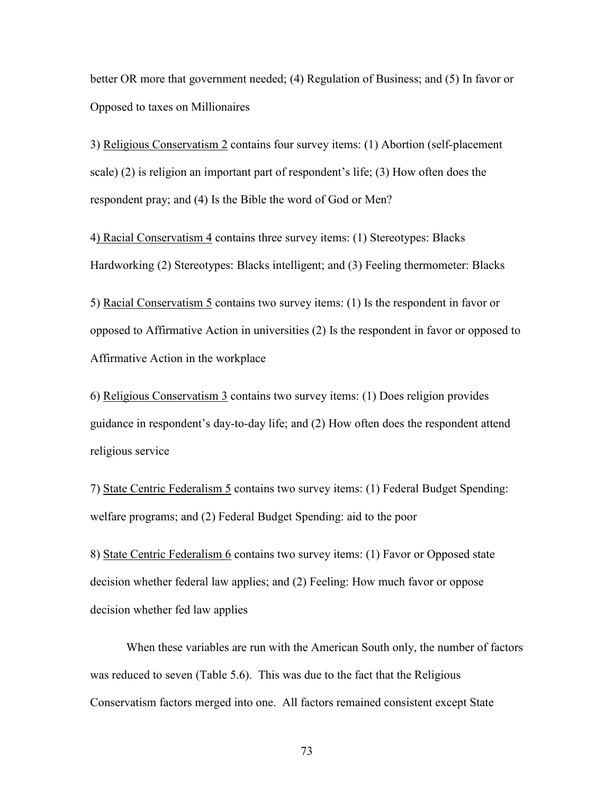better OR more that government needed; (4) Regulation of Business; and (5) In favor or Opposed to taxes on Millionaires

3) Religious Conservatism 2 contains four survey items: (1) Abortion (self-placement scale) (2) is religion an important part of respondent's life; (3) How often does the respondent pray; and (4) Is the Bible the word of God or Men?

4) Racial Conservatism 4 contains three survey items: (1) Stereotypes: Blacks Hardworking (2) Stereotypes: Blacks intelligent; and (3) Feeling thermometer: Blacks

5) Racial Conservatism 5 contains two survey items: (1) Is the respondent in favor or opposed to Affirmative Action in universities (2) Is the respondent in favor or opposed to Affirmative Action in the workplace

6) Religious Conservatism 3 contains two survey items: (1) Does religion provides guidance in respondent's day-to-day life; and (2) How often does the respondent attend religious service

7) State Centric Federalism 5 contains two survey items: (1) Federal Budget Spending: welfare programs; and (2) Federal Budget Spending: aid to the poor

8) State Centric Federalism 6 contains two survey items: (1) Favor or Opposed state decision whether federal law applies; and (2) Feeling: How much favor or oppose decision whether fed law applies

When these variables are run with the American South only, the number of factors was reduced to seven (Table 5.6). This was due to the fact that the Religious Conservatism factors merged into one. All factors remained consistent except State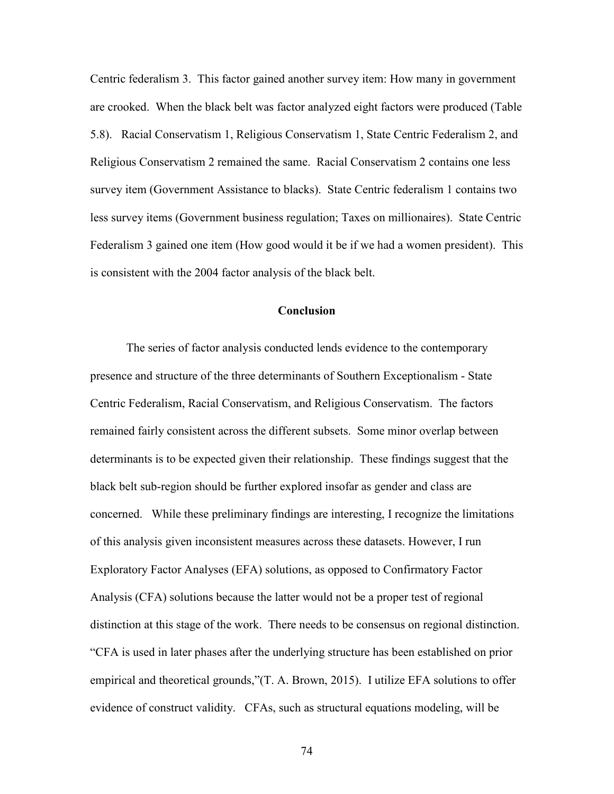Centric federalism 3. This factor gained another survey item: How many in government are crooked. When the black belt was factor analyzed eight factors were produced (Table 5.8). Racial Conservatism 1, Religious Conservatism 1, State Centric Federalism 2, and Religious Conservatism 2 remained the same. Racial Conservatism 2 contains one less survey item (Government Assistance to blacks). State Centric federalism 1 contains two less survey items (Government business regulation; Taxes on millionaires). State Centric Federalism 3 gained one item (How good would it be if we had a women president). This is consistent with the 2004 factor analysis of the black belt.

#### **Conclusion**

The series of factor analysis conducted lends evidence to the contemporary presence and structure of the three determinants of Southern Exceptionalism - State Centric Federalism, Racial Conservatism, and Religious Conservatism. The factors remained fairly consistent across the different subsets. Some minor overlap between determinants is to be expected given their relationship. These findings suggest that the black belt sub-region should be further explored insofar as gender and class are concerned. While these preliminary findings are interesting, I recognize the limitations of this analysis given inconsistent measures across these datasets. However, I run Exploratory Factor Analyses (EFA) solutions, as opposed to Confirmatory Factor Analysis (CFA) solutions because the latter would not be a proper test of regional distinction at this stage of the work. There needs to be consensus on regional distinction. "CFA is used in later phases after the underlying structure has been established on prior empirical and theoretical grounds,"(T. A. Brown, 2015). I utilize EFA solutions to offer evidence of construct validity. CFAs, such as structural equations modeling, will be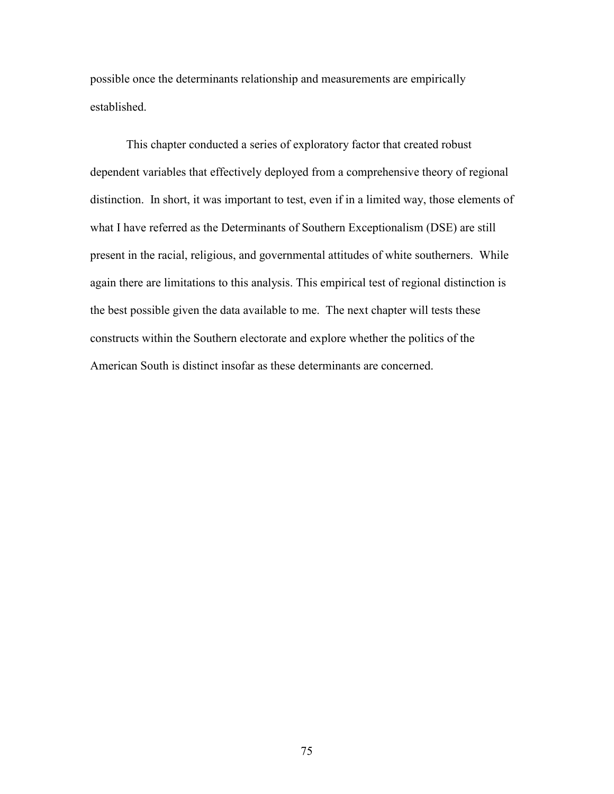possible once the determinants relationship and measurements are empirically established.

This chapter conducted a series of exploratory factor that created robust dependent variables that effectively deployed from a comprehensive theory of regional distinction. In short, it was important to test, even if in a limited way, those elements of what I have referred as the Determinants of Southern Exceptionalism (DSE) are still present in the racial, religious, and governmental attitudes of white southerners. While again there are limitations to this analysis. This empirical test of regional distinction is the best possible given the data available to me. The next chapter will tests these constructs within the Southern electorate and explore whether the politics of the American South is distinct insofar as these determinants are concerned.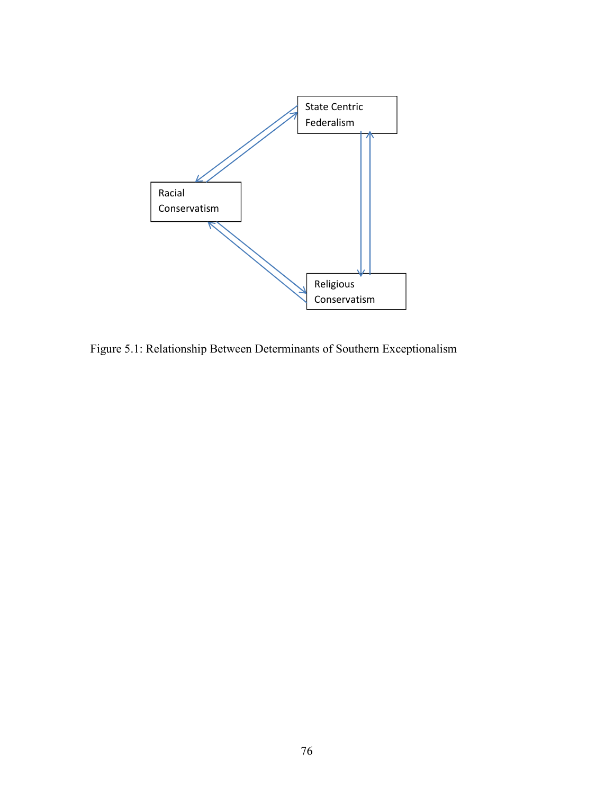

Figure 5.1: Relationship Between Determinants of Southern Exceptionalism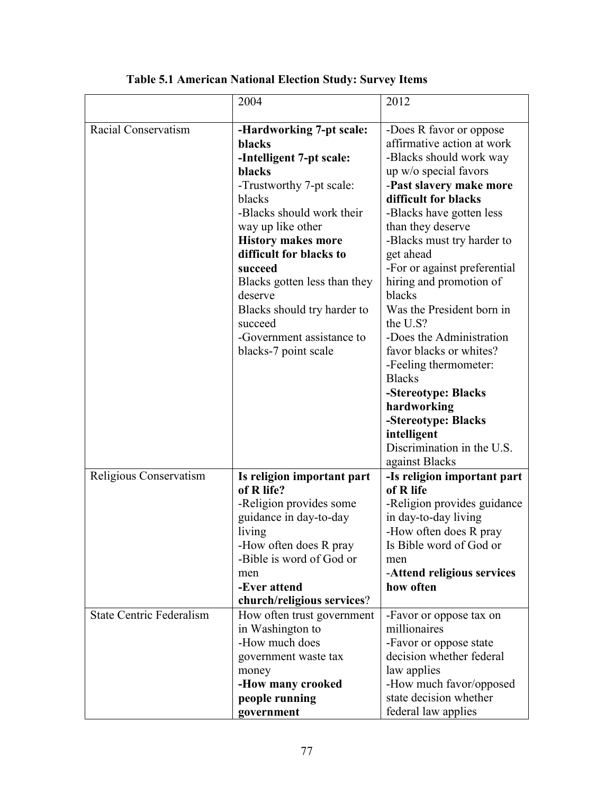|                                 | 2004                                                                                                                                                                                                                                                                                                                                                                          | 2012                                                                                                                                                                                                                                                                                                                                                                                                                                                                                                                                                                                                |
|---------------------------------|-------------------------------------------------------------------------------------------------------------------------------------------------------------------------------------------------------------------------------------------------------------------------------------------------------------------------------------------------------------------------------|-----------------------------------------------------------------------------------------------------------------------------------------------------------------------------------------------------------------------------------------------------------------------------------------------------------------------------------------------------------------------------------------------------------------------------------------------------------------------------------------------------------------------------------------------------------------------------------------------------|
| Racial Conservatism             | -Hardworking 7-pt scale:<br>blacks<br>-Intelligent 7-pt scale:<br>blacks<br>-Trustworthy 7-pt scale:<br>blacks<br>-Blacks should work their<br>way up like other<br><b>History makes more</b><br>difficult for blacks to<br>succeed<br>Blacks gotten less than they<br>deserve<br>Blacks should try harder to<br>succeed<br>-Government assistance to<br>blacks-7 point scale | -Does R favor or oppose<br>affirmative action at work<br>-Blacks should work way<br>up w/o special favors<br>-Past slavery make more<br>difficult for blacks<br>-Blacks have gotten less<br>than they deserve<br>-Blacks must try harder to<br>get ahead<br>-For or against preferential<br>hiring and promotion of<br>blacks<br>Was the President born in<br>the U.S?<br>-Does the Administration<br>favor blacks or whites?<br>-Feeling thermometer:<br><b>Blacks</b><br>-Stereotype: Blacks<br>hardworking<br>-Stereotype: Blacks<br>intelligent<br>Discrimination in the U.S.<br>against Blacks |
| Religious Conservatism          | Is religion important part<br>of R life?<br>-Religion provides some<br>guidance in day-to-day<br>living<br>-How often does R pray<br>-Bible is word of God or<br>men<br>-Ever attend<br>church/religious services?                                                                                                                                                            | -Is religion important part<br>of R life<br>-Religion provides guidance<br>in day-to-day living<br>-How often does R pray<br>Is Bible word of God or<br>men<br>-Attend religious services<br>how often                                                                                                                                                                                                                                                                                                                                                                                              |
| <b>State Centric Federalism</b> | How often trust government<br>in Washington to<br>-How much does<br>government waste tax<br>money<br>-How many crooked<br>people running<br>government                                                                                                                                                                                                                        | -Favor or oppose tax on<br>millionaires<br>-Favor or oppose state<br>decision whether federal<br>law applies<br>-How much favor/opposed<br>state decision whether<br>federal law applies                                                                                                                                                                                                                                                                                                                                                                                                            |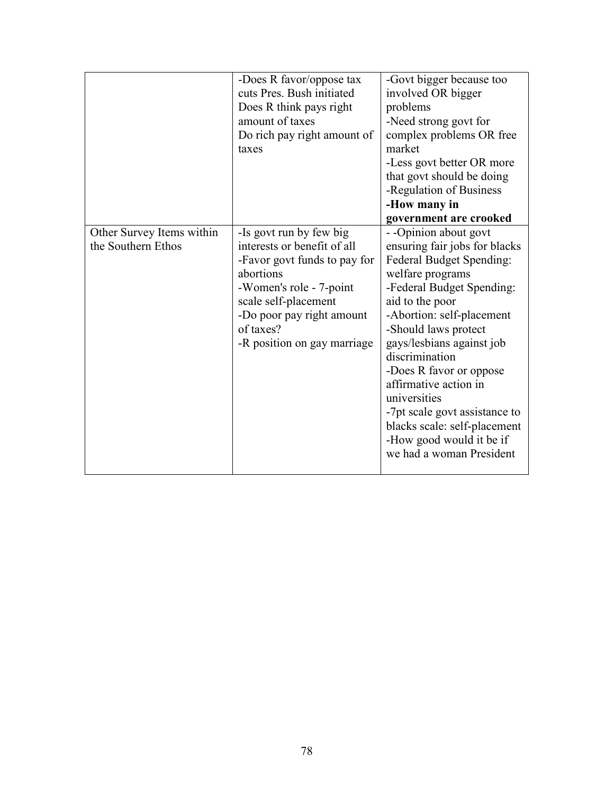|                                                 | -Does R favor/oppose tax<br>cuts Pres. Bush initiated<br>Does R think pays right<br>amount of taxes<br>Do rich pay right amount of<br>taxes                                                                                     | -Govt bigger because too<br>involved OR bigger<br>problems<br>-Need strong govt for<br>complex problems OR free<br>market<br>-Less govt better OR more<br>that govt should be doing<br>-Regulation of Business<br>-How many in<br>government are crooked                                                                                                                                                                                               |
|-------------------------------------------------|---------------------------------------------------------------------------------------------------------------------------------------------------------------------------------------------------------------------------------|--------------------------------------------------------------------------------------------------------------------------------------------------------------------------------------------------------------------------------------------------------------------------------------------------------------------------------------------------------------------------------------------------------------------------------------------------------|
| Other Survey Items within<br>the Southern Ethos | -Is govt run by few big<br>interests or benefit of all<br>-Favor govt funds to pay for<br>abortions<br>-Women's role - 7-point<br>scale self-placement<br>-Do poor pay right amount<br>of taxes?<br>-R position on gay marriage | --Opinion about govt<br>ensuring fair jobs for blacks<br>Federal Budget Spending:<br>welfare programs<br>-Federal Budget Spending:<br>aid to the poor<br>-Abortion: self-placement<br>-Should laws protect<br>gays/lesbians against job<br>discrimination<br>-Does R favor or oppose<br>affirmative action in<br>universities<br>-7pt scale govt assistance to<br>blacks scale: self-placement<br>-How good would it be if<br>we had a woman President |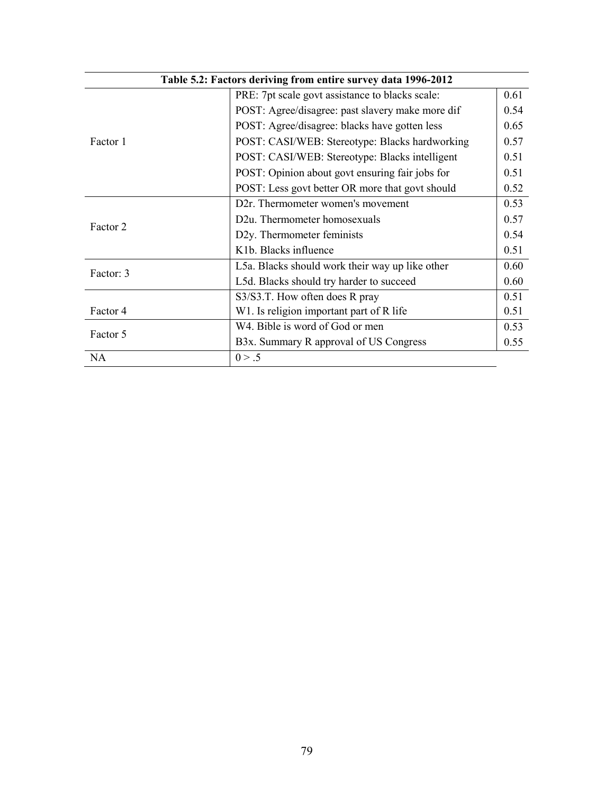|           | Table 5.2: Factors deriving from entire survey data 1996-2012 |      |
|-----------|---------------------------------------------------------------|------|
|           | PRE: 7pt scale govt assistance to blacks scale:               | 0.61 |
|           | POST: Agree/disagree: past slavery make more dif              | 0.54 |
|           | POST: Agree/disagree: blacks have gotten less                 | 0.65 |
| Factor 1  | POST: CASI/WEB: Stereotype: Blacks hardworking                | 0.57 |
|           | POST: CASI/WEB: Stereotype: Blacks intelligent                | 0.51 |
|           | POST: Opinion about govt ensuring fair jobs for               | 0.51 |
|           | POST: Less govt better OR more that govt should               | 0.52 |
|           | D2r. Thermometer women's movement                             | 0.53 |
| Factor 2  | D2u. Thermometer homosexuals                                  | 0.57 |
|           | D2y. Thermometer feminists                                    | 0.54 |
|           | K <sub>1</sub> b. Blacks influence                            | 0.51 |
| Factor: 3 | L5a. Blacks should work their way up like other               | 0.60 |
|           | L5d. Blacks should try harder to succeed                      | 0.60 |
|           | S3/S3.T. How often does R pray                                | 0.51 |
| Factor 4  | W1. Is religion important part of R life                      | 0.51 |
| Factor 5  | W4. Bible is word of God or men                               | 0.53 |
|           | B3x. Summary R approval of US Congress                        | 0.55 |
| <b>NA</b> | 0 > .5                                                        |      |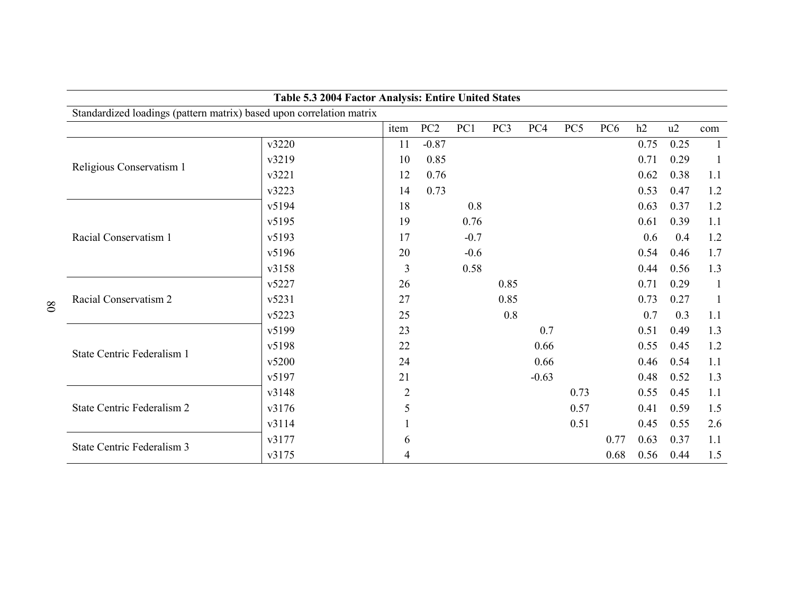|                                                                      |       | Table 5.3 2004 Factor Analysis: Entire United States |                 |        |                 |         |      |                 |      |      |              |
|----------------------------------------------------------------------|-------|------------------------------------------------------|-----------------|--------|-----------------|---------|------|-----------------|------|------|--------------|
| Standardized loadings (pattern matrix) based upon correlation matrix |       |                                                      |                 |        |                 |         |      |                 |      |      |              |
|                                                                      |       | item                                                 | PC <sub>2</sub> | PC1    | PC <sub>3</sub> | PC4     | PC5  | PC <sub>6</sub> | h2   | u2   | com          |
|                                                                      | v3220 | 11                                                   | $-0.87$         |        |                 |         |      |                 | 0.75 | 0.25 | 1            |
| Religious Conservatism 1                                             | v3219 | 10                                                   | 0.85            |        |                 |         |      |                 | 0.71 | 0.29 | -1           |
|                                                                      | v3221 | 12                                                   | 0.76            |        |                 |         |      |                 | 0.62 | 0.38 | 1.1          |
|                                                                      | v3223 | 14                                                   | 0.73            |        |                 |         |      |                 | 0.53 | 0.47 | 1.2          |
|                                                                      | v5194 | 18                                                   |                 | 0.8    |                 |         |      |                 | 0.63 | 0.37 | 1.2          |
|                                                                      | v5195 | 19                                                   |                 | 0.76   |                 |         |      |                 | 0.61 | 0.39 | 1.1          |
| Racial Conservatism 1                                                | v5193 | 17                                                   |                 | $-0.7$ |                 |         |      |                 | 0.6  | 0.4  | 1.2          |
|                                                                      | v5196 | 20                                                   |                 | $-0.6$ |                 |         |      |                 | 0.54 | 0.46 | 1.7          |
|                                                                      | v3158 | 3                                                    |                 | 0.58   |                 |         |      |                 | 0.44 | 0.56 | 1.3          |
|                                                                      | v5227 | 26                                                   |                 |        | 0.85            |         |      |                 | 0.71 | 0.29 | $\mathbf{1}$ |
| Racial Conservatism 2                                                | v5231 | 27                                                   |                 |        | 0.85            |         |      |                 | 0.73 | 0.27 | -1           |
|                                                                      | v5223 | 25                                                   |                 |        | 0.8             |         |      |                 | 0.7  | 0.3  | 1.1          |
|                                                                      | v5199 | 23                                                   |                 |        |                 | 0.7     |      |                 | 0.51 | 0.49 | 1.3          |
| State Centric Federalism 1                                           | v5198 | 22                                                   |                 |        |                 | 0.66    |      |                 | 0.55 | 0.45 | 1.2          |
|                                                                      | v5200 | 24                                                   |                 |        |                 | 0.66    |      |                 | 0.46 | 0.54 | 1.1          |
|                                                                      | v5197 | 21                                                   |                 |        |                 | $-0.63$ |      |                 | 0.48 | 0.52 | 1.3          |
|                                                                      | v3148 | $\overline{2}$                                       |                 |        |                 |         | 0.73 |                 | 0.55 | 0.45 | 1.1          |
| State Centric Federalism 2                                           | v3176 | 5                                                    |                 |        |                 |         | 0.57 |                 | 0.41 | 0.59 | 1.5          |
|                                                                      | v3114 |                                                      |                 |        |                 |         | 0.51 |                 | 0.45 | 0.55 | 2.6          |
| State Centric Federalism 3                                           | v3177 | 6                                                    |                 |        |                 |         |      | 0.77            | 0.63 | 0.37 | 1.1          |
|                                                                      | v3175 | 4                                                    |                 |        |                 |         |      | 0.68            | 0.56 | 0.44 | 1.5          |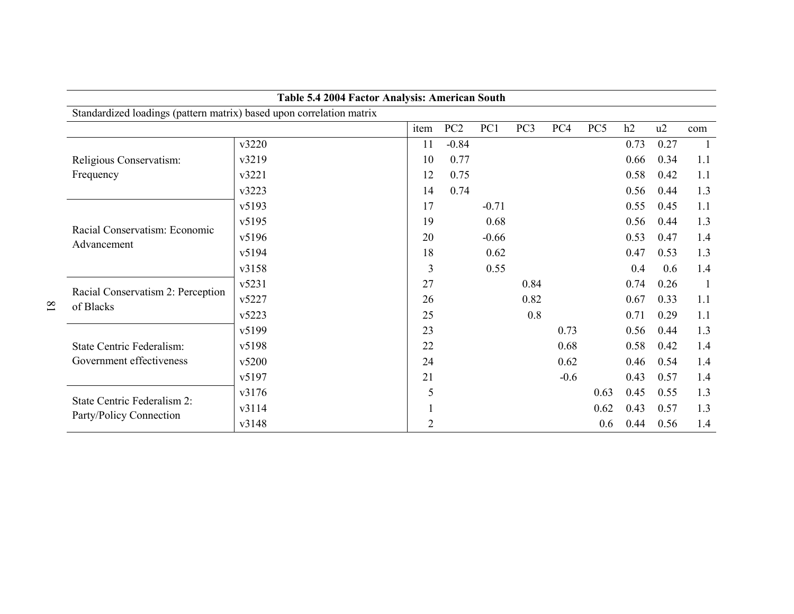| Table 5.4 2004 Factor Analysis: American South                       |       |      |                 |         |                 |        |                 |      |      |                |  |
|----------------------------------------------------------------------|-------|------|-----------------|---------|-----------------|--------|-----------------|------|------|----------------|--|
| Standardized loadings (pattern matrix) based upon correlation matrix |       |      |                 |         |                 |        |                 |      |      |                |  |
|                                                                      |       | item | PC <sub>2</sub> | PC1     | PC <sub>3</sub> | PC4    | PC <sub>5</sub> | h2   | u2   | com            |  |
|                                                                      | v3220 | 11   | $-0.84$         |         |                 |        |                 | 0.73 | 0.27 |                |  |
| Religious Conservatism:                                              | v3219 | 10   | 0.77            |         |                 |        |                 | 0.66 | 0.34 | 1.1            |  |
| Frequency                                                            | v3221 | 12   | 0.75            |         |                 |        |                 | 0.58 | 0.42 | 1.1            |  |
|                                                                      | v3223 | 14   | 0.74            |         |                 |        |                 | 0.56 | 0.44 | 1.3            |  |
|                                                                      | v5193 | 17   |                 | $-0.71$ |                 |        |                 | 0.55 | 0.45 | 1.1            |  |
|                                                                      | v5195 | 19   |                 | 0.68    |                 |        |                 | 0.56 | 0.44 | 1.3            |  |
| Racial Conservatism: Economic<br>Advancement                         | v5196 | 20   |                 | $-0.66$ |                 |        |                 | 0.53 | 0.47 | 1.4            |  |
|                                                                      | v5194 | 18   |                 | 0.62    |                 |        |                 | 0.47 | 0.53 | 1.3            |  |
|                                                                      | v3158 | 3    |                 | 0.55    |                 |        |                 | 0.4  | 0.6  | 1.4            |  |
|                                                                      | v5231 | 27   |                 |         | 0.84            |        |                 | 0.74 | 0.26 | $\overline{1}$ |  |
| Racial Conservatism 2: Perception<br>of Blacks                       | v5227 | 26   |                 |         | 0.82            |        |                 | 0.67 | 0.33 | 1.1            |  |
|                                                                      | v5223 | 25   |                 |         | 0.8             |        |                 | 0.71 | 0.29 | 1.1            |  |
|                                                                      | v5199 | 23   |                 |         |                 | 0.73   |                 | 0.56 | 0.44 | 1.3            |  |
| State Centric Federalism:                                            | v5198 | 22   |                 |         |                 | 0.68   |                 | 0.58 | 0.42 | 1.4            |  |
| Government effectiveness                                             | v5200 | 24   |                 |         |                 | 0.62   |                 | 0.46 | 0.54 | 1.4            |  |
|                                                                      | v5197 | 21   |                 |         |                 | $-0.6$ |                 | 0.43 | 0.57 | 1.4            |  |
|                                                                      | v3176 | 5    |                 |         |                 |        | 0.63            | 0.45 | 0.55 | 1.3            |  |
| State Centric Federalism 2:                                          | v3114 |      |                 |         |                 |        | 0.62            | 0.43 | 0.57 | 1.3            |  |
| Party/Policy Connection                                              | v3148 | 2    |                 |         |                 |        | 0.6             | 0.44 | 0.56 | 1.4            |  |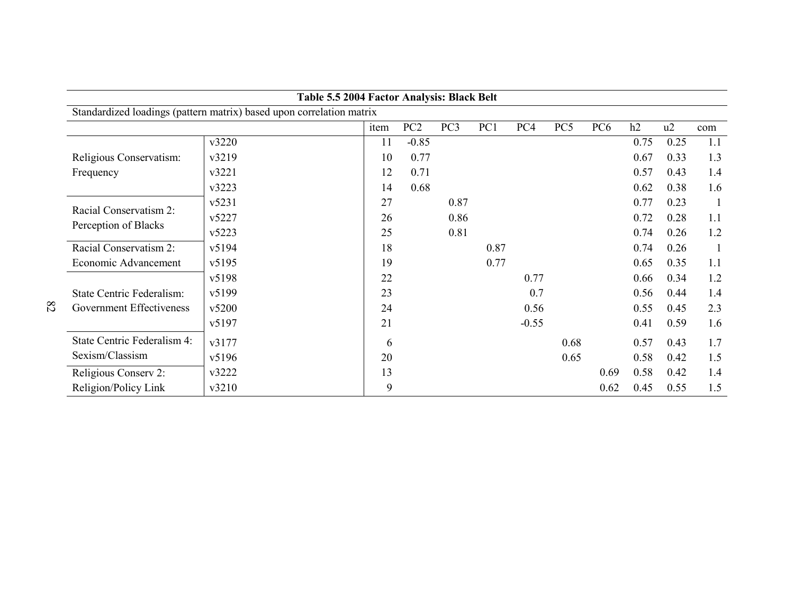| Table 5.5 2004 Factor Analysis: Black Belt |                                                                      |      |                 |                 |      |         |      |                 |      |      |     |
|--------------------------------------------|----------------------------------------------------------------------|------|-----------------|-----------------|------|---------|------|-----------------|------|------|-----|
|                                            | Standardized loadings (pattern matrix) based upon correlation matrix |      |                 |                 |      |         |      |                 |      |      |     |
|                                            |                                                                      | item | PC <sub>2</sub> | PC <sub>3</sub> | PC1  | PC4     | PC5  | PC <sub>6</sub> | h2   | u2   | com |
|                                            | v3220                                                                | 11   | $-0.85$         |                 |      |         |      |                 | 0.75 | 0.25 | 1.1 |
| Religious Conservatism:                    | v3219                                                                | 10   | 0.77            |                 |      |         |      |                 | 0.67 | 0.33 | 1.3 |
| Frequency                                  | v3221                                                                | 12   | 0.71            |                 |      |         |      |                 | 0.57 | 0.43 | 1.4 |
|                                            | v3223                                                                | 14   | 0.68            |                 |      |         |      |                 | 0.62 | 0.38 | 1.6 |
|                                            | v5231                                                                | 27   |                 | 0.87            |      |         |      |                 | 0.77 | 0.23 |     |
| Racial Conservatism 2:                     | v5227                                                                | 26   |                 | 0.86            |      |         |      |                 | 0.72 | 0.28 | 1.1 |
| Perception of Blacks                       | v5223                                                                | 25   |                 | 0.81            |      |         |      |                 | 0.74 | 0.26 | 1.2 |
| Racial Conservatism 2:                     | v5194                                                                | 18   |                 |                 | 0.87 |         |      |                 | 0.74 | 0.26 |     |
| Economic Advancement                       | v5195                                                                | 19   |                 |                 | 0.77 |         |      |                 | 0.65 | 0.35 | 1.1 |
|                                            | v5198                                                                | 22   |                 |                 |      | 0.77    |      |                 | 0.66 | 0.34 | 1.2 |
| State Centric Federalism:                  | v5199                                                                | 23   |                 |                 |      | 0.7     |      |                 | 0.56 | 0.44 | 1.4 |
| Government Effectiveness                   | v5200                                                                | 24   |                 |                 |      | 0.56    |      |                 | 0.55 | 0.45 | 2.3 |
|                                            | v5197                                                                | 21   |                 |                 |      | $-0.55$ |      |                 | 0.41 | 0.59 | 1.6 |
| State Centric Federalism 4:                | v3177                                                                | 6    |                 |                 |      |         | 0.68 |                 | 0.57 | 0.43 | 1.7 |
| Sexism/Classism                            | v5196                                                                | 20   |                 |                 |      |         | 0.65 |                 | 0.58 | 0.42 | 1.5 |
| Religious Conserv 2:                       | v3222                                                                | 13   |                 |                 |      |         |      | 0.69            | 0.58 | 0.42 | 1.4 |
| Religion/Policy Link                       | v3210                                                                | 9    |                 |                 |      |         |      | 0.62            | 0.45 | 0.55 | 1.5 |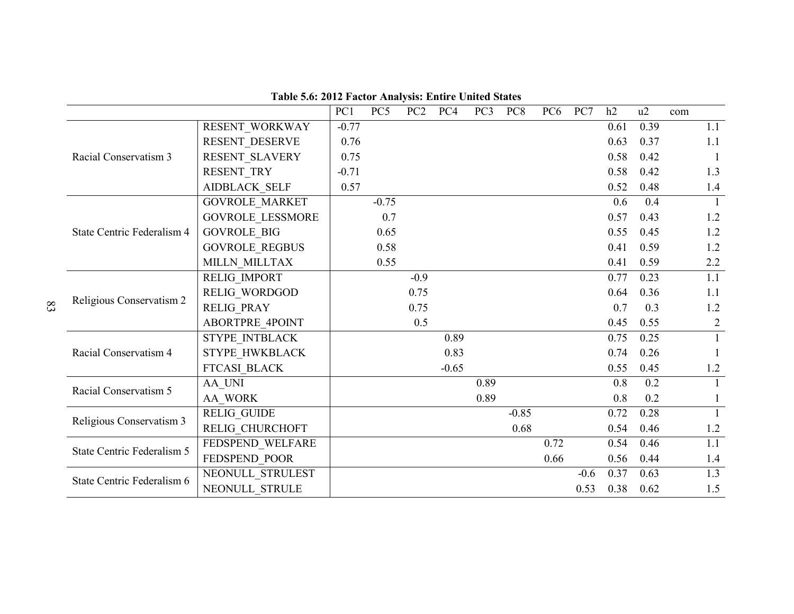|                            |                         | PC1     | PC5     | PC <sub>2</sub> | PC4     | PC <sub>3</sub> | PC <sub>8</sub> | PC <sub>6</sub> | PC7    | h2   | u2   | com |                |
|----------------------------|-------------------------|---------|---------|-----------------|---------|-----------------|-----------------|-----------------|--------|------|------|-----|----------------|
|                            | RESENT WORKWAY          | $-0.77$ |         |                 |         |                 |                 |                 |        | 0.61 | 0.39 |     | 1.1            |
|                            | RESENT DESERVE          | 0.76    |         |                 |         |                 |                 |                 |        | 0.63 | 0.37 |     | 1.1            |
| Racial Conservatism 3      | RESENT SLAVERY          | 0.75    |         |                 |         |                 |                 |                 |        | 0.58 | 0.42 |     | $\overline{1}$ |
|                            | RESENT TRY              | $-0.71$ |         |                 |         |                 |                 |                 |        | 0.58 | 0.42 |     | 1.3            |
|                            | <b>AIDBLACK SELF</b>    | 0.57    |         |                 |         |                 |                 |                 |        | 0.52 | 0.48 |     | 1.4            |
|                            | <b>GOVROLE MARKET</b>   |         | $-0.75$ |                 |         |                 |                 |                 |        | 0.6  | 0.4  |     | $\overline{1}$ |
|                            | <b>GOVROLE LESSMORE</b> |         | 0.7     |                 |         |                 |                 |                 |        | 0.57 | 0.43 |     | 1.2            |
| State Centric Federalism 4 | <b>GOVROLE BIG</b>      |         | 0.65    |                 |         |                 |                 |                 |        | 0.55 | 0.45 |     | 1.2            |
|                            | <b>GOVROLE_REGBUS</b>   |         | 0.58    |                 |         |                 |                 |                 |        | 0.41 | 0.59 |     | 1.2            |
|                            | MILLN MILLTAX           |         | 0.55    |                 |         |                 |                 |                 |        | 0.41 | 0.59 |     | 2.2            |
|                            | RELIG IMPORT            |         |         | $-0.9$          |         |                 |                 |                 |        | 0.77 | 0.23 |     | 1.1            |
| Religious Conservatism 2   | RELIG WORDGOD           |         |         | 0.75            |         |                 |                 |                 |        | 0.64 | 0.36 |     | 1.1            |
|                            | <b>RELIG PRAY</b>       |         |         | 0.75            |         |                 |                 |                 |        | 0.7  | 0.3  |     | 1.2            |
|                            | <b>ABORTPRE 4POINT</b>  |         |         | 0.5             |         |                 |                 |                 |        | 0.45 | 0.55 |     | $\overline{2}$ |
|                            | STYPE_INTBLACK          |         |         |                 | 0.89    |                 |                 |                 |        | 0.75 | 0.25 |     | $\mathbf{1}$   |
| Racial Conservatism 4      | STYPE HWKBLACK          |         |         |                 | 0.83    |                 |                 |                 |        | 0.74 | 0.26 |     |                |
|                            | FTCASI_BLACK            |         |         |                 | $-0.65$ |                 |                 |                 |        | 0.55 | 0.45 |     | 1.2            |
| Racial Conservatism 5      | AA UNI                  |         |         |                 |         | 0.89            |                 |                 |        | 0.8  | 0.2  |     |                |
|                            | AA WORK                 |         |         |                 |         | 0.89            |                 |                 |        | 0.8  | 0.2  |     |                |
| Religious Conservatism 3   | <b>RELIG GUIDE</b>      |         |         |                 |         |                 | $-0.85$         |                 |        | 0.72 | 0.28 |     | $\mathbf{1}$   |
|                            | RELIG CHURCHOFT         |         |         |                 |         |                 | 0.68            |                 |        | 0.54 | 0.46 |     | 1.2            |
|                            | FEDSPEND_WELFARE        |         |         |                 |         |                 |                 | 0.72            |        | 0.54 | 0.46 |     | 1.1            |
| State Centric Federalism 5 | FEDSPEND POOR           |         |         |                 |         |                 |                 | 0.66            |        | 0.56 | 0.44 |     | 1.4            |
| State Centric Federalism 6 | NEONULL STRULEST        |         |         |                 |         |                 |                 |                 | $-0.6$ | 0.37 | 0.63 |     | 1.3            |
|                            | NEONULL STRULE          |         |         |                 |         |                 |                 |                 | 0.53   | 0.38 | 0.62 |     | 1.5            |

**Table 5.6: 2012 Factor Analysis: Entire United States**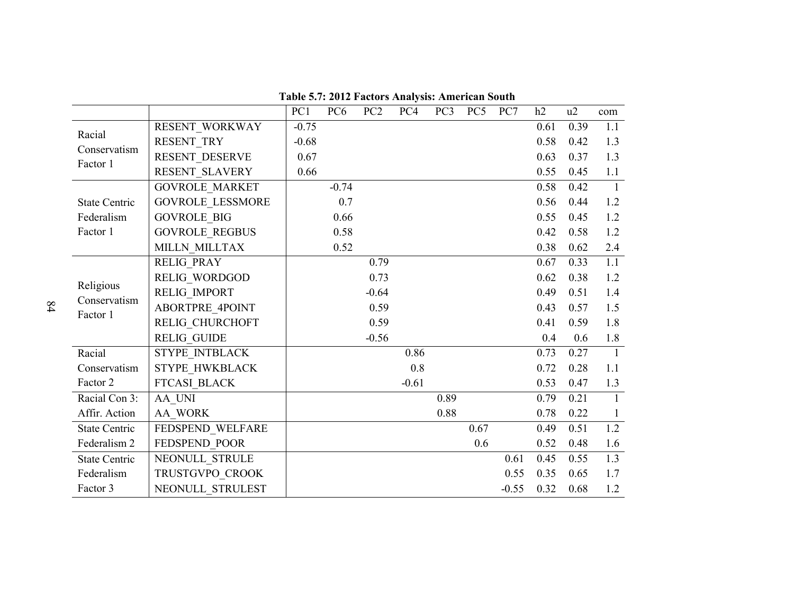|                           |                         | PC1     | PC <sub>6</sub> | PC <sub>2</sub> | PC4     | PC3  | PC5  | PC7     | h2   | u2   | com              |
|---------------------------|-------------------------|---------|-----------------|-----------------|---------|------|------|---------|------|------|------------------|
| Racial                    | RESENT_WORKWAY          | $-0.75$ |                 |                 |         |      |      |         | 0.61 | 0.39 | 1.1              |
| Conservatism              | RESENT TRY              | $-0.68$ |                 |                 |         |      |      |         | 0.58 | 0.42 | 1.3              |
| Factor 1                  | RESENT DESERVE          | 0.67    |                 |                 |         |      |      |         | 0.63 | 0.37 | 1.3              |
|                           | RESENT SLAVERY          | 0.66    |                 |                 |         |      |      |         | 0.55 | 0.45 | 1.1              |
|                           | <b>GOVROLE MARKET</b>   |         | $-0.74$         |                 |         |      |      |         | 0.58 | 0.42 | $\mathbf{1}$     |
| <b>State Centric</b>      | <b>GOVROLE LESSMORE</b> |         | 0.7             |                 |         |      |      |         | 0.56 | 0.44 | 1.2              |
| Federalism                | <b>GOVROLE BIG</b>      |         | 0.66            |                 |         |      |      |         | 0.55 | 0.45 | 1.2              |
| Factor 1                  | <b>GOVROLE REGBUS</b>   |         | 0.58            |                 |         |      |      |         | 0.42 | 0.58 | 1.2              |
|                           | MILLN MILLTAX           |         | 0.52            |                 |         |      |      |         | 0.38 | 0.62 | 2.4              |
|                           | <b>RELIG PRAY</b>       |         |                 | 0.79            |         |      |      |         | 0.67 | 0.33 | $\overline{1.1}$ |
|                           | RELIG WORDGOD           |         |                 | 0.73            |         |      |      |         | 0.62 | 0.38 | 1.2              |
| Religious<br>Conservatism | RELIG IMPORT            |         |                 | $-0.64$         |         |      |      |         | 0.49 | 0.51 | 1.4              |
| Factor 1                  | <b>ABORTPRE 4POINT</b>  |         |                 | 0.59            |         |      |      |         | 0.43 | 0.57 | 1.5              |
|                           | RELIG CHURCHOFT         |         |                 | 0.59            |         |      |      |         | 0.41 | 0.59 | 1.8              |
|                           | <b>RELIG GUIDE</b>      |         |                 | $-0.56$         |         |      |      |         | 0.4  | 0.6  | 1.8              |
| Racial                    | STYPE INTBLACK          |         |                 |                 | 0.86    |      |      |         | 0.73 | 0.27 | $\overline{1}$   |
| Conservatism              | STYPE HWKBLACK          |         |                 |                 | 0.8     |      |      |         | 0.72 | 0.28 | 1.1              |
| Factor 2                  | FTCASI BLACK            |         |                 |                 | $-0.61$ |      |      |         | 0.53 | 0.47 | 1.3              |
| Racial Con 3:             | AA UNI                  |         |                 |                 |         | 0.89 |      |         | 0.79 | 0.21 | $\mathbf{1}$     |
| Affir. Action             | AA WORK                 |         |                 |                 |         | 0.88 |      |         | 0.78 | 0.22 | 1                |
| <b>State Centric</b>      | FEDSPEND WELFARE        |         |                 |                 |         |      | 0.67 |         | 0.49 | 0.51 | $\overline{1.2}$ |
| Federalism 2              | FEDSPEND POOR           |         |                 |                 |         |      | 0.6  |         | 0.52 | 0.48 | 1.6              |
| <b>State Centric</b>      | NEONULL_STRULE          |         |                 |                 |         |      |      | 0.61    | 0.45 | 0.55 | 1.3              |
| Federalism                | TRUSTGVPO CROOK         |         |                 |                 |         |      |      | 0.55    | 0.35 | 0.65 | 1.7              |
| Factor 3                  | NEONULL STRULEST        |         |                 |                 |         |      |      | $-0.55$ | 0.32 | 0.68 | 1.2              |

**Table 5.7: 2012 Factors Analysis: American South**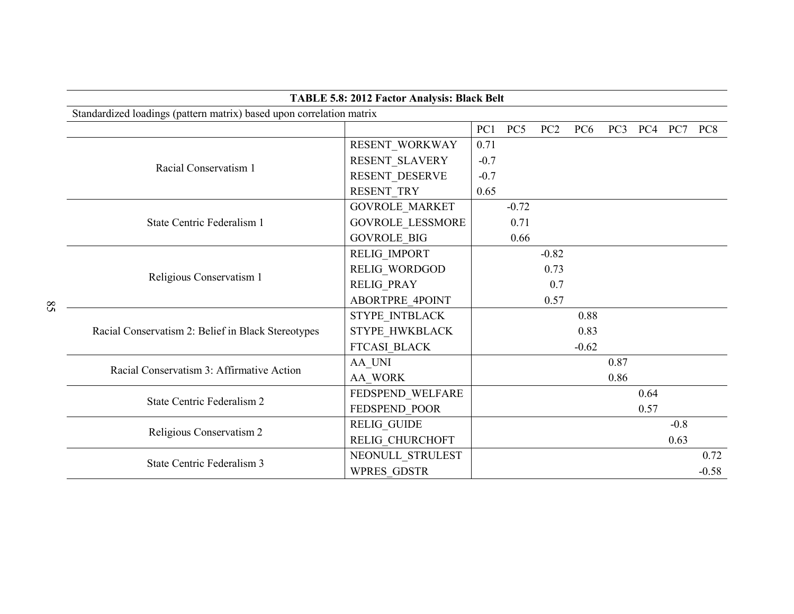|                                                                      | TABLE 5.8: 2012 Factor Analysis: Black Belt |        |         |                 |                 |                 |      |        |                 |  |  |  |
|----------------------------------------------------------------------|---------------------------------------------|--------|---------|-----------------|-----------------|-----------------|------|--------|-----------------|--|--|--|
| Standardized loadings (pattern matrix) based upon correlation matrix |                                             |        |         |                 |                 |                 |      |        |                 |  |  |  |
|                                                                      |                                             | PC1    | PC5     | PC <sub>2</sub> | PC <sub>6</sub> | PC <sub>3</sub> | PC4  | PC7    | PC <sub>8</sub> |  |  |  |
|                                                                      | RESENT WORKWAY                              | 0.71   |         |                 |                 |                 |      |        |                 |  |  |  |
| Racial Conservatism 1                                                | RESENT SLAVERY                              | $-0.7$ |         |                 |                 |                 |      |        |                 |  |  |  |
|                                                                      | RESENT DESERVE                              | $-0.7$ |         |                 |                 |                 |      |        |                 |  |  |  |
|                                                                      | RESENT TRY                                  | 0.65   |         |                 |                 |                 |      |        |                 |  |  |  |
|                                                                      | <b>GOVROLE MARKET</b>                       |        | $-0.72$ |                 |                 |                 |      |        |                 |  |  |  |
| State Centric Federalism 1                                           | <b>GOVROLE LESSMORE</b>                     |        | 0.71    |                 |                 |                 |      |        |                 |  |  |  |
|                                                                      | <b>GOVROLE BIG</b>                          |        | 0.66    |                 |                 |                 |      |        |                 |  |  |  |
|                                                                      | RELIG_IMPORT                                |        |         | $-0.82$         |                 |                 |      |        |                 |  |  |  |
| Religious Conservatism 1                                             | RELIG_WORDGOD                               |        |         | 0.73            |                 |                 |      |        |                 |  |  |  |
|                                                                      | <b>RELIG PRAY</b>                           |        |         | 0.7             |                 |                 |      |        |                 |  |  |  |
|                                                                      | ABORTPRE_4POINT                             |        |         | 0.57            |                 |                 |      |        |                 |  |  |  |
|                                                                      | STYPE INTBLACK                              |        |         |                 | 0.88            |                 |      |        |                 |  |  |  |
| Racial Conservatism 2: Belief in Black Stereotypes                   | STYPE HWKBLACK                              |        |         |                 | 0.83            |                 |      |        |                 |  |  |  |
|                                                                      | FTCASI BLACK                                |        |         |                 | $-0.62$         |                 |      |        |                 |  |  |  |
| Racial Conservatism 3: Affirmative Action                            | AA UNI                                      |        |         |                 |                 | 0.87            |      |        |                 |  |  |  |
|                                                                      | AA WORK                                     |        |         |                 |                 | 0.86            |      |        |                 |  |  |  |
| State Centric Federalism 2                                           | FEDSPEND WELFARE                            |        |         |                 |                 |                 | 0.64 |        |                 |  |  |  |
|                                                                      | FEDSPEND POOR                               |        |         |                 |                 |                 | 0.57 |        |                 |  |  |  |
| Religious Conservatism 2                                             | <b>RELIG_GUIDE</b>                          |        |         |                 |                 |                 |      | $-0.8$ |                 |  |  |  |
|                                                                      | RELIG CHURCHOFT                             |        |         |                 |                 |                 |      | 0.63   |                 |  |  |  |
| <b>State Centric Federalism 3</b>                                    | NEONULL_STRULEST                            |        |         |                 |                 |                 |      |        | 0.72            |  |  |  |
|                                                                      | WPRES GDSTR                                 |        |         |                 |                 |                 |      |        | $-0.58$         |  |  |  |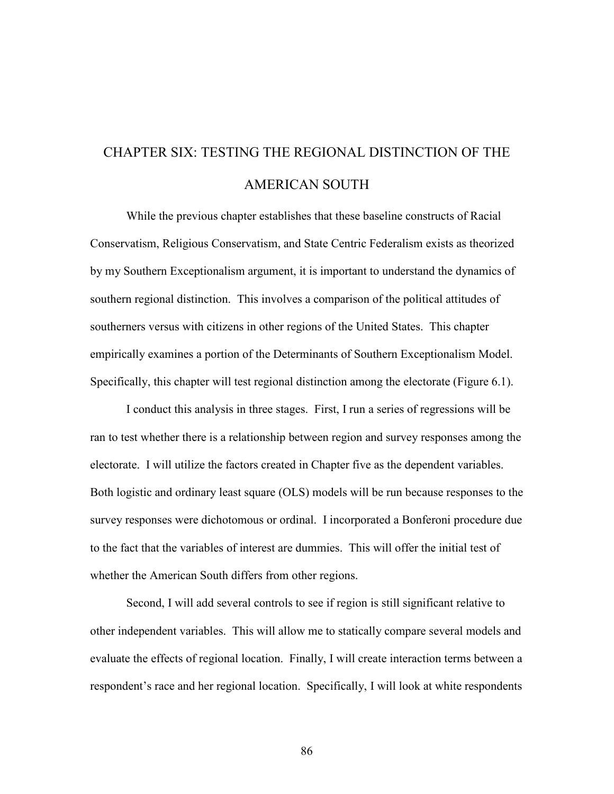# CHAPTER SIX: TESTING THE REGIONAL DISTINCTION OF THE AMERICAN SOUTH

While the previous chapter establishes that these baseline constructs of Racial Conservatism, Religious Conservatism, and State Centric Federalism exists as theorized by my Southern Exceptionalism argument, it is important to understand the dynamics of southern regional distinction. This involves a comparison of the political attitudes of southerners versus with citizens in other regions of the United States. This chapter empirically examines a portion of the Determinants of Southern Exceptionalism Model. Specifically, this chapter will test regional distinction among the electorate (Figure 6.1).

I conduct this analysis in three stages. First, I run a series of regressions will be ran to test whether there is a relationship between region and survey responses among the electorate. I will utilize the factors created in Chapter five as the dependent variables. Both logistic and ordinary least square (OLS) models will be run because responses to the survey responses were dichotomous or ordinal. I incorporated a Bonferoni procedure due to the fact that the variables of interest are dummies. This will offer the initial test of whether the American South differs from other regions.

Second, I will add several controls to see if region is still significant relative to other independent variables. This will allow me to statically compare several models and evaluate the effects of regional location. Finally, I will create interaction terms between a respondent's race and her regional location. Specifically, I will look at white respondents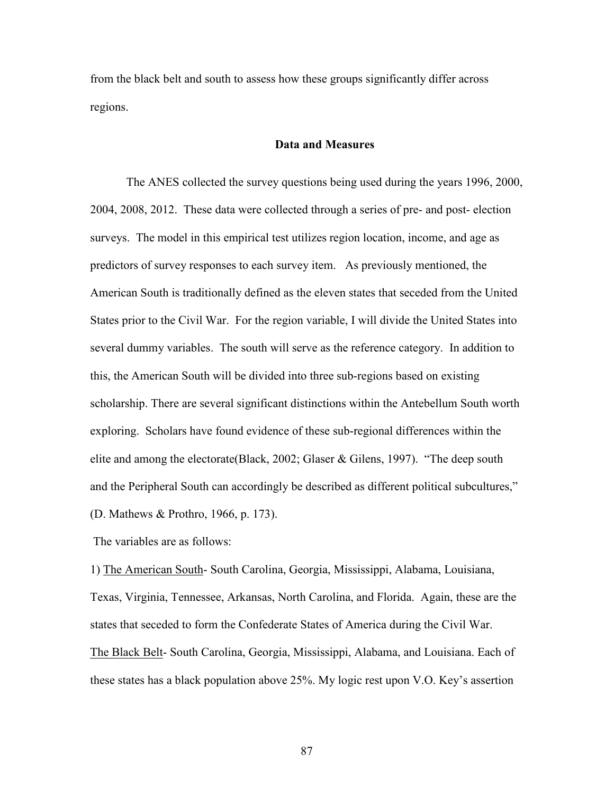from the black belt and south to assess how these groups significantly differ across regions.

#### **Data and Measures**

The ANES collected the survey questions being used during the years 1996, 2000, 2004, 2008, 2012. These data were collected through a series of pre- and post- election surveys. The model in this empirical test utilizes region location, income, and age as predictors of survey responses to each survey item. As previously mentioned, the American South is traditionally defined as the eleven states that seceded from the United States prior to the Civil War. For the region variable, I will divide the United States into several dummy variables. The south will serve as the reference category. In addition to this, the American South will be divided into three sub-regions based on existing scholarship. There are several significant distinctions within the Antebellum South worth exploring. Scholars have found evidence of these sub-regional differences within the elite and among the electorate(Black, 2002; Glaser & Gilens, 1997). "The deep south and the Peripheral South can accordingly be described as different political subcultures," (D. Mathews & Prothro, 1966, p. 173).

The variables are as follows:

1) The American South- South Carolina, Georgia, Mississippi, Alabama, Louisiana, Texas, Virginia, Tennessee, Arkansas, North Carolina, and Florida. Again, these are the states that seceded to form the Confederate States of America during the Civil War. The Black Belt- South Carolina, Georgia, Mississippi, Alabama, and Louisiana. Each of these states has a black population above 25%. My logic rest upon V.O. Key's assertion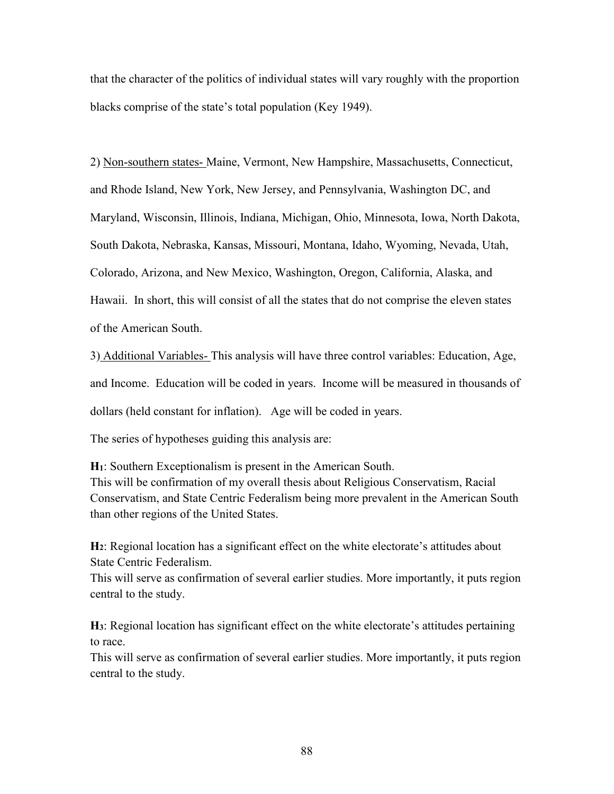that the character of the politics of individual states will vary roughly with the proportion blacks comprise of the state's total population (Key 1949).

2) Non-southern states- Maine, Vermont, New Hampshire, Massachusetts, Connecticut, and Rhode Island, New York, New Jersey, and Pennsylvania, Washington DC, and Maryland, Wisconsin, Illinois, Indiana, Michigan, Ohio, Minnesota, Iowa, North Dakota, South Dakota, Nebraska, Kansas, Missouri, Montana, Idaho, Wyoming, Nevada, Utah, Colorado, Arizona, and New Mexico, Washington, Oregon, California, Alaska, and Hawaii. In short, this will consist of all the states that do not comprise the eleven states of the American South.

3) Additional Variables- This analysis will have three control variables: Education, Age, and Income. Education will be coded in years. Income will be measured in thousands of dollars (held constant for inflation). Age will be coded in years.

The series of hypotheses guiding this analysis are:

**H1**: Southern Exceptionalism is present in the American South. This will be confirmation of my overall thesis about Religious Conservatism, Racial Conservatism, and State Centric Federalism being more prevalent in the American South than other regions of the United States.

**H2**: Regional location has a significant effect on the white electorate's attitudes about State Centric Federalism.

This will serve as confirmation of several earlier studies. More importantly, it puts region central to the study.

**H3**: Regional location has significant effect on the white electorate's attitudes pertaining to race.

This will serve as confirmation of several earlier studies. More importantly, it puts region central to the study.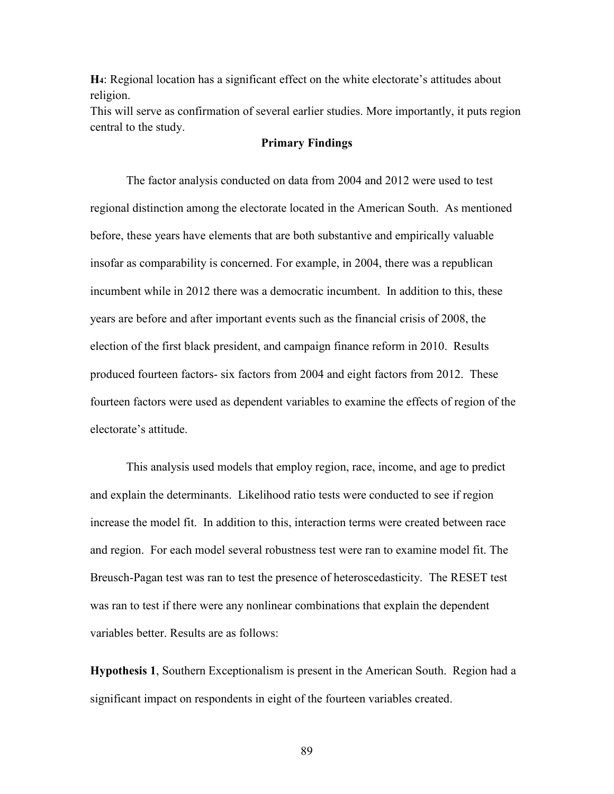**H4**: Regional location has a significant effect on the white electorate's attitudes about religion.

This will serve as confirmation of several earlier studies. More importantly, it puts region central to the study.

#### **Primary Findings**

The factor analysis conducted on data from 2004 and 2012 were used to test regional distinction among the electorate located in the American South. As mentioned before, these years have elements that are both substantive and empirically valuable insofar as comparability is concerned. For example, in 2004, there was a republican incumbent while in 2012 there was a democratic incumbent. In addition to this, these years are before and after important events such as the financial crisis of 2008, the election of the first black president, and campaign finance reform in 2010. Results produced fourteen factors- six factors from 2004 and eight factors from 2012. These fourteen factors were used as dependent variables to examine the effects of region of the electorate's attitude.

This analysis used models that employ region, race, income, and age to predict and explain the determinants. Likelihood ratio tests were conducted to see if region increase the model fit. In addition to this, interaction terms were created between race and region. For each model several robustness test were ran to examine model fit. The Breusch-Pagan test was ran to test the presence of heteroscedasticity. The RESET test was ran to test if there were any nonlinear combinations that explain the dependent variables better. Results are as follows:

**Hypothesis 1**, Southern Exceptionalism is present in the American South. Region had a significant impact on respondents in eight of the fourteen variables created.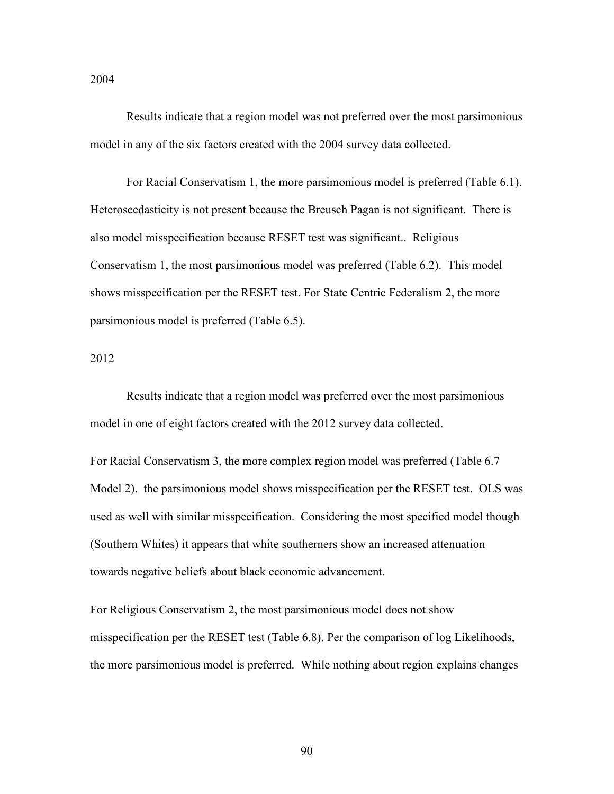Results indicate that a region model was not preferred over the most parsimonious model in any of the six factors created with the 2004 survey data collected.

For Racial Conservatism 1, the more parsimonious model is preferred (Table 6.1). Heteroscedasticity is not present because the Breusch Pagan is not significant. There is also model misspecification because RESET test was significant.. Religious Conservatism 1, the most parsimonious model was preferred (Table 6.2). This model shows misspecification per the RESET test. For State Centric Federalism 2, the more parsimonious model is preferred (Table 6.5).

2012

Results indicate that a region model was preferred over the most parsimonious model in one of eight factors created with the 2012 survey data collected.

For Racial Conservatism 3, the more complex region model was preferred (Table 6.7 Model 2). the parsimonious model shows misspecification per the RESET test. OLS was used as well with similar misspecification. Considering the most specified model though (Southern Whites) it appears that white southerners show an increased attenuation towards negative beliefs about black economic advancement.

For Religious Conservatism 2, the most parsimonious model does not show misspecification per the RESET test (Table 6.8). Per the comparison of log Likelihoods, the more parsimonious model is preferred. While nothing about region explains changes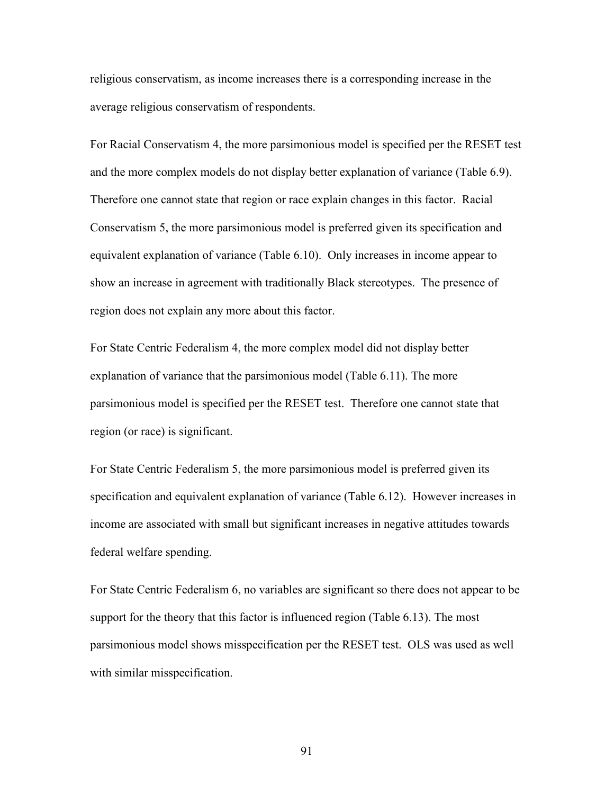religious conservatism, as income increases there is a corresponding increase in the average religious conservatism of respondents.

For Racial Conservatism 4, the more parsimonious model is specified per the RESET test and the more complex models do not display better explanation of variance (Table 6.9). Therefore one cannot state that region or race explain changes in this factor. Racial Conservatism 5, the more parsimonious model is preferred given its specification and equivalent explanation of variance (Table 6.10). Only increases in income appear to show an increase in agreement with traditionally Black stereotypes. The presence of region does not explain any more about this factor.

For State Centric Federalism 4, the more complex model did not display better explanation of variance that the parsimonious model (Table 6.11). The more parsimonious model is specified per the RESET test. Therefore one cannot state that region (or race) is significant.

For State Centric Federalism 5, the more parsimonious model is preferred given its specification and equivalent explanation of variance (Table 6.12). However increases in income are associated with small but significant increases in negative attitudes towards federal welfare spending.

For State Centric Federalism 6, no variables are significant so there does not appear to be support for the theory that this factor is influenced region (Table 6.13). The most parsimonious model shows misspecification per the RESET test. OLS was used as well with similar misspecification.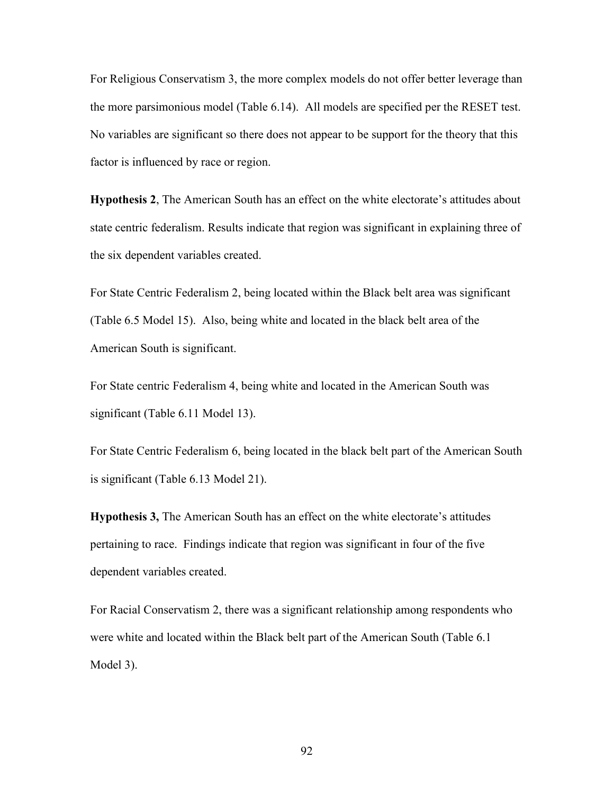For Religious Conservatism 3, the more complex models do not offer better leverage than the more parsimonious model (Table 6.14). All models are specified per the RESET test. No variables are significant so there does not appear to be support for the theory that this factor is influenced by race or region.

**Hypothesis 2**, The American South has an effect on the white electorate's attitudes about state centric federalism. Results indicate that region was significant in explaining three of the six dependent variables created.

For State Centric Federalism 2, being located within the Black belt area was significant (Table 6.5 Model 15). Also, being white and located in the black belt area of the American South is significant.

For State centric Federalism 4, being white and located in the American South was significant (Table 6.11 Model 13).

For State Centric Federalism 6, being located in the black belt part of the American South is significant (Table 6.13 Model 21).

**Hypothesis 3,** The American South has an effect on the white electorate's attitudes pertaining to race. Findings indicate that region was significant in four of the five dependent variables created.

For Racial Conservatism 2, there was a significant relationship among respondents who were white and located within the Black belt part of the American South (Table 6.1 Model 3).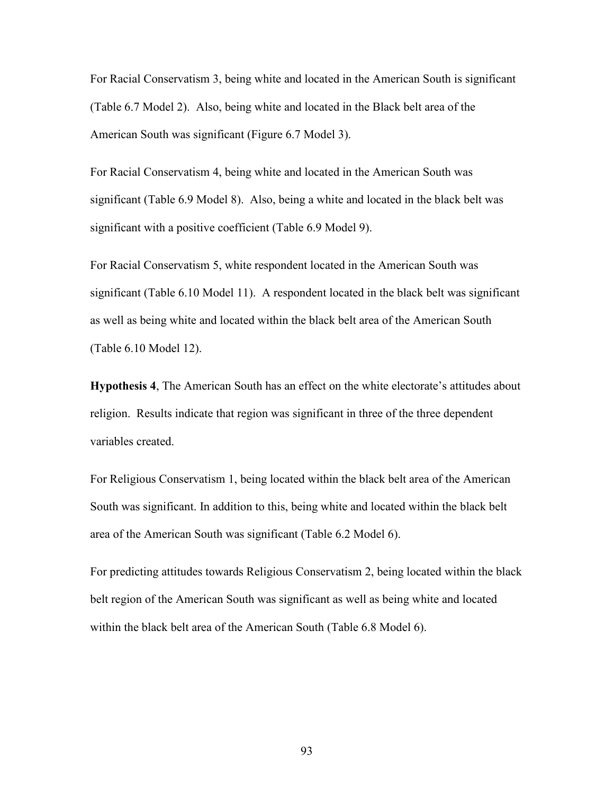For Racial Conservatism 3, being white and located in the American South is significant (Table 6.7 Model 2). Also, being white and located in the Black belt area of the American South was significant (Figure 6.7 Model 3).

For Racial Conservatism 4, being white and located in the American South was significant (Table 6.9 Model 8). Also, being a white and located in the black belt was significant with a positive coefficient (Table 6.9 Model 9).

For Racial Conservatism 5, white respondent located in the American South was significant (Table 6.10 Model 11). A respondent located in the black belt was significant as well as being white and located within the black belt area of the American South (Table 6.10 Model 12).

**Hypothesis 4**, The American South has an effect on the white electorate's attitudes about religion. Results indicate that region was significant in three of the three dependent variables created.

For Religious Conservatism 1, being located within the black belt area of the American South was significant. In addition to this, being white and located within the black belt area of the American South was significant (Table 6.2 Model 6).

For predicting attitudes towards Religious Conservatism 2, being located within the black belt region of the American South was significant as well as being white and located within the black belt area of the American South (Table 6.8 Model 6).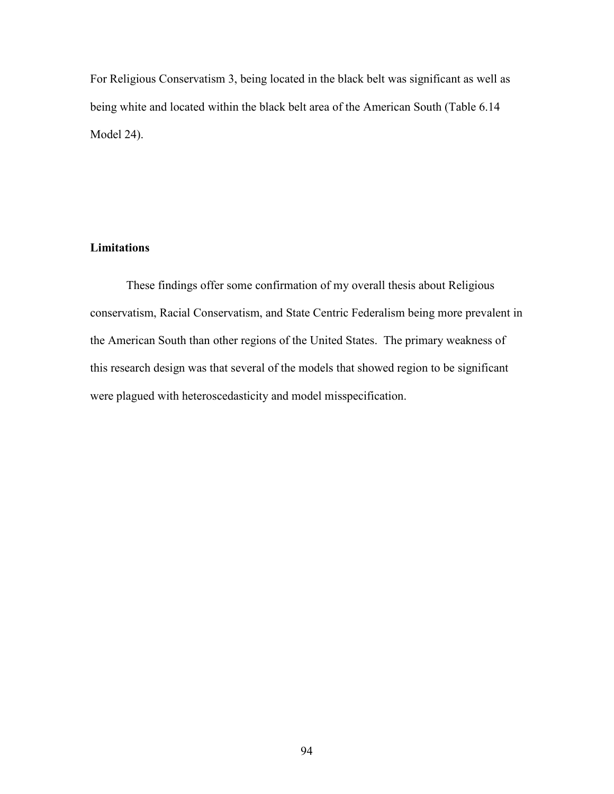For Religious Conservatism 3, being located in the black belt was significant as well as being white and located within the black belt area of the American South (Table 6.14 Model 24).

## **Limitations**

These findings offer some confirmation of my overall thesis about Religious conservatism, Racial Conservatism, and State Centric Federalism being more prevalent in the American South than other regions of the United States. The primary weakness of this research design was that several of the models that showed region to be significant were plagued with heteroscedasticity and model misspecification.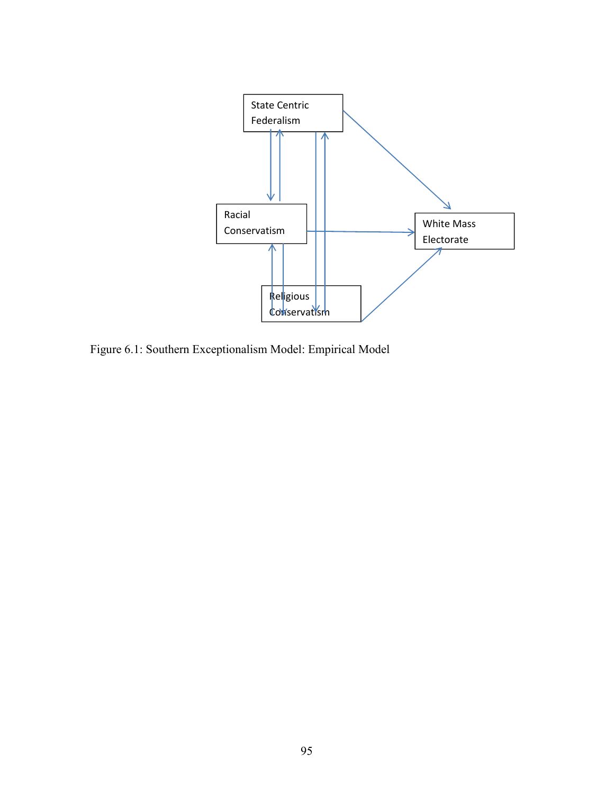

Figure 6.1: Southern Exceptionalism Model: Empirical Model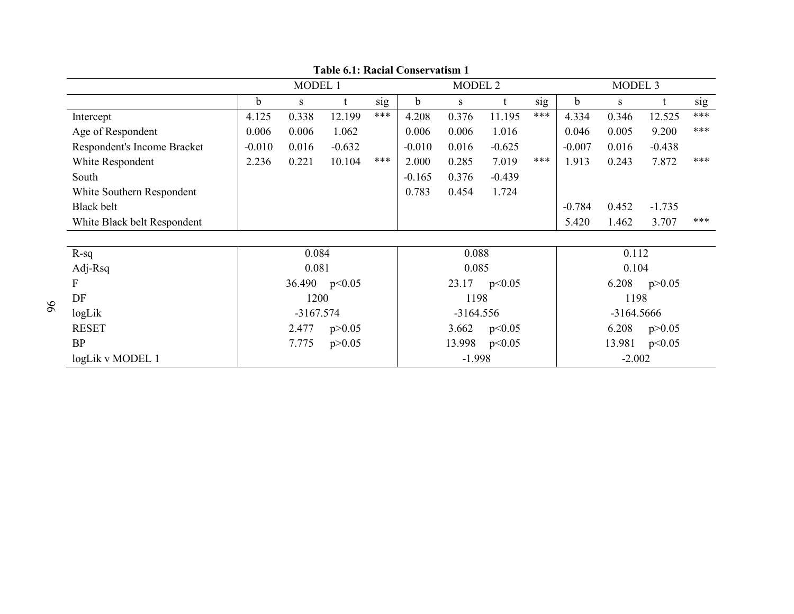|                             | MODEL 1<br>$\mathbf b$<br>S<br>4.125<br>12.199<br>0.338<br>0.006<br>0.006<br>1.062<br>$-0.010$<br>$-0.632$<br>0.016<br>2.236<br>10.104<br>0.221<br>0.084<br>0.081<br>36.490<br>p<0.05<br>1200 |             |          |     |             | MODEL <sub>2</sub> |          |     | MODEL <sub>3</sub> |            |          |     |
|-----------------------------|-----------------------------------------------------------------------------------------------------------------------------------------------------------------------------------------------|-------------|----------|-----|-------------|--------------------|----------|-----|--------------------|------------|----------|-----|
|                             |                                                                                                                                                                                               |             |          | sig | $\mathbf b$ | S                  |          | sig | $\mathbf b$        | S          |          | sig |
| Intercept                   |                                                                                                                                                                                               |             |          | *** | 4.208       | 0.376              | 11.195   | *** | 4.334              | 0.346      | 12.525   | *** |
| Age of Respondent           |                                                                                                                                                                                               |             |          |     | 0.006       | 0.006              | 1.016    |     | 0.046              | 0.005      | 9.200    | *** |
| Respondent's Income Bracket |                                                                                                                                                                                               |             |          |     | $-0.010$    | 0.016              | $-0.625$ |     | $-0.007$           | 0.016      | $-0.438$ |     |
| White Respondent            |                                                                                                                                                                                               |             |          | *** | 2.000       | 0.285              | 7.019    | *** | 1.913              | 0.243      | 7.872    | *** |
| South                       |                                                                                                                                                                                               |             |          |     | $-0.165$    | 0.376              | $-0.439$ |     |                    |            |          |     |
| White Southern Respondent   |                                                                                                                                                                                               |             |          |     | 0.783       | 0.454              | 1.724    |     |                    |            |          |     |
| <b>Black belt</b>           |                                                                                                                                                                                               |             |          |     |             |                    |          |     | $-0.784$           | 0.452      | $-1.735$ |     |
| White Black belt Respondent |                                                                                                                                                                                               |             |          |     |             |                    |          |     | 5.420              | 1.462      | 3.707    | *** |
|                             |                                                                                                                                                                                               |             |          |     |             |                    |          |     |                    |            |          |     |
| $R-sq$                      |                                                                                                                                                                                               |             |          |     |             | 0.088              |          |     | 0.112              |            |          |     |
| Adj-Rsq                     |                                                                                                                                                                                               |             |          |     |             | 0.085              |          |     |                    | 0.104      |          |     |
| F                           |                                                                                                                                                                                               |             |          |     |             | 23.17              | p<0.05   |     |                    | 6.208      | p > 0.05 |     |
| DF                          |                                                                                                                                                                                               |             |          |     |             | 1198               |          |     |                    | 1198       |          |     |
| logLik                      |                                                                                                                                                                                               | $-3167.574$ |          |     |             | $-3164.556$        |          |     |                    | -3164.5666 |          |     |
| <b>RESET</b>                |                                                                                                                                                                                               | 2.477       | p > 0.05 |     |             | 3.662              | p<0.05   |     |                    | 6.208      | p > 0.05 |     |
| <b>BP</b>                   |                                                                                                                                                                                               | 7.775       | p > 0.05 |     |             | 13.998             | p<0.05   |     |                    | 13.981     | p<0.05   |     |
| logLik v MODEL 1            |                                                                                                                                                                                               |             |          |     |             | $-1.998$           |          |     |                    | $-2.002$   |          |     |

**Table 6.1: Racial Conservatism 1**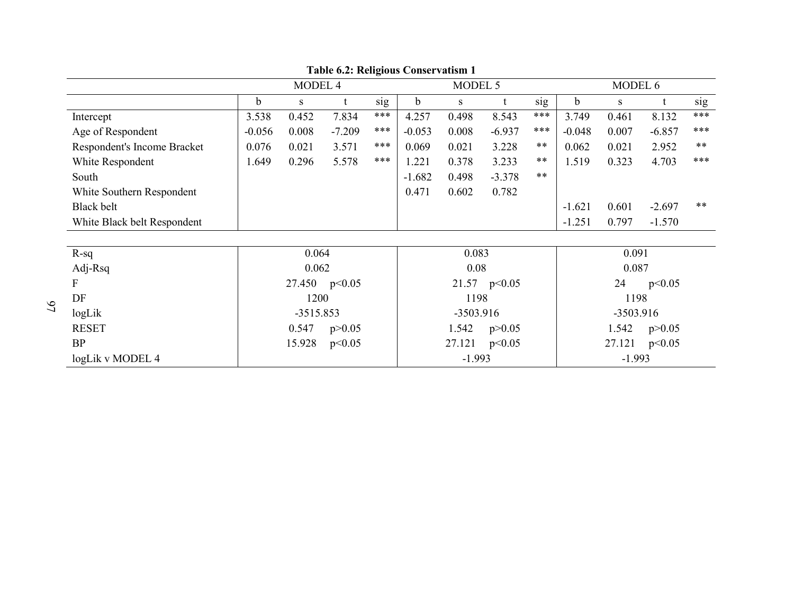|                             |             | MODEL 4     |          |     |                            | MODEL 5   |                |       |                  | MODEL 6   |          |       |
|-----------------------------|-------------|-------------|----------|-----|----------------------------|-----------|----------------|-------|------------------|-----------|----------|-------|
|                             | $\mathbf b$ | S           |          | sig | $\mathbf b$                | S         | t              | sig   | $\mathbf b$      | S         |          | sig   |
| Intercept                   | 3.538       | 0.452       | 7.834    | *** | 4.257                      | 0.498     | 8.543          | ***   | 3.749            | 0.461     | 8.132    | ***   |
| Age of Respondent           | $-0.056$    | 0.008       | $-7.209$ | *** | $-0.053$                   | 0.008     | $-6.937$       | ***   | $-0.048$         | 0.007     | $-6.857$ | ***   |
| Respondent's Income Bracket | 0.076       | 0.021       | 3.571    | *** | 0.069                      | 0.021     | 3.228          | **    | 0.062            | 0.021     | 2.952    | **    |
| White Respondent            | 1.649       | 0.296       | 5.578    | *** | 1.221                      | 0.378     | 3.233          | **    | 1.519            | 0.323     | 4.703    | ***   |
| South                       |             |             |          |     | $-1.682$                   | 0.498     | $-3.378$       | $***$ |                  |           |          |       |
| White Southern Respondent   |             |             |          |     | 0.471                      | 0.602     | 0.782          |       |                  |           |          |       |
| <b>Black belt</b>           |             |             |          |     |                            |           |                |       | $-1.621$         | 0.601     | $-2.697$ | $***$ |
| White Black belt Respondent |             |             |          |     |                            |           |                |       | $-1.251$         | 0.797     | $-1.570$ |       |
|                             |             |             |          |     |                            |           |                |       |                  |           |          |       |
| $R-sq$                      |             | 0.064       |          |     |                            | 0.083     |                |       | 0.091            |           |          |       |
| Adj-Rsq                     |             | 0.062       |          |     |                            | 0.08      |                |       |                  | 0.087     |          |       |
| F                           |             | 27.450      | p<0.05   |     |                            |           | 21.57 $p<0.05$ |       | 24<br>p<0.05     |           |          |       |
| DF                          |             | 1200        |          |     |                            | 1198      |                |       |                  | 1198      |          |       |
| logLik                      |             | $-3515.853$ |          |     |                            | -3503.916 |                |       |                  | -3503.916 |          |       |
| <b>RESET</b>                |             | 0.547       | p > 0.05 |     | 1.542<br>1.542<br>p > 0.05 |           |                |       |                  | p > 0.05  |          |       |
| <b>BP</b>                   |             | 15.928      | p<0.05   |     |                            | 27.121    | p<0.05         |       | 27.121<br>p<0.05 |           |          |       |
| logLik v MODEL 4            |             |             |          |     |                            | $-1.993$  |                |       |                  | $-1.993$  |          |       |

**Table 6.2: Religious Conservatism 1**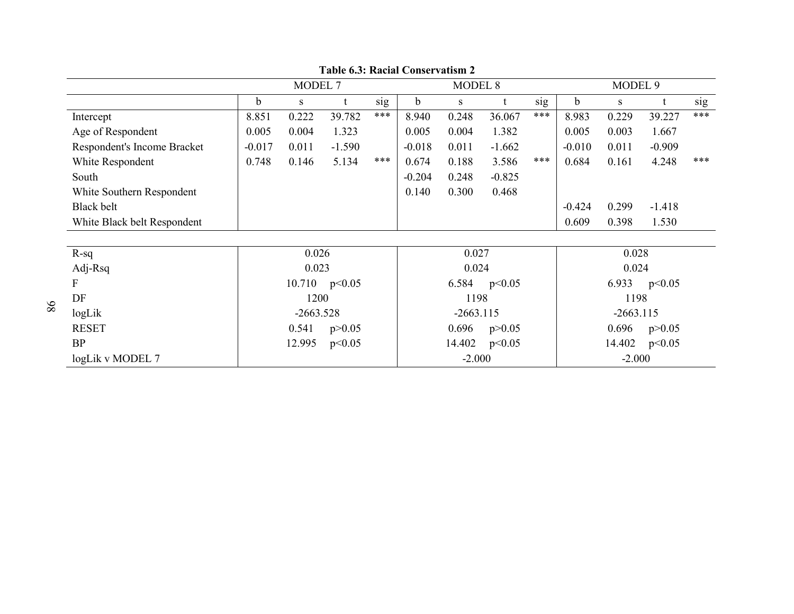|                             |          | MODEL <sub>7</sub> |                 |     |             | MODEL <sub>8</sub> |          |                   | MODEL 9  |             |          |     |
|-----------------------------|----------|--------------------|-----------------|-----|-------------|--------------------|----------|-------------------|----------|-------------|----------|-----|
|                             | b.       | S                  |                 | sig | $\mathbf b$ | S                  |          | sig               | b        | S           |          | sig |
| Intercept                   | 8.851    | 0.222              | 39.782          | *** | 8.940       | 0.248              | 36.067   | ***               | 8.983    | 0.229       | 39.227   | *** |
| Age of Respondent           | 0.005    | 0.004              | 1.323           |     | 0.005       | 0.004              | 1.382    |                   | 0.005    | 0.003       | 1.667    |     |
| Respondent's Income Bracket | $-0.017$ | 0.011              | $-1.590$        |     | $-0.018$    | 0.011              | $-1.662$ |                   | $-0.010$ | 0.011       | $-0.909$ |     |
| White Respondent            | 0.748    | 0.146              | 5.134           | *** | 0.674       | 0.188              | 3.586    | ***               | 0.684    | 0.161       | 4.248    | *** |
| South                       |          |                    |                 |     | $-0.204$    | 0.248              | $-0.825$ |                   |          |             |          |     |
| White Southern Respondent   |          |                    |                 |     | 0.140       | 0.300              | 0.468    |                   |          |             |          |     |
| <b>Black belt</b>           |          |                    |                 |     |             |                    |          |                   | $-0.424$ | 0.299       | $-1.418$ |     |
| White Black belt Respondent |          |                    |                 |     |             |                    |          |                   | 0.609    | 0.398       | 1.530    |     |
|                             |          |                    |                 |     |             |                    |          |                   |          |             |          |     |
| $R-sq$                      |          | 0.026              |                 |     |             | 0.027              |          |                   | 0.028    |             |          |     |
| Adj-Rsq                     |          | 0.023              |                 |     |             | 0.024              |          |                   |          | 0.024       |          |     |
| F                           |          |                    | 10.710 $p<0.05$ |     |             | 6.584              | p<0.05   |                   |          | 6.933       | p<0.05   |     |
| DF                          |          | 1200               |                 |     |             | 1198               |          |                   |          | 1198        |          |     |
| logLik                      |          | $-2663.528$        |                 |     |             | $-2663.115$        |          |                   |          | $-2663.115$ |          |     |
| <b>RESET</b>                |          | 0.541              | p > 0.05        |     | 0.696       | p > 0.05           |          | 0.696<br>p > 0.05 |          |             |          |     |
| <b>BP</b>                   |          | 12.995             | p<0.05          |     | 14.402      | p<0.05             |          | 14.402<br>p<0.05  |          |             |          |     |
| logLik v MODEL 7            |          |                    |                 |     |             | $-2.000$           |          |                   | $-2.000$ |             |          |     |

**Table 6.3: Racial Conservatism 2**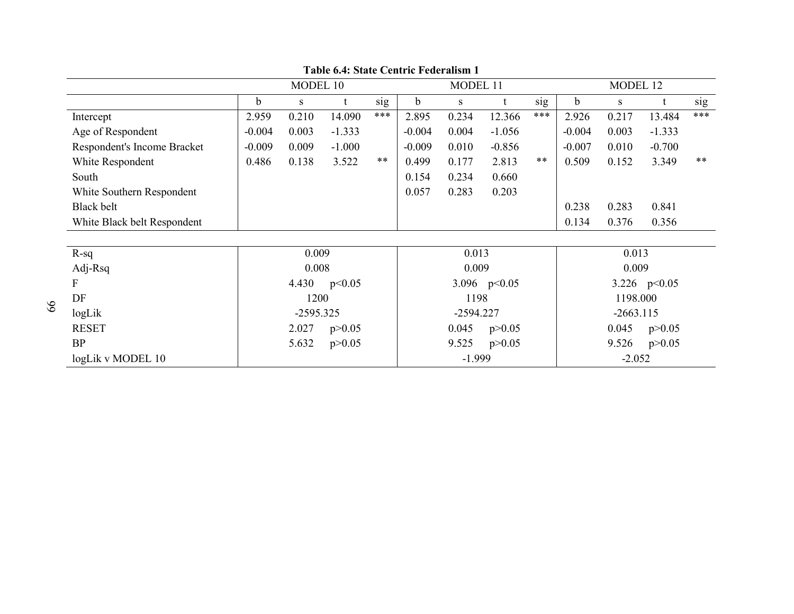|                             |             | MODEL 10    |          |       |             | MODEL 11    |                |                   |          | MODEL 12    |                |     |
|-----------------------------|-------------|-------------|----------|-------|-------------|-------------|----------------|-------------------|----------|-------------|----------------|-----|
|                             | $\mathbf b$ | S           |          | sig   | $\mathbf b$ | S           | t              | sig               | b        | S           |                | sig |
| Intercept                   | 2.959       | 0.210       | 14.090   | ***   | 2.895       | 0.234       | 12.366         | ***               | 2.926    | 0.217       | 13.484         | *** |
| Age of Respondent           | $-0.004$    | 0.003       | $-1.333$ |       | $-0.004$    | 0.004       | $-1.056$       |                   | $-0.004$ | 0.003       | $-1.333$       |     |
| Respondent's Income Bracket | $-0.009$    | 0.009       | $-1.000$ |       | $-0.009$    | 0.010       | $-0.856$       |                   | $-0.007$ | 0.010       | $-0.700$       |     |
| White Respondent            | 0.486       | 0.138       | 3.522    | $***$ | 0.499       | 0.177       | 2.813          | $***$             | 0.509    | 0.152       | 3.349          | **  |
| South                       |             |             |          |       | 0.154       | 0.234       | 0.660          |                   |          |             |                |     |
| White Southern Respondent   |             |             |          |       | 0.057       | 0.283       | 0.203          |                   |          |             |                |     |
| <b>Black belt</b>           |             |             |          |       |             |             |                |                   | 0.238    | 0.283       | 0.841          |     |
| White Black belt Respondent |             |             |          |       |             |             |                |                   | 0.134    | 0.376       | 0.356          |     |
|                             |             |             |          |       |             |             |                |                   |          |             |                |     |
| $R-sq$                      |             | 0.009       |          |       |             | 0.013       |                |                   | 0.013    |             |                |     |
| Adj-Rsq                     |             | 0.008       |          |       |             | 0.009       |                |                   |          | 0.009       |                |     |
| F                           |             | 4.430       | p<0.05   |       |             |             | 3.096 $p<0.05$ |                   |          |             | 3.226 $p<0.05$ |     |
| DF                          |             | 1200        |          |       |             | 1198        |                |                   |          | 1198.000    |                |     |
| logLik                      |             | $-2595.325$ |          |       |             | $-2594.227$ |                |                   |          | $-2663.115$ |                |     |
| <b>RESET</b>                |             | 2.027       | p > 0.05 |       | 0.045       | p > 0.05    |                | 0.045<br>p > 0.05 |          |             |                |     |
| <b>BP</b>                   |             | 5.632       | p > 0.05 |       | 9.525       | p > 0.05    |                | 9.526<br>p > 0.05 |          |             |                |     |
| logLik v MODEL 10           |             |             |          |       |             | $-1.999$    |                |                   | $-2.052$ |             |                |     |

**Table 6.4: State Centric Federalism 1**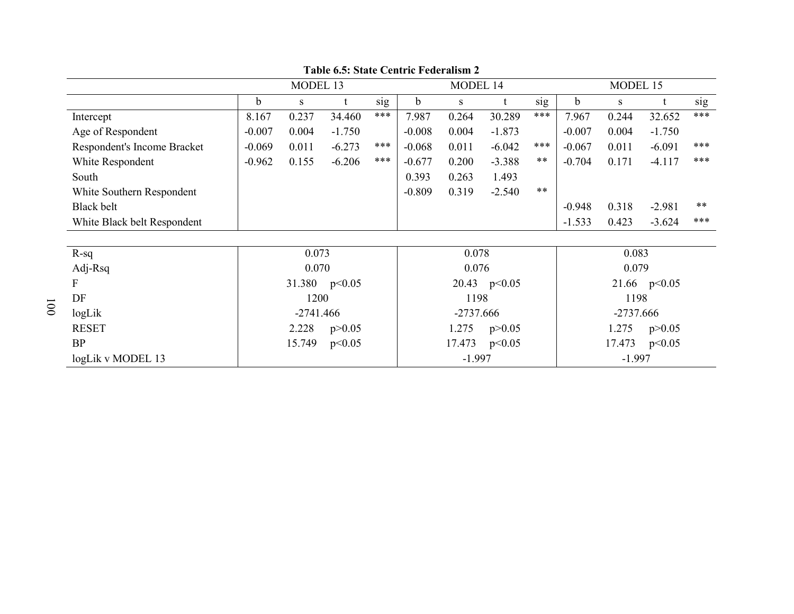|                             | MODEL 13 |             |               |                   |             | MODEL 14 |                |                   | MODEL 15    |       |                |       |  |
|-----------------------------|----------|-------------|---------------|-------------------|-------------|----------|----------------|-------------------|-------------|-------|----------------|-------|--|
|                             | b.       | S           |               | sig               | b           | S        | t              | sig               | $\mathbf b$ | S     |                | sig   |  |
| Intercept                   | 8.167    | 0.237       | 34.460        | ***               | 7.987       | 0.264    | 30.289         | ***               | 7.967       | 0.244 | 32.652         | ***   |  |
| Age of Respondent           | $-0.007$ | 0.004       | $-1.750$      |                   | $-0.008$    | 0.004    | $-1.873$       |                   | $-0.007$    | 0.004 | $-1.750$       |       |  |
| Respondent's Income Bracket | $-0.069$ | 0.011       | $-6.273$      | ***               | $-0.068$    | 0.011    | $-6.042$       | ***               | $-0.067$    | 0.011 | $-6.091$       | ***   |  |
| White Respondent            | $-0.962$ | 0.155       | $-6.206$      | ***               | $-0.677$    | 0.200    | $-3.388$       | $***$             | $-0.704$    | 0.171 | $-4.117$       | ***   |  |
| South                       |          |             |               |                   | 0.393       | 0.263    | 1.493          |                   |             |       |                |       |  |
| White Southern Respondent   |          |             |               |                   | $-0.809$    | 0.319    | $-2.540$       | $***$             |             |       |                |       |  |
| <b>Black belt</b>           |          |             |               |                   |             |          |                |                   | $-0.948$    | 0.318 | $-2.981$       | $***$ |  |
| White Black belt Respondent |          |             |               |                   |             |          |                |                   | $-1.533$    | 0.423 | $-3.624$       | ***   |  |
|                             |          |             |               |                   |             |          |                |                   |             |       |                |       |  |
| $R-sq$                      |          | 0.073       |               |                   |             | 0.078    |                |                   | 0.083       |       |                |       |  |
| Adj-Rsq                     |          | 0.070       |               |                   |             | 0.076    |                |                   |             | 0.079 |                |       |  |
| F                           |          |             | 31.380 p<0.05 |                   |             |          | 20.43 $p<0.05$ |                   |             |       | 21.66 $p<0.05$ |       |  |
| DF                          |          | 1200        |               |                   |             | 1198     |                |                   |             | 1198  |                |       |  |
| logLik                      |          | $-2741.466$ |               |                   | $-2737.666$ |          |                |                   | $-2737.666$ |       |                |       |  |
| <b>RESET</b>                |          | 2.228       | p > 0.05      | 1.275<br>p > 0.05 |             |          |                | 1.275<br>p > 0.05 |             |       |                |       |  |
| <b>BP</b>                   |          | 15.749      | p<0.05        |                   | 17.473      | p<0.05   |                | 17.473<br>p<0.05  |             |       |                |       |  |
| logLik v MODEL 13           |          |             |               |                   |             | $-1.997$ |                |                   | $-1.997$    |       |                |       |  |

**Table 6.5: State Centric Federalism 2**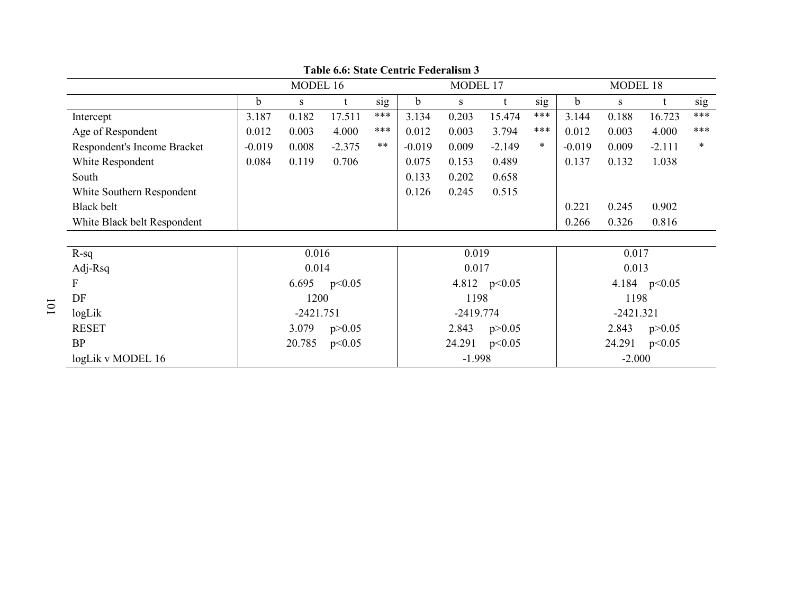|                             |             | MODEL 16    |          |       |             | MODEL 17    |                |                  | MODEL 18    |             |                |     |
|-----------------------------|-------------|-------------|----------|-------|-------------|-------------|----------------|------------------|-------------|-------------|----------------|-----|
|                             | $\mathbf b$ | S           |          | sig   | $\mathbf b$ | S           | t              | sig              | $\mathbf b$ | S           |                | sig |
| Intercept                   | 3.187       | 0.182       | 17.511   | ***   | 3.134       | 0.203       | 15.474         | ***              | 3.144       | 0.188       | 16.723         | *** |
| Age of Respondent           | 0.012       | 0.003       | 4.000    | ***   | 0.012       | 0.003       | 3.794          | ***              | 0.012       | 0.003       | 4.000          | *** |
| Respondent's Income Bracket | $-0.019$    | 0.008       | $-2.375$ | $***$ | $-0.019$    | 0.009       | $-2.149$       | $\ast$           | $-0.019$    | 0.009       | $-2.111$       | *   |
| White Respondent            | 0.084       | 0.119       | 0.706    |       | 0.075       | 0.153       | 0.489          |                  | 0.137       | 0.132       | 1.038          |     |
| South                       |             |             |          |       | 0.133       | 0.202       | 0.658          |                  |             |             |                |     |
| White Southern Respondent   |             |             |          |       | 0.126       | 0.245       | 0.515          |                  |             |             |                |     |
| <b>Black belt</b>           |             |             |          |       |             |             |                |                  | 0.221       | 0.245       | 0.902          |     |
| White Black belt Respondent |             |             |          |       |             |             |                |                  | 0.266       | 0.326       | 0.816          |     |
|                             |             |             |          |       |             |             |                |                  |             |             |                |     |
| $R-sq$                      |             | 0.016       |          |       |             | 0.019       |                |                  | 0.017       |             |                |     |
| Adj-Rsq                     |             | 0.014       |          |       |             | 0.017       |                |                  |             | 0.013       |                |     |
| F                           |             | 6.695       | p<0.05   |       |             |             | 4.812 $p<0.05$ |                  |             |             | 4.184 $p<0.05$ |     |
| DF                          |             | 1200        |          |       |             | 1198        |                |                  |             | 1198        |                |     |
| logLik                      |             | $-2421.751$ |          |       |             | $-2419.774$ |                |                  |             | $-2421.321$ |                |     |
| <b>RESET</b>                |             | 3.079       | p > 0.05 |       |             | 2.843       | p > 0.05       |                  |             | 2.843       | p > 0.05       |     |
| <b>BP</b>                   |             | 20.785      | p<0.05   |       | 24.291      | p<0.05      |                | 24.291<br>p<0.05 |             |             |                |     |
| logLik v MODEL 16           |             |             |          |       |             | $-1.998$    |                |                  | $-2.000$    |             |                |     |

**Table 6.6: State Centric Federalism 3**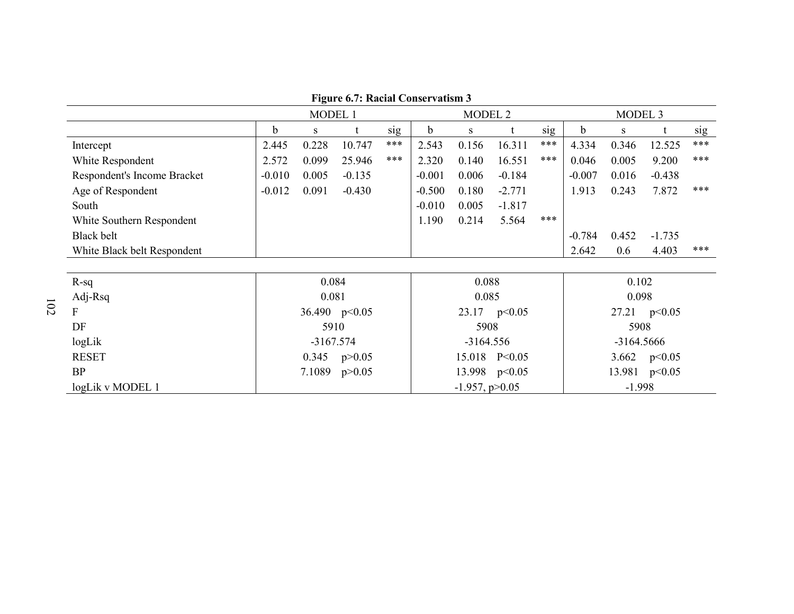MODEL 1 MODEL 2 MODEL 3 b s t sig b s t sig b s t sig Intercept 2.445 0.228 10.747 \*\*\* 2.543 0.156 16.311 \*\*\* 4.334 0.346 12.525 \*\*\* White Respondent 2.572 0.099 25.946 \*\*\* 2.320 0.140 16.551 \*\*\* 0.046 0.005 9.200 \*\*\* Respondent's Income Bracket | -0.010 0.005 -0.135 -0.001 0.006 -0.184 -0.007 0.016 -0.438 Age of Respondent  $\Big|$  -0.012 0.091 -0.430 -0.500 0.180 -2.771 1.913 0.243 7.872 \*\*\* South  $\sim$  1.817 White Southern Respondent  $\vert$  1.190 0.214 5.564 \*\*\* Black belt -0.784 0.452 -1.735 White Black belt Respondent  $\vert$  2.642 0.6 4.403 \*\*\* R-sq 0.084 0.088 0.102 Adj-Rsq 0.081 0.085 0.098 F  $36.490 p<0.05$ 90 p<0.05 23.17 p<0.05 23.17 27.21 p<0.05 27.21 p<br>
23.17 23.05 27.21 27.21 25908 DF 5910 5908 5908 logLik -3167.574 -3164.556 -3164.5666 -3164.5666 -3164.5666 RESET 15.018 P<0.05 3.662 p<0.05<br>13.981 p<0.05 BP 7.1089  $p > 0.05$ 13.998 p<0.05 13.981 p<br>-1.957, p>0.05 1.998 logLik v MODEL 1.

**Figure 6.7: Racial Conservatism 3**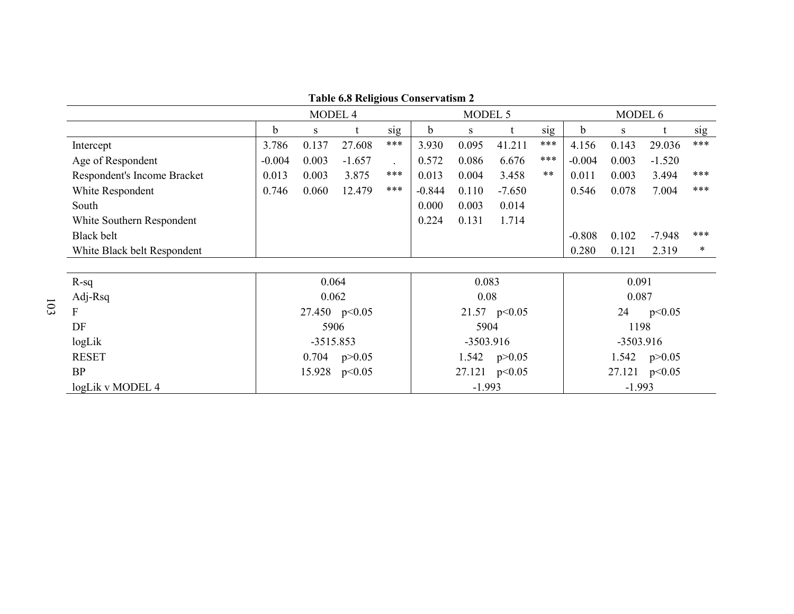|                             |          | MODEL 4     |               |             | MODEL 5  |       |                  | MODEL 6  |             |        |          |     |
|-----------------------------|----------|-------------|---------------|-------------|----------|-------|------------------|----------|-------------|--------|----------|-----|
|                             | b        | S           |               | sig         | b        | S     |                  | sig      | $\mathbf b$ | S      |          | sig |
| Intercept                   | 3.786    | 0.137       | 27.608        | ***         | 3.930    | 0.095 | 41.211           | ***      | 4.156       | 0.143  | 29.036   | *** |
| Age of Respondent           | $-0.004$ | 0.003       | $-1.657$      |             | 0.572    | 0.086 | 6.676            | ***      | $-0.004$    | 0.003  | $-1.520$ |     |
| Respondent's Income Bracket | 0.013    | 0.003       | 3.875         | ***         | 0.013    | 0.004 | 3.458            | **       | 0.011       | 0.003  | 3.494    | *** |
| White Respondent            | 0.746    | 0.060       | 12.479        | ***         | $-0.844$ | 0.110 | $-7.650$         |          | 0.546       | 0.078  | 7.004    | *** |
| South                       |          |             |               |             | 0.000    | 0.003 | 0.014            |          |             |        |          |     |
| White Southern Respondent   |          |             |               |             | 0.224    | 0.131 | 1.714            |          |             |        |          |     |
| Black belt                  |          |             |               |             |          |       |                  |          | $-0.808$    | 0.102  | $-7.948$ | *** |
| White Black belt Respondent |          |             |               |             |          |       |                  |          | 0.280       | 0.121  | 2.319    | *   |
|                             |          |             |               |             |          |       |                  |          |             |        |          |     |
| $R-sq$                      |          | 0.064       |               |             |          | 0.083 |                  |          |             | 0.091  |          |     |
| Adj-Rsq                     |          | 0.062       |               |             |          | 0.08  |                  |          |             | 0.087  |          |     |
| F                           |          |             | 27.450 p<0.05 |             |          |       | 21.57 $p<0.05$   |          |             | 24     | p<0.05   |     |
| DF                          |          | 5906        |               |             |          | 5904  |                  |          |             | 1198   |          |     |
| logLik                      |          | $-3515.853$ |               | $-3503.916$ |          |       | $-3503.916$      |          |             |        |          |     |
| <b>RESET</b>                |          | 0.704       | p > 0.05      |             |          |       | 1.542 $p > 0.05$ |          |             | 1.542  | p > 0.05 |     |
| <b>BP</b>                   |          | 15.928      | p<0.05        |             |          |       | 27.121 p<0.05    |          |             | 27.121 | p<0.05   |     |
| logLik v MODEL 4            |          |             |               |             | $-1.993$ |       |                  | $-1.993$ |             |        |          |     |

**Table 6.8 Religious Conservatism 2**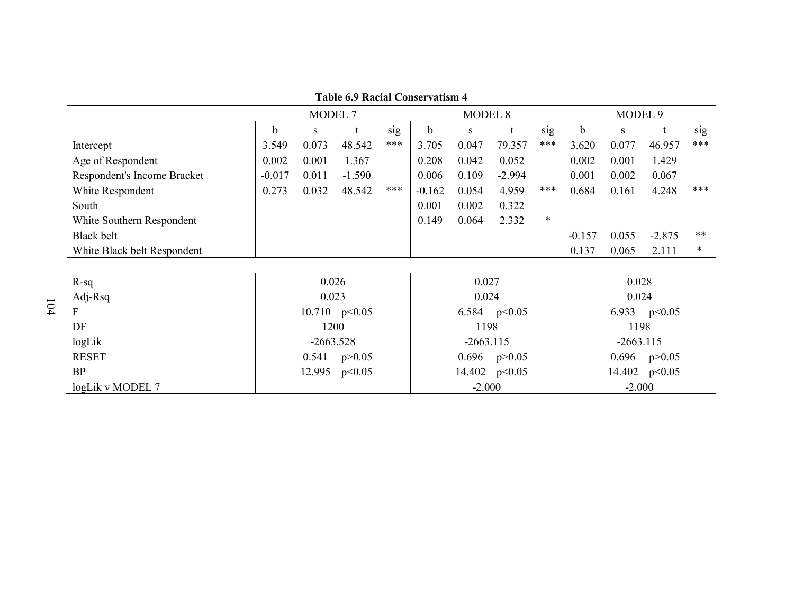**Table 6.9 Racial Conservatism 4** 

|                             |                   | MODEL 7     |                 |     |             | <b>MODEL 8</b>   |                |             | MODEL <sub>9</sub> |                  |                |        |  |
|-----------------------------|-------------------|-------------|-----------------|-----|-------------|------------------|----------------|-------------|--------------------|------------------|----------------|--------|--|
|                             | b                 | S           |                 | sig | $\mathbf b$ | S                |                | sig         | $\mathbf b$        | S                |                | sig    |  |
| Intercept                   | 3.549             | 0.073       | 48.542          | *** | 3.705       | 0.047            | 79.357         | ***         | 3.620              | 0.077            | 46.957         | ***    |  |
| Age of Respondent           | 0.002             | 0.001       | 1.367           |     | 0.208       | 0.042            | 0.052          |             | 0.002              | 0.001            | 1.429          |        |  |
| Respondent's Income Bracket | $-0.017$          | 0.011       | $-1.590$        |     | 0.006       | 0.109            | $-2.994$       |             | 0.001              | 0.002            | 0.067          |        |  |
| White Respondent            | 0.273             | 0.032       | 48.542          | *** | $-0.162$    | 0.054            | 4.959          | ***         | 0.684              | 0.161            | 4.248          | ***    |  |
| South                       |                   |             |                 |     | 0.001       | 0.002            | 0.322          |             |                    |                  |                |        |  |
| White Southern Respondent   |                   |             |                 |     | 0.149       | 0.064            | 2.332          | $\ast$      |                    |                  |                |        |  |
| Black belt                  |                   |             |                 |     |             |                  |                |             | $-0.157$           | 0.055            | $-2.875$       | **     |  |
| White Black belt Respondent |                   |             |                 |     |             |                  |                |             | 0.137              | 0.065            | 2.111          | $\ast$ |  |
|                             |                   |             |                 |     |             |                  |                |             |                    |                  |                |        |  |
| $R-sq$                      |                   | 0.026       |                 |     |             | 0.027            |                |             |                    | 0.028            |                |        |  |
| Adj-Rsq                     |                   | 0.023       |                 |     |             | 0.024            |                |             |                    | 0.024            |                |        |  |
| F                           |                   |             | 10.710 $p<0.05$ |     |             |                  | 6.584 $p<0.05$ |             |                    |                  | 6.933 $p<0.05$ |        |  |
| DF                          |                   |             | 1200            |     |             | 1198             |                |             |                    | 1198             |                |        |  |
| logLik                      |                   | $-2663.528$ |                 |     | $-2663.115$ |                  |                | $-2663.115$ |                    |                  |                |        |  |
| <b>RESET</b>                | 0.541<br>p > 0.05 |             |                 |     |             | 0.696 $p > 0.05$ |                |             |                    | 0.696 $p > 0.05$ |                |        |  |
| <b>BP</b>                   |                   | p<0.05      | 14.402 p<0.05   |     |             |                  | 14.402 p<0.05  |             |                    |                  |                |        |  |
| logLik v MODEL 7            | 12.995            |             |                 |     |             | $-2.000$         |                |             | $-2.000$           |                  |                |        |  |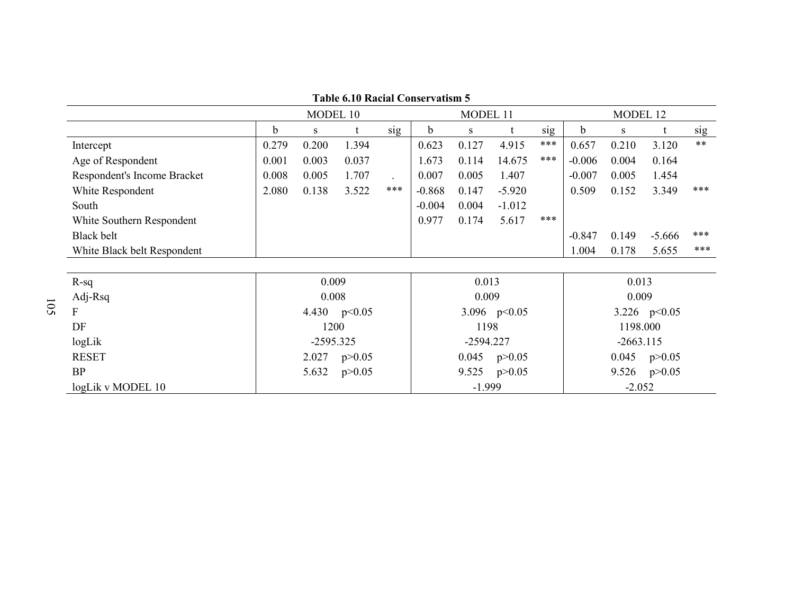**Table 6.10 Racial Conservatism 5** 

|                             |                   | MODEL 10    |                |             |                   | MODEL 11 |                |     | MODEL 12          |          |                |       |
|-----------------------------|-------------------|-------------|----------------|-------------|-------------------|----------|----------------|-----|-------------------|----------|----------------|-------|
|                             | b                 | S           |                | sig         | b                 | S        |                | sig | b                 | S        |                | sig   |
| Intercept                   | 0.279             | 0.200       | 1.394          |             | 0.623             | 0.127    | 4.915          | *** | 0.657             | 0.210    | 3.120          | $***$ |
| Age of Respondent           | 0.001             | 0.003       | 0.037          |             | 1.673             | 0.114    | 14.675         | *** | $-0.006$          | 0.004    | 0.164          |       |
| Respondent's Income Bracket | 0.008             | 0.005       | 1.707          |             | 0.007             | 0.005    | 1.407          |     | $-0.007$          | 0.005    | 1.454          |       |
| White Respondent            | 2.080             | 0.138       | 3.522          | ***         | $-0.868$          | 0.147    | $-5.920$       |     | 0.509             | 0.152    | 3.349          | ***   |
| South                       |                   |             |                |             | $-0.004$          | 0.004    | $-1.012$       |     |                   |          |                |       |
| White Southern Respondent   |                   |             |                |             | 0.977             | 0.174    | 5.617          | *** |                   |          |                |       |
| Black belt                  |                   |             |                |             |                   |          |                |     | $-0.847$          | 0.149    | $-5.666$       | ***   |
| White Black belt Respondent |                   |             |                |             |                   |          |                |     | 1.004             | 0.178    | 5.655          | ***   |
|                             |                   |             |                |             |                   |          |                |     |                   |          |                |       |
| $R-sq$                      |                   | 0.009       |                |             |                   | 0.013    |                |     |                   | 0.013    |                |       |
| Adj-Rsq                     |                   | 0.008       |                |             |                   | 0.009    |                |     |                   | 0.009    |                |       |
| F                           |                   |             | 4.430 $p<0.05$ |             |                   |          | 3.096 $p<0.05$ |     |                   |          | 3.226 $p<0.05$ |       |
| DF                          |                   | 1200        |                |             |                   | 1198     |                |     | 1198.000          |          |                |       |
| logLik                      |                   | $-2595.325$ |                | $-2594.227$ |                   |          | $-2663.115$    |     |                   |          |                |       |
| <b>RESET</b>                | 2.027<br>p > 0.05 |             |                |             | 0.045<br>p > 0.05 |          |                |     | 0.045<br>p > 0.05 |          |                |       |
| <b>BP</b>                   | 5.632<br>p > 0.05 |             |                |             |                   | 9.525    | p > 0.05       |     | 9.526<br>p > 0.05 |          |                |       |
| logLik v MODEL 10           |                   |             |                |             |                   | $-1.999$ |                |     |                   | $-2.052$ |                |       |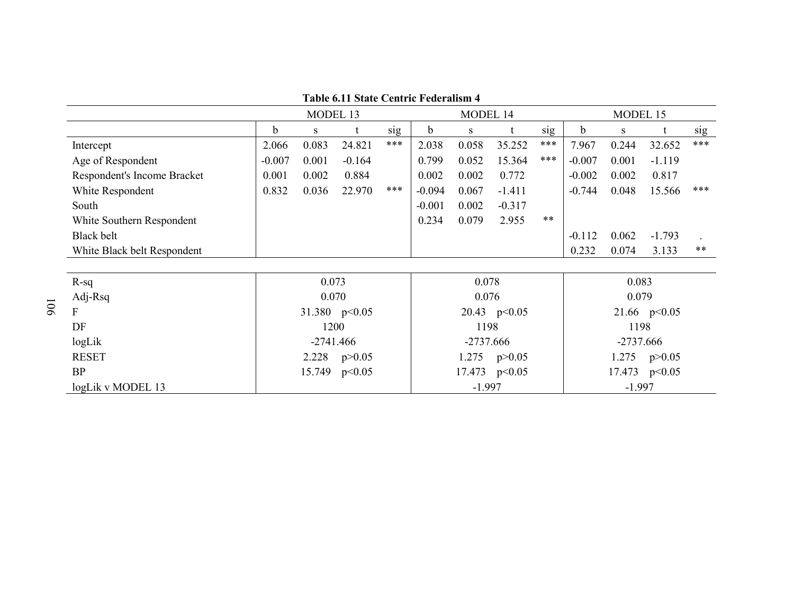|                             |          | MODEL 13    |                 |     |              | MODEL 14    |                  |          | MODEL 15 |             |                 |     |  |
|-----------------------------|----------|-------------|-----------------|-----|--------------|-------------|------------------|----------|----------|-------------|-----------------|-----|--|
|                             | b        | S           |                 | sig | <sub>b</sub> | S           |                  | sig      | b        | S           |                 | sig |  |
| Intercept                   | 2.066    | 0.083       | 24.821          | *** | 2.038        | 0.058       | 35.252           | ***      | 7.967    | 0.244       | 32.652          | *** |  |
| Age of Respondent           | $-0.007$ | 0.001       | $-0.164$        |     | 0.799        | 0.052       | 15.364           | ***      | $-0.007$ | 0.001       | $-1.119$        |     |  |
| Respondent's Income Bracket | 0.001    | 0.002       | 0.884           |     | 0.002        | 0.002       | 0.772            |          | $-0.002$ | 0.002       | 0.817           |     |  |
| White Respondent            | 0.832    | 0.036       | 22.970          | *** | $-0.094$     | 0.067       | $-1.411$         |          | $-0.744$ | 0.048       | 15.566          | *** |  |
| South                       |          |             |                 |     | $-0.001$     | 0.002       | $-0.317$         |          |          |             |                 |     |  |
| White Southern Respondent   |          |             |                 |     | 0.234        | 0.079       | 2.955            | **       |          |             |                 |     |  |
| <b>Black belt</b>           |          |             |                 |     |              |             |                  |          | $-0.112$ | 0.062       | $-1.793$        |     |  |
| White Black belt Respondent |          |             |                 |     |              |             |                  |          | 0.232    | 0.074       | 3.133           | **  |  |
|                             |          |             |                 |     |              |             |                  |          |          |             |                 |     |  |
| $R-sq$                      |          | 0.073       |                 |     |              | 0.078       |                  |          |          | 0.083       |                 |     |  |
| Adj-Rsq                     |          | 0.070       |                 |     |              | 0.076       |                  |          |          | 0.079       |                 |     |  |
| F                           |          |             | 31.380 $p<0.05$ |     |              |             | 20.43 $p<0.05$   |          |          |             | 21.66 $p<0.05$  |     |  |
| DF                          |          | 1200        |                 |     |              | 1198        |                  |          |          | 1198        |                 |     |  |
| logLik                      |          | $-2741.466$ |                 |     |              | $-2737.666$ |                  |          |          | $-2737.666$ |                 |     |  |
| <b>RESET</b>                |          | 2.228       | p > 0.05        |     |              |             | 1.275 $p > 0.05$ |          |          | 1.275       | p > 0.05        |     |  |
| <b>BP</b>                   |          | 15.749      | p<0.05          |     |              |             | 17.473 p<0.05    |          |          |             | 17.473 $p<0.05$ |     |  |
| logLik v MODEL 13           |          |             |                 |     | $-1.997$     |             |                  | $-1.997$ |          |             |                 |     |  |

**Table 6.11 State Centric Federalism 4**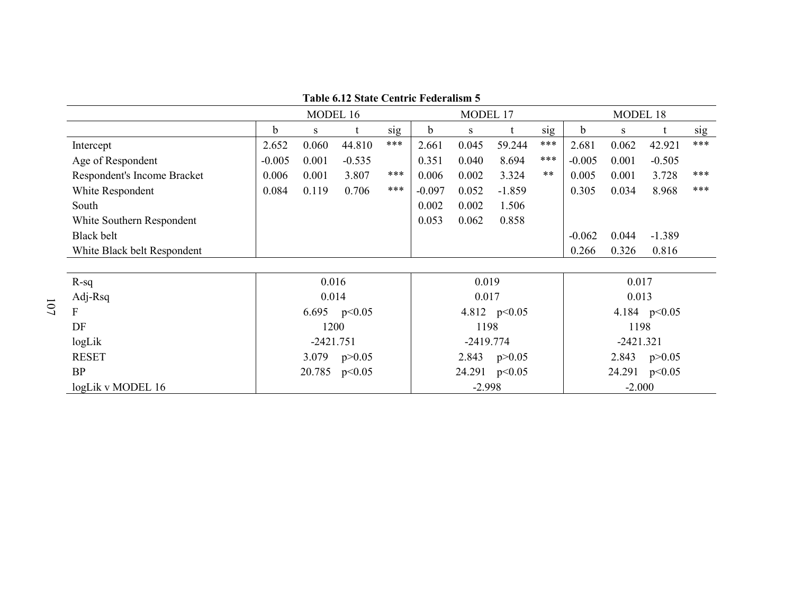|                             |               | MODEL 16    |                |             | MODEL 17    |               |                  | MODEL 18 |          |        |                |     |
|-----------------------------|---------------|-------------|----------------|-------------|-------------|---------------|------------------|----------|----------|--------|----------------|-----|
|                             | b             | S           |                | sig         | $\mathbf b$ | S             |                  | sig      | b        | S      |                | sig |
| Intercept                   | 2.652         | 0.060       | 44.810         | ***         | 2.661       | 0.045         | 59.244           | ***      | 2.681    | 0.062  | 42.921         | *** |
| Age of Respondent           | $-0.005$      | 0.001       | $-0.535$       |             | 0.351       | 0.040         | 8.694            | ***      | $-0.005$ | 0.001  | $-0.505$       |     |
| Respondent's Income Bracket | 0.006         | 0.001       | 3.807          | ***         | 0.006       | 0.002         | 3.324            | **       | 0.005    | 0.001  | 3.728          | *** |
| White Respondent            | 0.084         | 0.119       | 0.706          | ***         | $-0.097$    | 0.052         | $-1.859$         |          | 0.305    | 0.034  | 8.968          | *** |
| South                       |               |             |                |             | 0.002       | 0.002         | 1.506            |          |          |        |                |     |
| White Southern Respondent   |               |             |                |             | 0.053       | 0.062         | 0.858            |          |          |        |                |     |
| Black belt                  |               |             |                |             |             |               |                  |          | $-0.062$ | 0.044  | $-1.389$       |     |
| White Black belt Respondent |               |             |                |             |             |               |                  |          | 0.266    | 0.326  | 0.816          |     |
|                             |               |             |                |             |             |               |                  |          |          |        |                |     |
| $R-sq$                      |               | 0.016       |                |             |             | 0.019         |                  |          |          | 0.017  |                |     |
| Adj-Rsq                     |               | 0.014       |                |             |             | 0.017         |                  |          |          | 0.013  |                |     |
| F                           |               |             | 6.695 $p<0.05$ |             |             |               | 4.812 p<0.05     |          |          |        | 4.184 $p<0.05$ |     |
| DF                          |               | 1200        |                |             |             | 1198          |                  |          |          | 1198   |                |     |
| logLik                      |               | $-2421.751$ |                | $-2419.774$ |             |               | $-2421.321$      |          |          |        |                |     |
| <b>RESET</b>                |               | 3.079       | p > 0.05       |             |             |               | 2.843 $p > 0.05$ |          |          | 2.843  | p > 0.05       |     |
| <b>BP</b>                   | 20.785 p<0.05 |             |                |             |             | 24.291 p<0.05 |                  |          |          | 24.291 | p<0.05         |     |
| logLik v MODEL 16           |               |             |                |             | $-2.998$    |               |                  | $-2.000$ |          |        |                |     |

**Table 6.12 State Centric Federalism 5**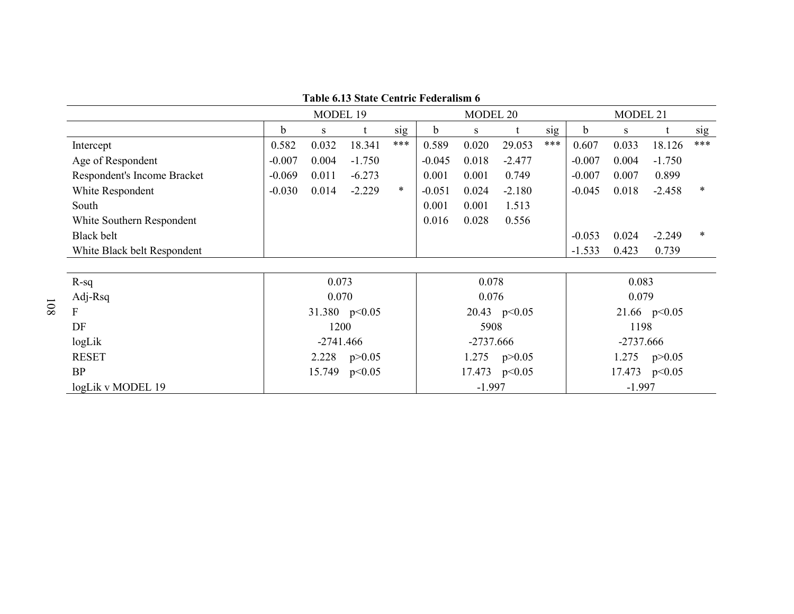|                             |          | MODEL 19    |                 |     | MODEL 20    |             |                  | MODEL 21 |             |       |                |     |
|-----------------------------|----------|-------------|-----------------|-----|-------------|-------------|------------------|----------|-------------|-------|----------------|-----|
|                             | b        | S           |                 | sig | $\mathbf b$ | S           |                  | sig      | $\mathbf b$ | S     |                | sig |
| Intercept                   | 0.582    | 0.032       | 18.341          | *** | 0.589       | 0.020       | 29.053           | ***      | 0.607       | 0.033 | 18.126         | *** |
| Age of Respondent           | $-0.007$ | 0.004       | $-1.750$        |     | $-0.045$    | 0.018       | $-2.477$         |          | $-0.007$    | 0.004 | $-1.750$       |     |
| Respondent's Income Bracket | $-0.069$ | 0.011       | $-6.273$        |     | 0.001       | 0.001       | 0.749            |          | $-0.007$    | 0.007 | 0.899          |     |
| White Respondent            | $-0.030$ | 0.014       | $-2.229$        | *   | $-0.051$    | 0.024       | $-2.180$         |          | $-0.045$    | 0.018 | $-2.458$       | *   |
| South                       |          |             |                 |     | 0.001       | 0.001       | 1.513            |          |             |       |                |     |
| White Southern Respondent   |          |             |                 |     | 0.016       | 0.028       | 0.556            |          |             |       |                |     |
| Black belt                  |          |             |                 |     |             |             |                  |          | $-0.053$    | 0.024 | $-2.249$       | *   |
| White Black belt Respondent |          |             |                 |     |             |             |                  |          | $-1.533$    | 0.423 | 0.739          |     |
|                             |          |             |                 |     |             |             |                  |          |             |       |                |     |
| $R-sq$                      |          | 0.073       |                 |     |             | 0.078       |                  |          |             | 0.083 |                |     |
| Adj-Rsq                     |          | 0.070       |                 |     |             | 0.076       |                  |          |             | 0.079 |                |     |
| F                           |          |             | 31.380 $p<0.05$ |     |             |             | 20.43 p<0.05     |          |             |       | 21.66 $p<0.05$ |     |
| DF                          |          | 1200        |                 |     |             | 5908        |                  |          |             | 1198  |                |     |
| logLik                      |          | $-2741.466$ |                 |     |             | $-2737.666$ |                  |          | $-2737.666$ |       |                |     |
| <b>RESET</b>                |          | 2.228       | p > 0.05        |     |             |             | 1.275 $p > 0.05$ |          |             | 1.275 | p > 0.05       |     |
| <b>BP</b>                   |          | 15.749      | p<0.05          |     |             |             | 17.473 p<0.05    |          |             |       | 17.473 p<0.05  |     |
| logLik v MODEL 19           |          |             |                 |     | $-1.997$    |             |                  | $-1.997$ |             |       |                |     |

**Table 6.13 State Centric Federalism 6**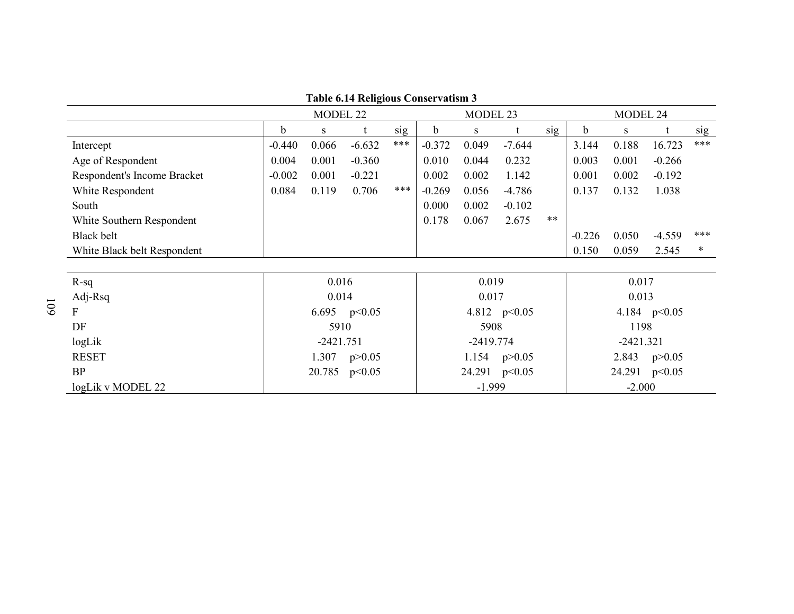|                             |             | MODEL 22     |                | MODEL 23 |          |             | MODEL 24         |          |          |             |                |     |
|-----------------------------|-------------|--------------|----------------|----------|----------|-------------|------------------|----------|----------|-------------|----------------|-----|
|                             | $\mathbf b$ | <sub>S</sub> |                | sig      | b        | S           |                  | sig      | b        | S           |                | sig |
| Intercept                   | $-0.440$    | 0.066        | $-6.632$       | ***      | $-0.372$ | 0.049       | $-7.644$         |          | 3.144    | 0.188       | 16.723         | *** |
| Age of Respondent           | 0.004       | 0.001        | $-0.360$       |          | 0.010    | 0.044       | 0.232            |          | 0.003    | 0.001       | $-0.266$       |     |
| Respondent's Income Bracket | $-0.002$    | 0.001        | $-0.221$       |          | 0.002    | 0.002       | 1.142            |          | 0.001    | 0.002       | $-0.192$       |     |
| White Respondent            | 0.084       | 0.119        | 0.706          | ***      | $-0.269$ | 0.056       | $-4.786$         |          | 0.137    | 0.132       | 1.038          |     |
| South                       |             |              |                |          | 0.000    | 0.002       | $-0.102$         |          |          |             |                |     |
| White Southern Respondent   |             |              |                |          | 0.178    | 0.067       | 2.675            | $***$    |          |             |                |     |
| Black belt                  |             |              |                |          |          |             |                  |          | $-0.226$ | 0.050       | $-4.559$       | *** |
| White Black belt Respondent |             |              |                |          |          |             |                  |          | 0.150    | 0.059       | 2.545          | ∗   |
|                             |             |              |                |          |          |             |                  |          |          |             |                |     |
| $R-sq$                      |             | 0.016        |                |          |          | 0.019       |                  |          |          | 0.017       |                |     |
| Adj-Rsq                     |             | 0.014        |                |          |          | 0.017       |                  |          |          | 0.013       |                |     |
| F                           |             |              | 6.695 $p<0.05$ |          |          |             | 4.812 $p<0.05$   |          |          |             | 4.184 $p<0.05$ |     |
| DF                          |             | 5910         |                |          |          | 5908        |                  |          |          | 1198        |                |     |
| logLik                      |             | $-2421.751$  |                |          |          | $-2419.774$ |                  |          |          | $-2421.321$ |                |     |
| <b>RESET</b>                |             | 1.307        | p > 0.05       |          |          |             | 1.154 $p > 0.05$ |          |          | 2.843       | p > 0.05       |     |
| <b>BP</b>                   |             | 20.785       | p<0.05         |          |          |             | 24.291 p<0.05    |          |          |             | 24.291 p<0.05  |     |
| logLik v MODEL 22           |             |              |                |          | $-1.999$ |             |                  | $-2.000$ |          |             |                |     |

**Table 6.14 Religious Conservatism 3**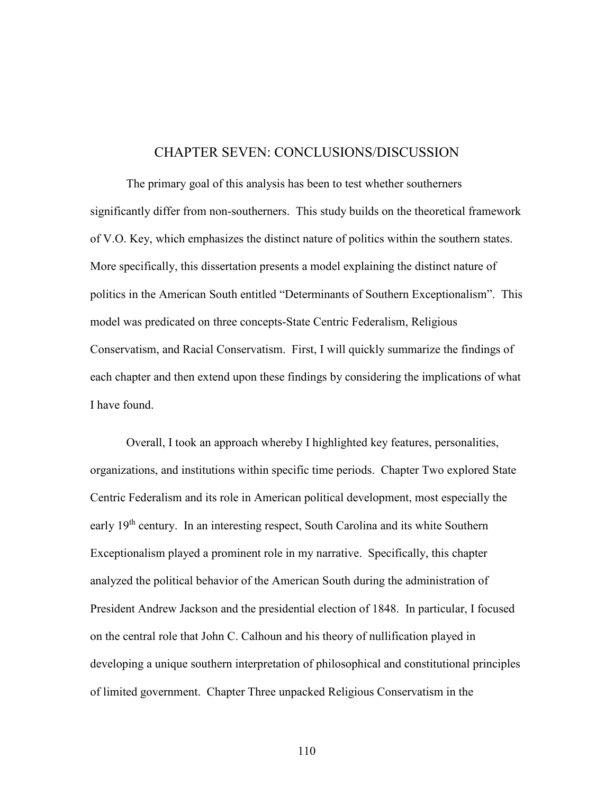## CHAPTER SEVEN: CONCLUSIONS/DISCUSSION

 The primary goal of this analysis has been to test whether southerners significantly differ from non-southerners. This study builds on the theoretical framework of V.O. Key, which emphasizes the distinct nature of politics within the southern states. More specifically, this dissertation presents a model explaining the distinct nature of politics in the American South entitled "Determinants of Southern Exceptionalism". This model was predicated on three concepts-State Centric Federalism, Religious Conservatism, and Racial Conservatism. First, I will quickly summarize the findings of each chapter and then extend upon these findings by considering the implications of what I have found.

Overall, I took an approach whereby I highlighted key features, personalities, organizations, and institutions within specific time periods. Chapter Two explored State Centric Federalism and its role in American political development, most especially the early 19th century. In an interesting respect, South Carolina and its white Southern Exceptionalism played a prominent role in my narrative. Specifically, this chapter analyzed the political behavior of the American South during the administration of President Andrew Jackson and the presidential election of 1848. In particular, I focused on the central role that John C. Calhoun and his theory of nullification played in developing a unique southern interpretation of philosophical and constitutional principles of limited government. Chapter Three unpacked Religious Conservatism in the

110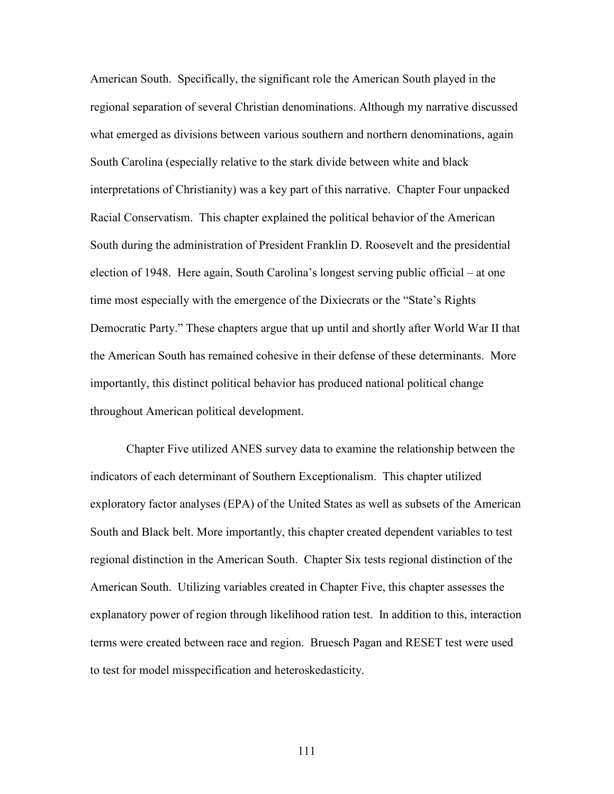American South. Specifically, the significant role the American South played in the regional separation of several Christian denominations. Although my narrative discussed what emerged as divisions between various southern and northern denominations, again South Carolina (especially relative to the stark divide between white and black interpretations of Christianity) was a key part of this narrative. Chapter Four unpacked Racial Conservatism. This chapter explained the political behavior of the American South during the administration of President Franklin D. Roosevelt and the presidential election of 1948. Here again, South Carolina's longest serving public official – at one time most especially with the emergence of the Dixiecrats or the "State's Rights Democratic Party." These chapters argue that up until and shortly after World War II that the American South has remained cohesive in their defense of these determinants. More importantly, this distinct political behavior has produced national political change throughout American political development.

Chapter Five utilized ANES survey data to examine the relationship between the indicators of each determinant of Southern Exceptionalism. This chapter utilized exploratory factor analyses (EPA) of the United States as well as subsets of the American South and Black belt. More importantly, this chapter created dependent variables to test regional distinction in the American South. Chapter Six tests regional distinction of the American South. Utilizing variables created in Chapter Five, this chapter assesses the explanatory power of region through likelihood ration test. In addition to this, interaction terms were created between race and region. Bruesch Pagan and RESET test were used to test for model misspecification and heteroskedasticity.

111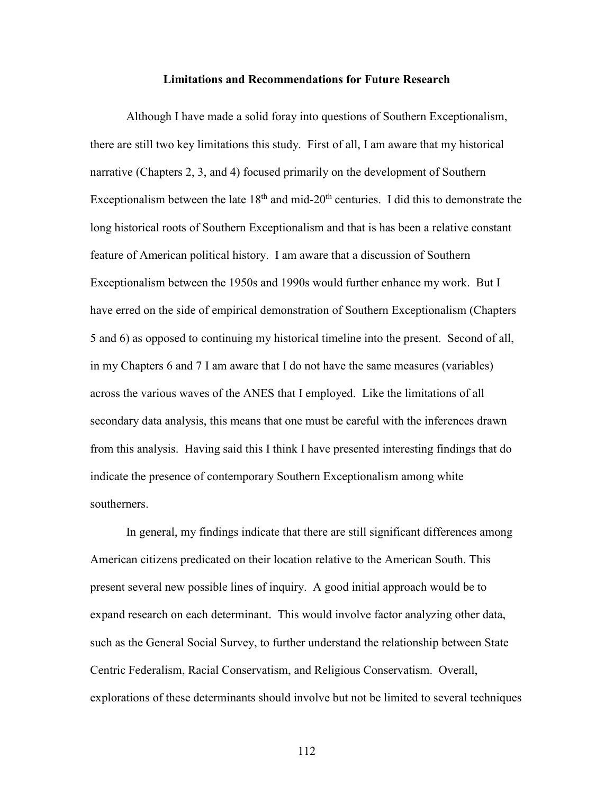## **Limitations and Recommendations for Future Research**

Although I have made a solid foray into questions of Southern Exceptionalism, there are still two key limitations this study. First of all, I am aware that my historical narrative (Chapters 2, 3, and 4) focused primarily on the development of Southern Exceptionalism between the late  $18<sup>th</sup>$  and mid-20<sup>th</sup> centuries. I did this to demonstrate the long historical roots of Southern Exceptionalism and that is has been a relative constant feature of American political history. I am aware that a discussion of Southern Exceptionalism between the 1950s and 1990s would further enhance my work. But I have erred on the side of empirical demonstration of Southern Exceptionalism (Chapters 5 and 6) as opposed to continuing my historical timeline into the present. Second of all, in my Chapters 6 and 7 I am aware that I do not have the same measures (variables) across the various waves of the ANES that I employed. Like the limitations of all secondary data analysis, this means that one must be careful with the inferences drawn from this analysis. Having said this I think I have presented interesting findings that do indicate the presence of contemporary Southern Exceptionalism among white southerners.

In general, my findings indicate that there are still significant differences among American citizens predicated on their location relative to the American South. This present several new possible lines of inquiry. A good initial approach would be to expand research on each determinant. This would involve factor analyzing other data, such as the General Social Survey, to further understand the relationship between State Centric Federalism, Racial Conservatism, and Religious Conservatism. Overall, explorations of these determinants should involve but not be limited to several techniques

112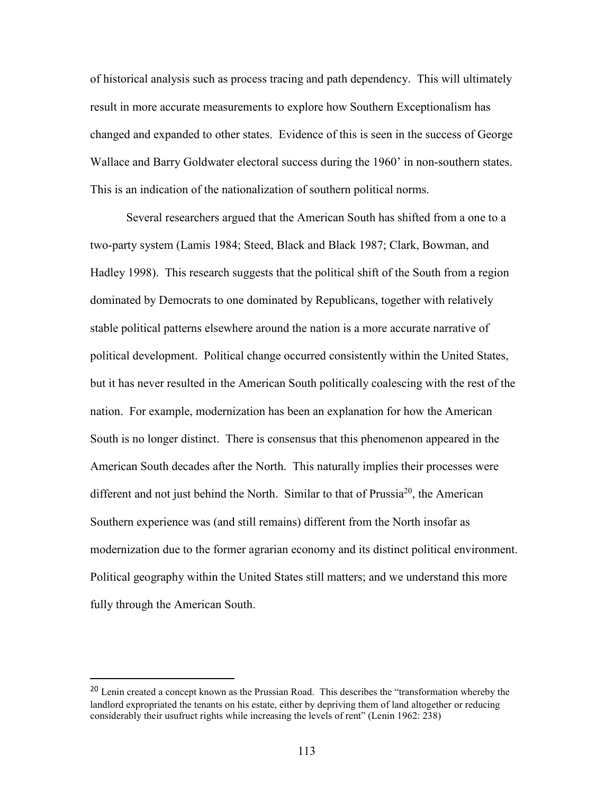of historical analysis such as process tracing and path dependency. This will ultimately result in more accurate measurements to explore how Southern Exceptionalism has changed and expanded to other states. Evidence of this is seen in the success of George Wallace and Barry Goldwater electoral success during the 1960' in non-southern states. This is an indication of the nationalization of southern political norms.

Several researchers argued that the American South has shifted from a one to a two-party system (Lamis 1984; Steed, Black and Black 1987; Clark, Bowman, and Hadley 1998). This research suggests that the political shift of the South from a region dominated by Democrats to one dominated by Republicans, together with relatively stable political patterns elsewhere around the nation is a more accurate narrative of political development. Political change occurred consistently within the United States, but it has never resulted in the American South politically coalescing with the rest of the nation. For example, modernization has been an explanation for how the American South is no longer distinct. There is consensus that this phenomenon appeared in the American South decades after the North. This naturally implies their processes were different and not just behind the North. Similar to that of Prussia<sup>20</sup>, the American Southern experience was (and still remains) different from the North insofar as modernization due to the former agrarian economy and its distinct political environment. Political geography within the United States still matters; and we understand this more fully through the American South.

l

<sup>&</sup>lt;sup>20</sup> Lenin created a concept known as the Prussian Road. This describes the "transformation whereby the landlord expropriated the tenants on his estate, either by depriving them of land altogether or reducing considerably their usufruct rights while increasing the levels of rent" (Lenin 1962: 238)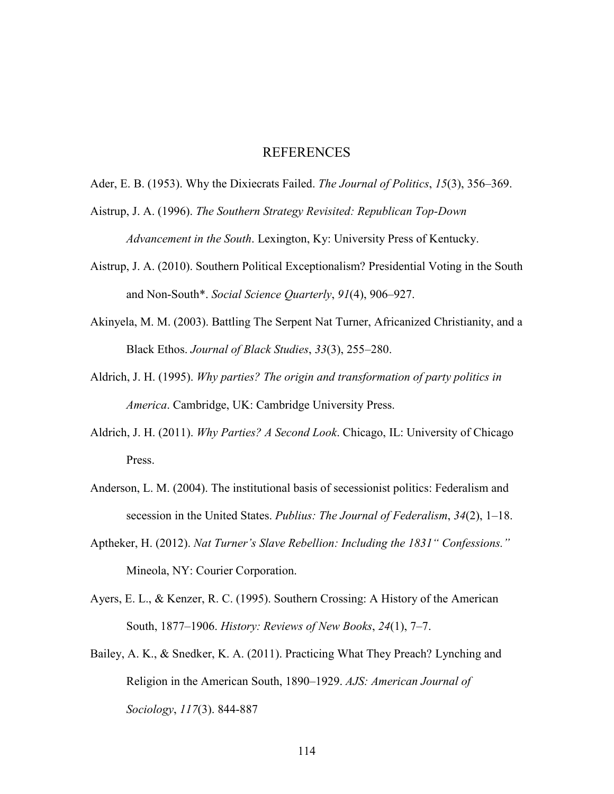## REFERENCES

Ader, E. B. (1953). Why the Dixiecrats Failed. *The Journal of Politics*, *15*(3), 356–369.

Aistrup, J. A. (1996). *The Southern Strategy Revisited: Republican Top-Down Advancement in the South*. Lexington, Ky: University Press of Kentucky.

- Aistrup, J. A. (2010). Southern Political Exceptionalism? Presidential Voting in the South and Non-South\*. *Social Science Quarterly*, *91*(4), 906–927.
- Akinyela, M. M. (2003). Battling The Serpent Nat Turner, Africanized Christianity, and a Black Ethos. *Journal of Black Studies*, *33*(3), 255–280.
- Aldrich, J. H. (1995). *Why parties? The origin and transformation of party politics in America*. Cambridge, UK: Cambridge University Press.
- Aldrich, J. H. (2011). *Why Parties? A Second Look*. Chicago, IL: University of Chicago Press.
- Anderson, L. M. (2004). The institutional basis of secessionist politics: Federalism and secession in the United States. *Publius: The Journal of Federalism*, *34*(2), 1–18.
- Aptheker, H. (2012). *Nat Turner's Slave Rebellion: Including the 1831" Confessions."* Mineola, NY: Courier Corporation.
- Ayers, E. L., & Kenzer, R. C. (1995). Southern Crossing: A History of the American South, 1877–1906. *History: Reviews of New Books*, *24*(1), 7–7.
- Bailey, A. K., & Snedker, K. A. (2011). Practicing What They Preach? Lynching and Religion in the American South, 1890–1929. *AJS: American Journal of Sociology*, *117*(3). 844-887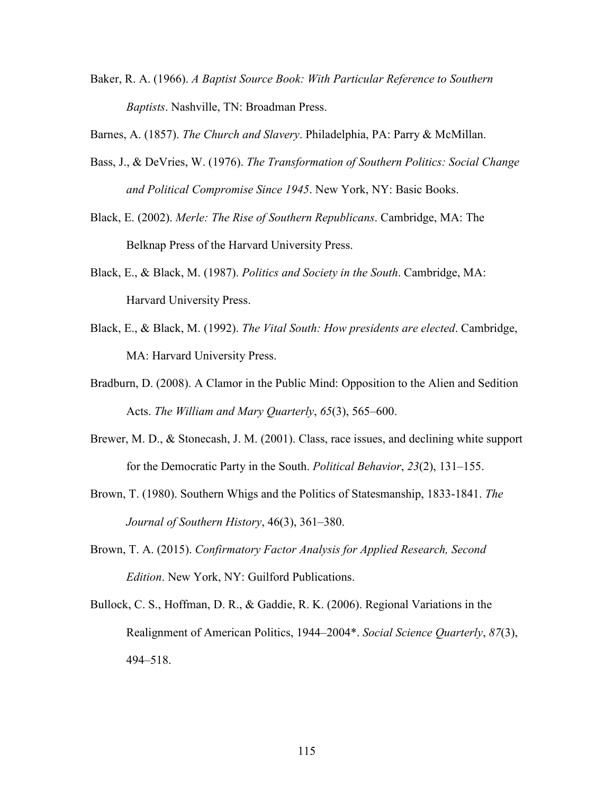Baker, R. A. (1966). *A Baptist Source Book: With Particular Reference to Southern Baptists*. Nashville, TN: Broadman Press.

Barnes, A. (1857). *The Church and Slavery*. Philadelphia, PA: Parry & McMillan.

- Bass, J., & DeVries, W. (1976). *The Transformation of Southern Politics: Social Change and Political Compromise Since 1945*. New York, NY: Basic Books.
- Black, E. (2002). *Merle: The Rise of Southern Republicans*. Cambridge, MA: The Belknap Press of the Harvard University Press.
- Black, E., & Black, M. (1987). *Politics and Society in the South*. Cambridge, MA: Harvard University Press.
- Black, E., & Black, M. (1992). *The Vital South: How presidents are elected*. Cambridge, MA: Harvard University Press.
- Bradburn, D. (2008). A Clamor in the Public Mind: Opposition to the Alien and Sedition Acts. *The William and Mary Quarterly*, *65*(3), 565–600.
- Brewer, M. D., & Stonecash, J. M. (2001). Class, race issues, and declining white support for the Democratic Party in the South. *Political Behavior*, *23*(2), 131–155.
- Brown, T. (1980). Southern Whigs and the Politics of Statesmanship, 1833-1841. *The Journal of Southern History*, 46(3), 361–380.
- Brown, T. A. (2015). *Confirmatory Factor Analysis for Applied Research, Second Edition*. New York, NY: Guilford Publications.
- Bullock, C. S., Hoffman, D. R., & Gaddie, R. K. (2006). Regional Variations in the Realignment of American Politics, 1944–2004\*. *Social Science Quarterly*, *87*(3), 494–518.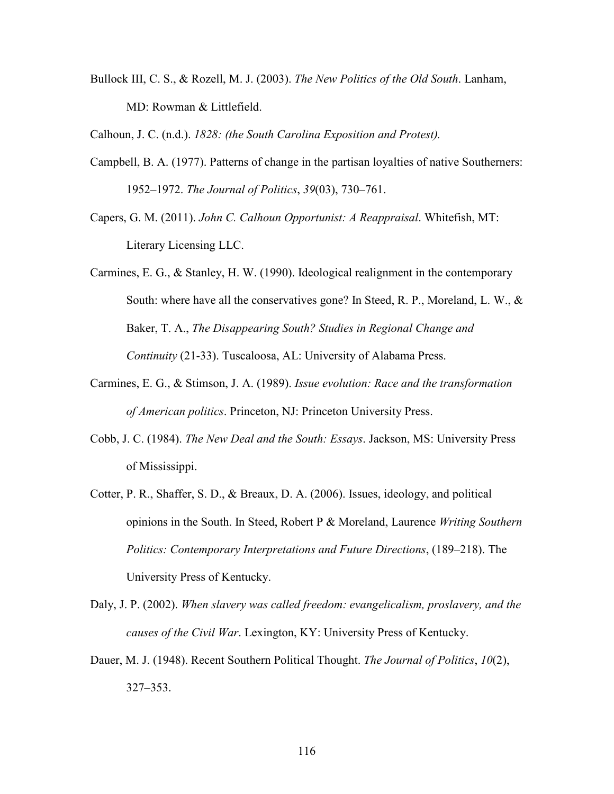Bullock III, C. S., & Rozell, M. J. (2003). *The New Politics of the Old South*. Lanham, MD: Rowman & Littlefield.

Calhoun, J. C. (n.d.). *1828: (the South Carolina Exposition and Protest).*

- Campbell, B. A. (1977). Patterns of change in the partisan loyalties of native Southerners: 1952–1972. *The Journal of Politics*, *39*(03), 730–761.
- Capers, G. M. (2011). *John C. Calhoun Opportunist: A Reappraisal*. Whitefish, MT: Literary Licensing LLC.
- Carmines, E. G., & Stanley, H. W. (1990). Ideological realignment in the contemporary South: where have all the conservatives gone? In Steed, R. P., Moreland, L. W., & Baker, T. A., *The Disappearing South? Studies in Regional Change and Continuity* (21-33). Tuscaloosa, AL: University of Alabama Press.
- Carmines, E. G., & Stimson, J. A. (1989). *Issue evolution: Race and the transformation of American politics*. Princeton, NJ: Princeton University Press.
- Cobb, J. C. (1984). *The New Deal and the South: Essays*. Jackson, MS: University Press of Mississippi.
- Cotter, P. R., Shaffer, S. D., & Breaux, D. A. (2006). Issues, ideology, and political opinions in the South. In Steed, Robert P & Moreland, Laurence *Writing Southern Politics: Contemporary Interpretations and Future Directions*, (189–218). The University Press of Kentucky.
- Daly, J. P. (2002). *When slavery was called freedom: evangelicalism, proslavery, and the causes of the Civil War*. Lexington, KY: University Press of Kentucky.
- Dauer, M. J. (1948). Recent Southern Political Thought. *The Journal of Politics*, *10*(2), 327–353.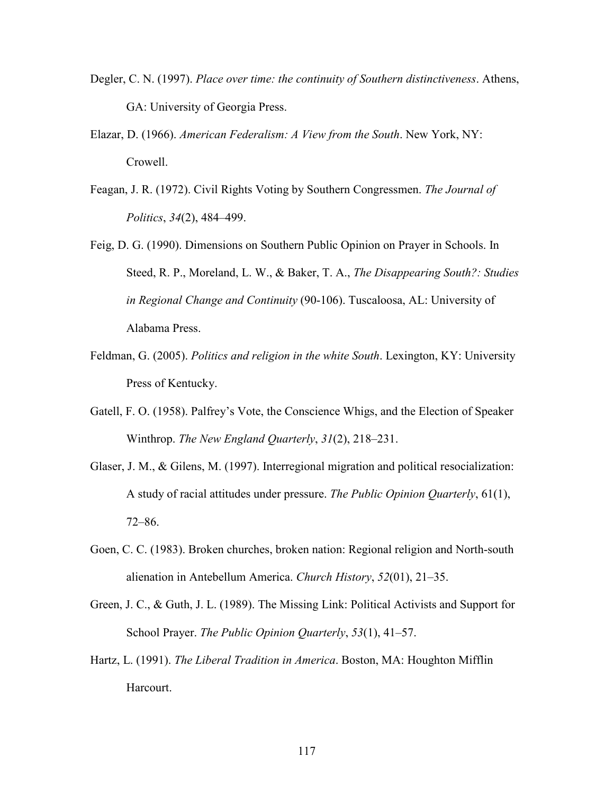- Degler, C. N. (1997). *Place over time: the continuity of Southern distinctiveness*. Athens, GA: University of Georgia Press.
- Elazar, D. (1966). *American Federalism: A View from the South*. New York, NY: Crowell.
- Feagan, J. R. (1972). Civil Rights Voting by Southern Congressmen. *The Journal of Politics*, *34*(2), 484–499.
- Feig, D. G. (1990). Dimensions on Southern Public Opinion on Prayer in Schools. In Steed, R. P., Moreland, L. W., & Baker, T. A., *The Disappearing South?: Studies in Regional Change and Continuity* (90-106). Tuscaloosa, AL: University of Alabama Press.
- Feldman, G. (2005). *Politics and religion in the white South*. Lexington, KY: University Press of Kentucky.
- Gatell, F. O. (1958). Palfrey's Vote, the Conscience Whigs, and the Election of Speaker Winthrop. *The New England Quarterly*, *31*(2), 218–231.
- Glaser, J. M., & Gilens, M. (1997). Interregional migration and political resocialization: A study of racial attitudes under pressure. *The Public Opinion Quarterly*, 61(1), 72–86.
- Goen, C. C. (1983). Broken churches, broken nation: Regional religion and North-south alienation in Antebellum America. *Church History*, *52*(01), 21–35.
- Green, J. C., & Guth, J. L. (1989). The Missing Link: Political Activists and Support for School Prayer. *The Public Opinion Quarterly*, *53*(1), 41–57.
- Hartz, L. (1991). *The Liberal Tradition in America*. Boston, MA: Houghton Mifflin Harcourt.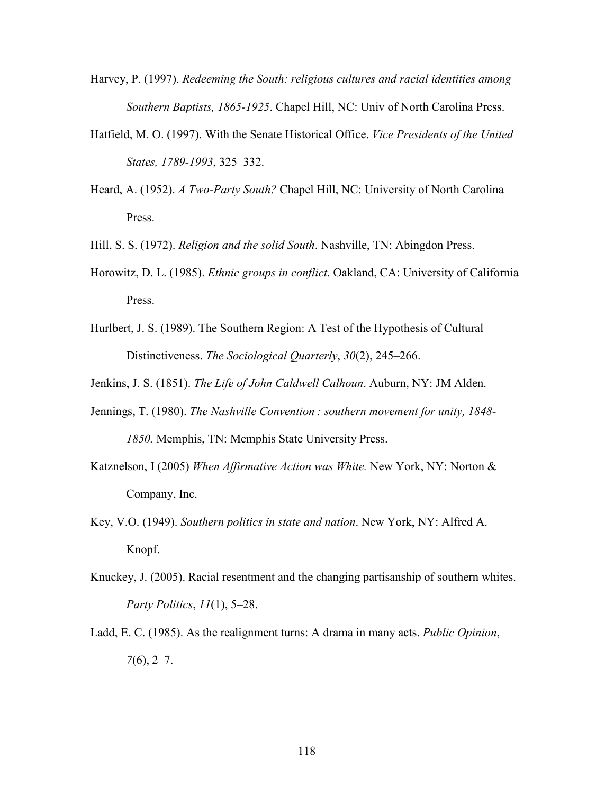- Harvey, P. (1997). *Redeeming the South: religious cultures and racial identities among Southern Baptists, 1865-1925*. Chapel Hill, NC: Univ of North Carolina Press.
- Hatfield, M. O. (1997). With the Senate Historical Office. *Vice Presidents of the United States, 1789-1993*, 325–332.
- Heard, A. (1952). *A Two-Party South?* Chapel Hill, NC: University of North Carolina Press.
- Hill, S. S. (1972). *Religion and the solid South*. Nashville, TN: Abingdon Press.
- Horowitz, D. L. (1985). *Ethnic groups in conflict*. Oakland, CA: University of California Press.
- Hurlbert, J. S. (1989). The Southern Region: A Test of the Hypothesis of Cultural Distinctiveness. *The Sociological Quarterly*, *30*(2), 245–266.
- Jenkins, J. S. (1851). *The Life of John Caldwell Calhoun*. Auburn, NY: JM Alden.
- Jennings, T. (1980). *The Nashville Convention : southern movement for unity, 1848- 1850.* Memphis, TN: Memphis State University Press.
- Katznelson, I (2005) *When Affirmative Action was White.* New York, NY: Norton & Company, Inc.
- Key, V.O. (1949). *Southern politics in state and nation*. New York, NY: Alfred A. Knopf.
- Knuckey, J. (2005). Racial resentment and the changing partisanship of southern whites. *Party Politics*, *11*(1), 5–28.
- Ladd, E. C. (1985). As the realignment turns: A drama in many acts. *Public Opinion*, *7*(6), 2–7.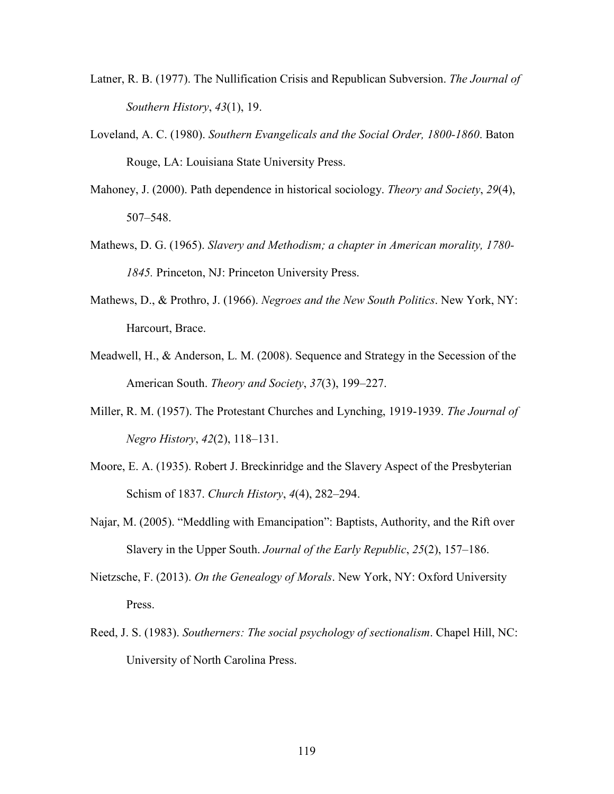- Latner, R. B. (1977). The Nullification Crisis and Republican Subversion. *The Journal of Southern History*, *43*(1), 19.
- Loveland, A. C. (1980). *Southern Evangelicals and the Social Order, 1800-1860*. Baton Rouge, LA: Louisiana State University Press.
- Mahoney, J. (2000). Path dependence in historical sociology. *Theory and Society*, *29*(4), 507–548.
- Mathews, D. G. (1965). *Slavery and Methodism; a chapter in American morality, 1780- 1845.* Princeton, NJ: Princeton University Press.
- Mathews, D., & Prothro, J. (1966). *Negroes and the New South Politics*. New York, NY: Harcourt, Brace.
- Meadwell, H., & Anderson, L. M. (2008). Sequence and Strategy in the Secession of the American South. *Theory and Society*, *37*(3), 199–227.
- Miller, R. M. (1957). The Protestant Churches and Lynching, 1919-1939. *The Journal of Negro History*, *42*(2), 118–131.
- Moore, E. A. (1935). Robert J. Breckinridge and the Slavery Aspect of the Presbyterian Schism of 1837. *Church History*, *4*(4), 282–294.
- Najar, M. (2005). "Meddling with Emancipation": Baptists, Authority, and the Rift over Slavery in the Upper South. *Journal of the Early Republic*, *25*(2), 157–186.
- Nietzsche, F. (2013). *On the Genealogy of Morals*. New York, NY: Oxford University Press.
- Reed, J. S. (1983). *Southerners: The social psychology of sectionalism*. Chapel Hill, NC: University of North Carolina Press.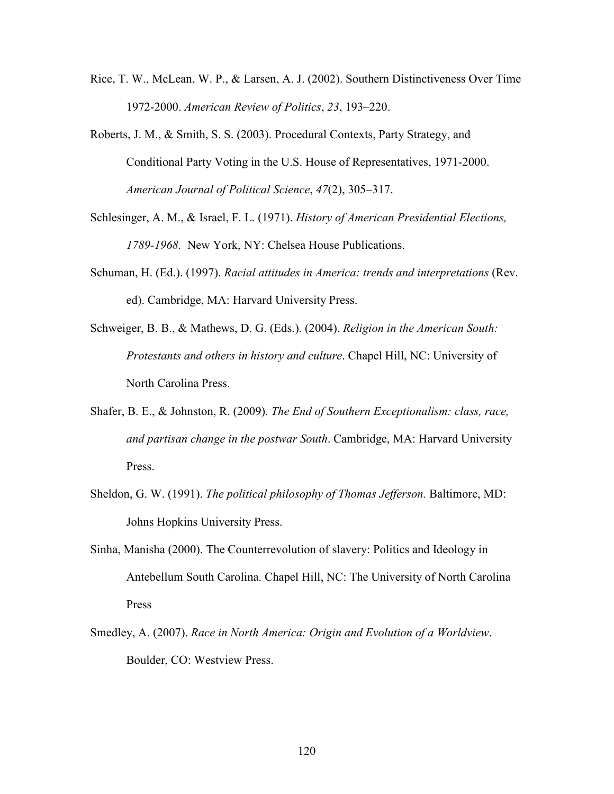- Rice, T. W., McLean, W. P., & Larsen, A. J. (2002). Southern Distinctiveness Over Time 1972-2000. *American Review of Politics*, *23*, 193–220.
- Roberts, J. M., & Smith, S. S. (2003). Procedural Contexts, Party Strategy, and Conditional Party Voting in the U.S. House of Representatives, 1971-2000. *American Journal of Political Science*, *47*(2), 305–317.
- Schlesinger, A. M., & Israel, F. L. (1971). *History of American Presidential Elections, 1789-1968.* New York, NY: Chelsea House Publications.
- Schuman, H. (Ed.). (1997). *Racial attitudes in America: trends and interpretations* (Rev. ed). Cambridge, MA: Harvard University Press.
- Schweiger, B. B., & Mathews, D. G. (Eds.). (2004). *Religion in the American South: Protestants and others in history and culture*. Chapel Hill, NC: University of North Carolina Press.
- Shafer, B. E., & Johnston, R. (2009). *The End of Southern Exceptionalism: class, race, and partisan change in the postwar South*. Cambridge, MA: Harvard University Press.
- Sheldon, G. W. (1991). *The political philosophy of Thomas Jefferson.* Baltimore, MD: Johns Hopkins University Press.
- Sinha, Manisha (2000). The Counterrevolution of slavery: Politics and Ideology in Antebellum South Carolina. Chapel Hill, NC: The University of North Carolina Press
- Smedley, A. (2007). *Race in North America: Origin and Evolution of a Worldview*. Boulder, CO: Westview Press.